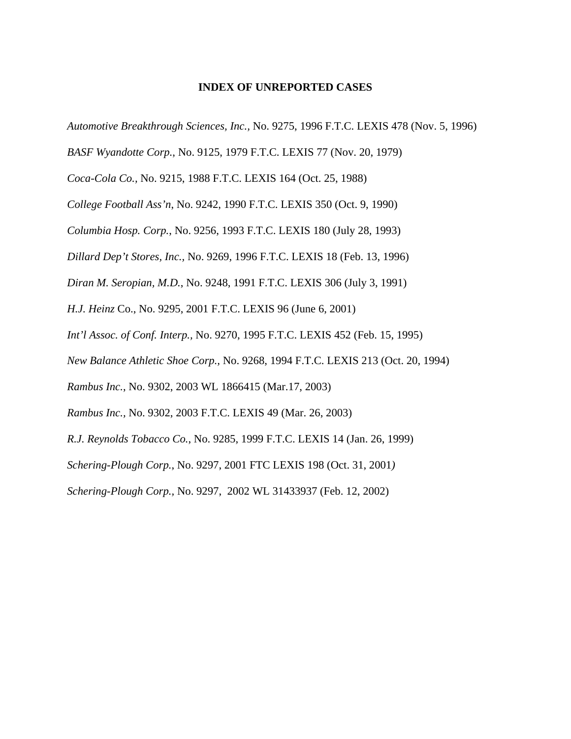# **INDEX OF UNREPORTED CASES**

*Automotive Breakthrough Sciences, Inc.,* No. 9275, 1996 F.T.C. LEXIS 478 (Nov. 5, 1996)

*BASF Wyandotte Corp.*, No. 9125, 1979 F.T.C. LEXIS 77 (Nov. 20, 1979)

*Coca-Cola Co.,* No. 9215, 1988 F.T.C. LEXIS 164 (Oct. 25, 1988)

*College Football Ass'n*, No. 9242, 1990 F.T.C. LEXIS 350 (Oct. 9, 1990)

*Columbia Hosp. Corp.*, No. 9256, 1993 F.T.C. LEXIS 180 (July 28, 1993)

*Dillard Dep't Stores, Inc.,* No. 9269, 1996 F.T.C. LEXIS 18 (Feb. 13, 1996)

*Diran M. Seropian, M.D.*, No. 9248, 1991 F.T.C. LEXIS 306 (July 3, 1991)

*H.J. Heinz* Co., No. 9295, 2001 F.T.C. LEXIS 96 (June 6, 2001)

*Int'l Assoc. of Conf. Interp.,* No. 9270, 1995 F.T.C. LEXIS 452 (Feb. 15, 1995)

*New Balance Athletic Shoe Corp.,* No. 9268, 1994 F.T.C. LEXIS 213 (Oct. 20, 1994)

*Rambus Inc.*, No. 9302, 2003 WL 1866415 (Mar.17, 2003)

*Rambus Inc.,* No. 9302, 2003 F.T.C. LEXIS 49 (Mar. 26, 2003)

*R.J. Reynolds Tobacco Co.*, No. 9285, 1999 F.T.C. LEXIS 14 (Jan. 26, 1999)

*Schering-Plough Corp.*, No. 9297, 2001 FTC LEXIS 198 (Oct. 31, 2001*)*

*Schering-Plough Corp.,* No. 9297, 2002 WL 31433937 (Feb. 12, 2002)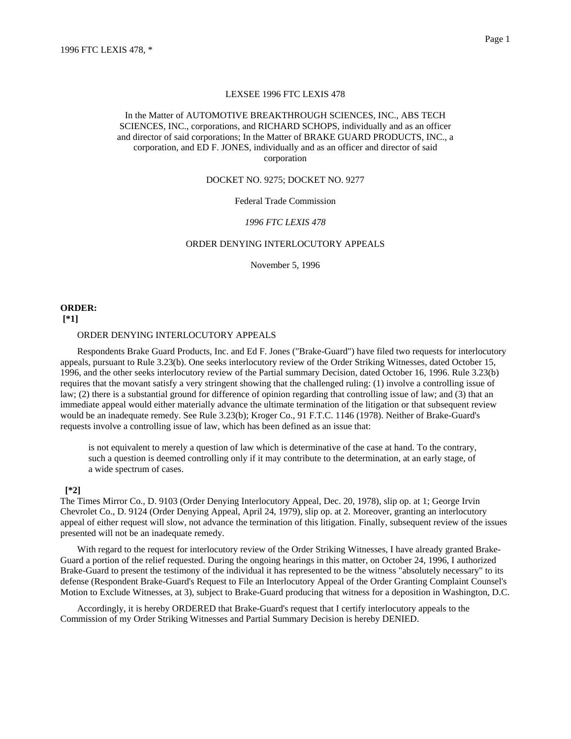#### LEXSEE 1996 FTC LEXIS 478

## In the Matter of AUTOMOTIVE BREAKTHROUGH SCIENCES, INC., ABS TECH SCIENCES, INC., corporations, and RICHARD SCHOPS, individually and as an officer and director of said corporations; In the Matter of BRAKE GUARD PRODUCTS, INC., a corporation, and ED F. JONES, individually and as an officer and director of said corporation

#### DOCKET NO. 9275; DOCKET NO. 9277

#### Federal Trade Commission

## *1996 FTC LEXIS 478*

### ORDER DENYING INTERLOCUTORY APPEALS

November 5, 1996

# **ORDER:**

# **[\*1]**

### ORDER DENYING INTERLOCUTORY APPEALS

Respondents Brake Guard Products, Inc. and Ed F. Jones ("Brake-Guard") have filed two requests for interlocutory appeals, pursuant to Rule 3.23(b). One seeks interlocutory review of the Order Striking Witnesses, dated October 15, 1996, and the other seeks interlocutory review of the Partial summary Decision, dated October 16, 1996. Rule 3.23(b) requires that the movant satisfy a very stringent showing that the challenged ruling: (1) involve a controlling issue of law; (2) there is a substantial ground for difference of opinion regarding that controlling issue of law; and (3) that an immediate appeal would either materially advance the ultimate termination of the litigation or that subsequent review would be an inadequate remedy. See Rule 3.23(b); Kroger Co., 91 F.T.C. 1146 (1978). Neither of Brake-Guard's requests involve a controlling issue of law, which has been defined as an issue that:

is not equivalent to merely a question of law which is determinative of the case at hand. To the contrary, such a question is deemed controlling only if it may contribute to the determination, at an early stage, of a wide spectrum of cases.

#### **[\*2]**

The Times Mirror Co., D. 9103 (Order Denying Interlocutory Appeal, Dec. 20, 1978), slip op. at 1; George Irvin Chevrolet Co., D. 9124 (Order Denying Appeal, April 24, 1979), slip op. at 2. Moreover, granting an interlocutory appeal of either request will slow, not advance the termination of this litigation. Finally, subsequent review of the issues presented will not be an inadequate remedy.

With regard to the request for interlocutory review of the Order Striking Witnesses, I have already granted Brake-Guard a portion of the relief requested. During the ongoing hearings in this matter, on October 24, 1996, I authorized Brake-Guard to present the testimony of the individual it has represented to be the witness "absolutely necessary" to its defense (Respondent Brake-Guard's Request to File an Interlocutory Appeal of the Order Granting Complaint Counsel's Motion to Exclude Witnesses, at 3), subject to Brake-Guard producing that witness for a deposition in Washington, D.C.

Accordingly, it is hereby ORDERED that Brake-Guard's request that I certify interlocutory appeals to the Commission of my Order Striking Witnesses and Partial Summary Decision is hereby DENIED.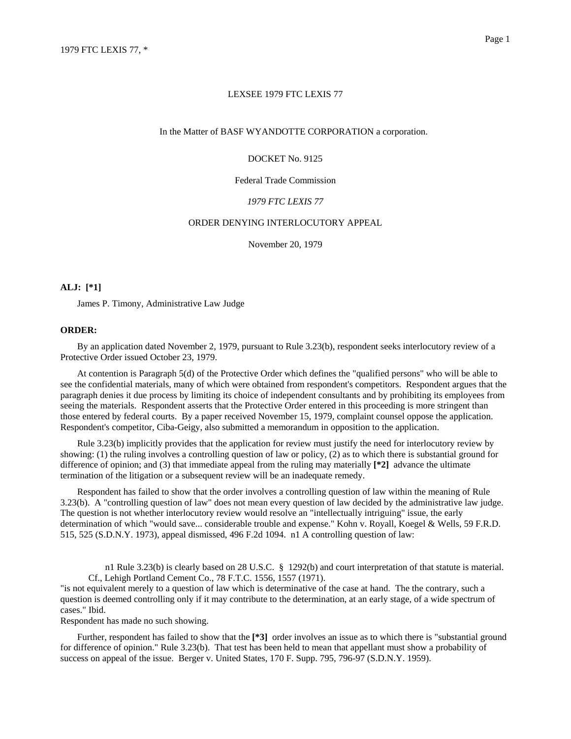#### In the Matter of BASF WYANDOTTE CORPORATION a corporation.

## DOCKET No. 9125

#### Federal Trade Commission

## *1979 FTC LEXIS 77*

# ORDER DENYING INTERLOCUTORY APPEAL

November 20, 1979

## **ALJ: [\*1]**

James P. Timony, Administrative Law Judge

### **ORDER:**

By an application dated November 2, 1979, pursuant to Rule 3.23(b), respondent seeks interlocutory review of a Protective Order issued October 23, 1979.

At contention is Paragraph 5(d) of the Protective Order which defines the "qualified persons" who will be able to see the confidential materials, many of which were obtained from respondent's competitors. Respondent argues that the paragraph denies it due process by limiting its choice of independent consultants and by prohibiting its employees from seeing the materials. Respondent asserts that the Protective Order entered in this proceeding is more stringent than those entered by federal courts. By a paper received November 15, 1979, complaint counsel oppose the application. Respondent's competitor, Ciba-Geigy, also submitted a memorandum in opposition to the application.

Rule 3.23(b) implicitly provides that the application for review must justify the need for interlocutory review by showing: (1) the ruling involves a controlling question of law or policy, (2) as to which there is substantial ground for difference of opinion; and (3) that immediate appeal from the ruling may materially **[\*2]** advance the ultimate termination of the litigation or a subsequent review will be an inadequate remedy.

Respondent has failed to show that the order involves a controlling question of law within the meaning of Rule 3.23(b). A "controlling question of law" does not mean every question of law decided by the administrative law judge. The question is not whether interlocutory review would resolve an "intellectually intriguing" issue, the early determination of which "would save... considerable trouble and expense." Kohn v. Royall, Koegel & Wells, 59 F.R.D. 515, 525 (S.D.N.Y. 1973), appeal dismissed, 496 F.2d 1094. n1 A controlling question of law:

n1 Rule 3.23(b) is clearly based on 28 U.S.C. § 1292(b) and court interpretation of that statute is material. Cf., Lehigh Portland Cement Co., 78 F.T.C. 1556, 1557 (1971).

"is not equivalent merely to a question of law which is determinative of the case at hand. The the contrary, such a question is deemed controlling only if it may contribute to the determination, at an early stage, of a wide spectrum of cases." Ibid.

Respondent has made no such showing.

Further, respondent has failed to show that the **[\*3]** order involves an issue as to which there is "substantial ground for difference of opinion." Rule 3.23(b). That test has been held to mean that appellant must show a probability of success on appeal of the issue. Berger v. United States, 170 F. Supp. 795, 796-97 (S.D.N.Y. 1959).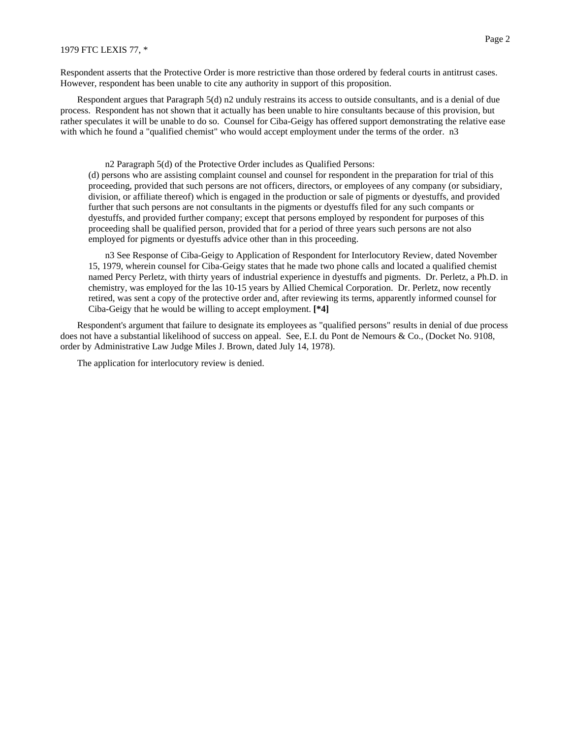Respondent asserts that the Protective Order is more restrictive than those ordered by federal courts in antitrust cases. However, respondent has been unable to cite any authority in support of this proposition.

Respondent argues that Paragraph 5(d) n2 unduly restrains its access to outside consultants, and is a denial of due process. Respondent has not shown that it actually has been unable to hire consultants because of this provision, but rather speculates it will be unable to do so. Counsel for Ciba-Geigy has offered support demonstrating the relative ease with which he found a "qualified chemist" who would accept employment under the terms of the order. n3

n2 Paragraph 5(d) of the Protective Order includes as Qualified Persons:

(d) persons who are assisting complaint counsel and counsel for respondent in the preparation for trial of this proceeding, provided that such persons are not officers, directors, or employees of any company (or subsidiary, division, or affiliate thereof) which is engaged in the production or sale of pigments or dyestuffs, and provided further that such persons are not consultants in the pigments or dyestuffs filed for any such compants or dyestuffs, and provided further company; except that persons employed by respondent for purposes of this proceeding shall be qualified person, provided that for a period of three years such persons are not also employed for pigments or dyestuffs advice other than in this proceeding.

n3 See Response of Ciba-Geigy to Application of Respondent for Interlocutory Review, dated November 15, 1979, wherein counsel for Ciba-Geigy states that he made two phone calls and located a qualified chemist named Percy Perletz, with thirty years of industrial experience in dyestuffs and pigments. Dr. Perletz, a Ph.D. in chemistry, was employed for the las 10-15 years by Allied Chemical Corporation. Dr. Perletz, now recently retired, was sent a copy of the protective order and, after reviewing its terms, apparently informed counsel for Ciba-Geigy that he would be willing to accept employment. **[\*4]**

Respondent's argument that failure to designate its employees as "qualified persons" results in denial of due process does not have a substantial likelihood of success on appeal. See, E.I. du Pont de Nemours & Co., (Docket No. 9108, order by Administrative Law Judge Miles J. Brown, dated July 14, 1978).

The application for interlocutory review is denied.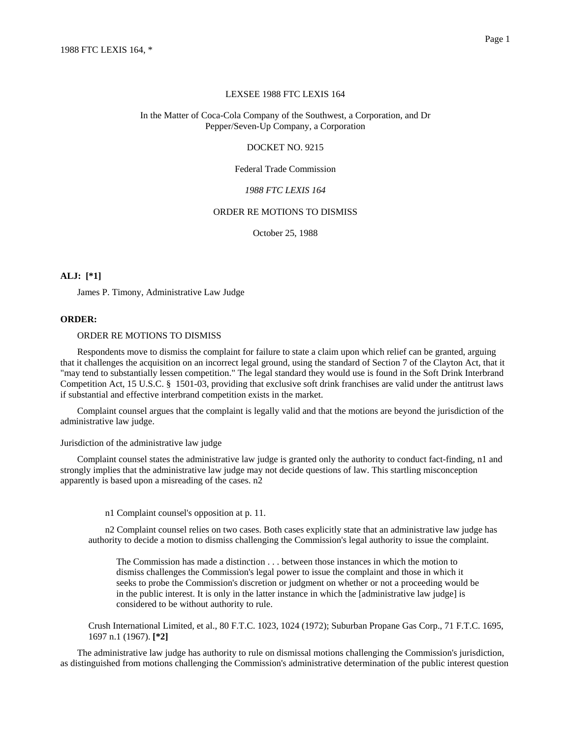#### LEXSEE 1988 FTC LEXIS 164

### In the Matter of Coca-Cola Company of the Southwest, a Corporation, and Dr Pepper/Seven-Up Company, a Corporation

### DOCKET NO. 9215

#### Federal Trade Commission

## *1988 FTC LEXIS 164*

### ORDER RE MOTIONS TO DISMISS

October 25, 1988

### **ALJ: [\*1]**

James P. Timony, Administrative Law Judge

### **ORDER:**

#### ORDER RE MOTIONS TO DISMISS

Respondents move to dismiss the complaint for failure to state a claim upon which relief can be granted, arguing that it challenges the acquisition on an incorrect legal ground, using the standard of Section 7 of the Clayton Act, that it "may tend to substantially lessen competition." The legal standard they would use is found in the Soft Drink Interbrand Competition Act, 15 U.S.C. § 1501-03, providing that exclusive soft drink franchises are valid under the antitrust laws if substantial and effective interbrand competition exists in the market.

Complaint counsel argues that the complaint is legally valid and that the motions are beyond the jurisdiction of the administrative law judge.

Jurisdiction of the administrative law judge

Complaint counsel states the administrative law judge is granted only the authority to conduct fact-finding, n1 and strongly implies that the administrative law judge may not decide questions of law. This startling misconception apparently is based upon a misreading of the cases. n2

n1 Complaint counsel's opposition at p. 11.

n2 Complaint counsel relies on two cases. Both cases explicitly state that an administrative law judge has authority to decide a motion to dismiss challenging the Commission's legal authority to issue the complaint.

The Commission has made a distinction . . . between those instances in which the motion to dismiss challenges the Commission's legal power to issue the complaint and those in which it seeks to probe the Commission's discretion or judgment on whether or not a proceeding would be in the public interest. It is only in the latter instance in which the [administrative law judge] is considered to be without authority to rule.

Crush International Limited, et al., 80 F.T.C. 1023, 1024 (1972); Suburban Propane Gas Corp., 71 F.T.C. 1695, 1697 n.1 (1967). **[\*2]**

The administrative law judge has authority to rule on dismissal motions challenging the Commission's jurisdiction, as distinguished from motions challenging the Commission's administrative determination of the public interest question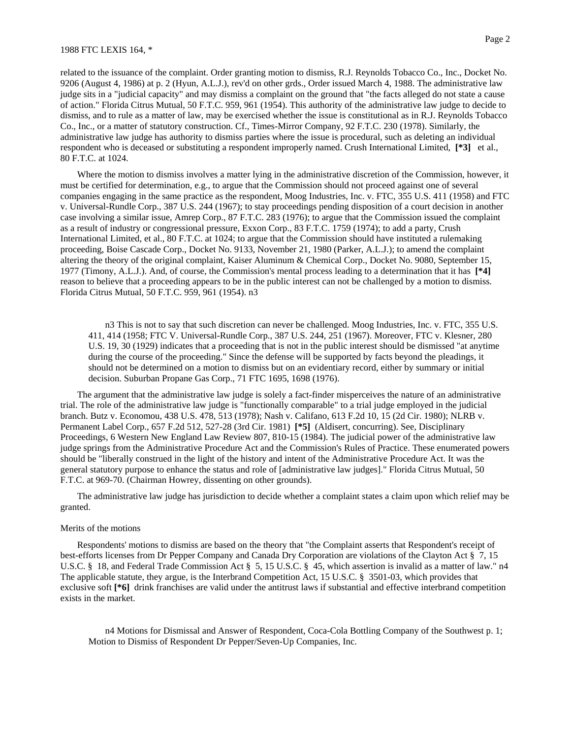#### 1988 FTC LEXIS 164, \*

related to the issuance of the complaint. Order granting motion to dismiss, R.J. Reynolds Tobacco Co., Inc., Docket No. 9206 (August 4, 1986) at p. 2 (Hyun, A.L.J.), rev'd on other grds., Order issued March 4, 1988. The administrative law judge sits in a "judicial capacity" and may dismiss a complaint on the ground that "the facts alleged do not state a cause of action." Florida Citrus Mutual, 50 F.T.C. 959, 961 (1954). This authority of the administrative law judge to decide to dismiss, and to rule as a matter of law, may be exercised whether the issue is constitutional as in R.J. Reynolds Tobacco Co., Inc., or a matter of statutory construction. Cf., Times-Mirror Company, 92 F.T.C. 230 (1978). Similarly, the administrative law judge has authority to dismiss parties where the issue is procedural, such as deleting an individual respondent who is deceased or substituting a respondent improperly named. Crush International Limited, **[\*3]** et al., 80 F.T.C. at 1024.

Where the motion to dismiss involves a matter lying in the administrative discretion of the Commission, however, it must be certified for determination, e.g., to argue that the Commission should not proceed against one of several companies engaging in the same practice as the respondent, Moog Industries, Inc. v. FTC, 355 U.S. 411 (1958) and FTC v. Universal-Rundle Corp., 387 U.S. 244 (1967); to stay proceedings pending disposition of a court decision in another case involving a similar issue, Amrep Corp., 87 F.T.C. 283 (1976); to argue that the Commission issued the complaint as a result of industry or congressional pressure, Exxon Corp., 83 F.T.C. 1759 (1974); to add a party, Crush International Limited, et al., 80 F.T.C. at 1024; to argue that the Commission should have instituted a rulemaking proceeding, Boise Cascade Corp., Docket No. 9133, November 21, 1980 (Parker, A.L.J.); to amend the complaint altering the theory of the original complaint, Kaiser Aluminum & Chemical Corp., Docket No. 9080, September 15, 1977 (Timony, A.L.J.). And, of course, the Commission's mental process leading to a determination that it has **[\*4]** reason to believe that a proceeding appears to be in the public interest can not be challenged by a motion to dismiss. Florida Citrus Mutual, 50 F.T.C. 959, 961 (1954). n3

n3 This is not to say that such discretion can never be challenged. Moog Industries, Inc. v. FTC, 355 U.S. 411, 414 (1958; FTC V. Universal-Rundle Corp., 387 U.S. 244, 251 (1967). Moreover, FTC v. Klesner, 280 U.S. 19, 30 (1929) indicates that a proceeding that is not in the public interest should be dismissed "at anytime during the course of the proceeding." Since the defense will be supported by facts beyond the pleadings, it should not be determined on a motion to dismiss but on an evidentiary record, either by summary or initial decision. Suburban Propane Gas Corp., 71 FTC 1695, 1698 (1976).

The argument that the administrative law judge is solely a fact-finder misperceives the nature of an administrative trial. The role of the administrative law judge is "functionally comparable" to a trial judge employed in the judicial branch. Butz v. Economou, 438 U.S. 478, 513 (1978); Nash v. Califano, 613 F.2d 10, 15 (2d Cir. 1980); NLRB v. Permanent Label Corp., 657 F.2d 512, 527-28 (3rd Cir. 1981) **[\*5]** (Aldisert, concurring). See, Disciplinary Proceedings, 6 Western New England Law Review 807, 810-15 (1984). The judicial power of the administrative law judge springs from the Administrative Procedure Act and the Commission's Rules of Practice. These enumerated powers should be "liberally construed in the light of the history and intent of the Administrative Procedure Act. It was the general statutory purpose to enhance the status and role of [administrative law judges]." Florida Citrus Mutual, 50 F.T.C. at 969-70. (Chairman Howrey, dissenting on other grounds).

The administrative law judge has jurisdiction to decide whether a complaint states a claim upon which relief may be granted.

#### Merits of the motions

Respondents' motions to dismiss are based on the theory that "the Complaint asserts that Respondent's receipt of best-efforts licenses from Dr Pepper Company and Canada Dry Corporation are violations of the Clayton Act § 7, 15 U.S.C. § 18, and Federal Trade Commission Act § 5, 15 U.S.C. § 45, which assertion is invalid as a matter of law." n4 The applicable statute, they argue, is the Interbrand Competition Act, 15 U.S.C. § 3501-03, which provides that exclusive soft  $\lceil *6 \rceil$  drink franchises are valid under the antitrust laws if substantial and effective interbrand competition exists in the market.

n4 Motions for Dismissal and Answer of Respondent, Coca-Cola Bottling Company of the Southwest p. 1; Motion to Dismiss of Respondent Dr Pepper/Seven-Up Companies, Inc.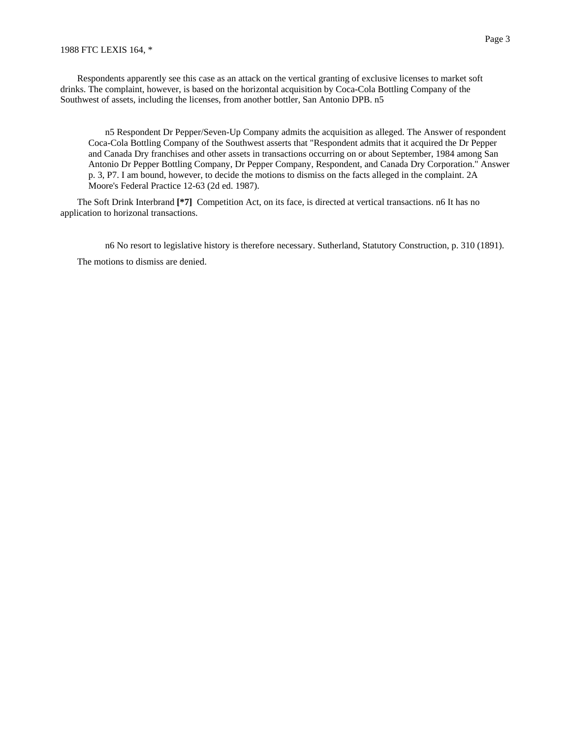Respondents apparently see this case as an attack on the vertical granting of exclusive licenses to market soft drinks. The complaint, however, is based on the horizontal acquisition by Coca-Cola Bottling Company of the Southwest of assets, including the licenses, from another bottler, San Antonio DPB. n5

n5 Respondent Dr Pepper/Seven-Up Company admits the acquisition as alleged. The Answer of respondent Coca-Cola Bottling Company of the Southwest asserts that "Respondent admits that it acquired the Dr Pepper and Canada Dry franchises and other assets in transactions occurring on or about September, 1984 among San Antonio Dr Pepper Bottling Company, Dr Pepper Company, Respondent, and Canada Dry Corporation." Answer p. 3, P7. I am bound, however, to decide the motions to dismiss on the facts alleged in the complaint. 2A Moore's Federal Practice 12-63 (2d ed. 1987).

The Soft Drink Interbrand **[\*7]** Competition Act, on its face, is directed at vertical transactions. n6 It has no application to horizonal transactions.

n6 No resort to legislative history is therefore necessary. Sutherland, Statutory Construction, p. 310 (1891). The motions to dismiss are denied.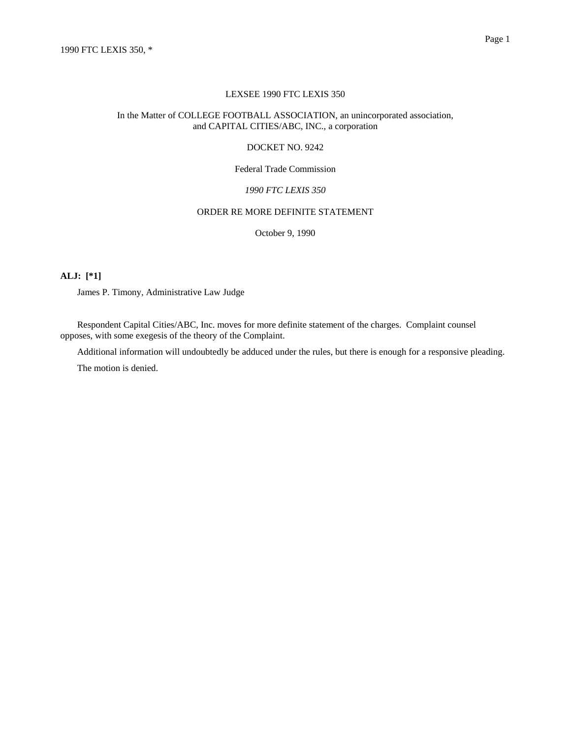#### LEXSEE 1990 FTC LEXIS 350

## In the Matter of COLLEGE FOOTBALL ASSOCIATION, an unincorporated association, and CAPITAL CITIES/ABC, INC., a corporation

### DOCKET NO. 9242

## Federal Trade Commission

# *1990 FTC LEXIS 350*

## ORDER RE MORE DEFINITE STATEMENT

October 9, 1990

## **ALJ: [\*1]**

James P. Timony, Administrative Law Judge

Respondent Capital Cities/ABC, Inc. moves for more definite statement of the charges. Complaint counsel opposes, with some exegesis of the theory of the Complaint.

Additional information will undoubtedly be adduced under the rules, but there is enough for a responsive pleading.

The motion is denied.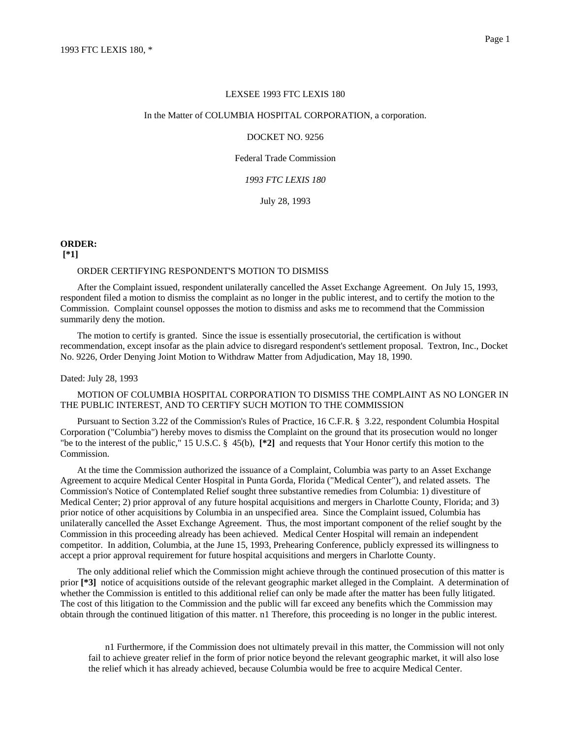#### In the Matter of COLUMBIA HOSPITAL CORPORATION, a corporation.

### DOCKET NO. 9256

Federal Trade Commission

#### *1993 FTC LEXIS 180*

July 28, 1993

#### **ORDER:**

**[\*1]**

### ORDER CERTIFYING RESPONDENT'S MOTION TO DISMISS

After the Complaint issued, respondent unilaterally cancelled the Asset Exchange Agreement. On July 15, 1993, respondent filed a motion to dismiss the complaint as no longer in the public interest, and to certify the motion to the Commission. Complaint counsel opposses the motion to dismiss and asks me to recommend that the Commission summarily deny the motion.

The motion to certify is granted. Since the issue is essentially prosecutorial, the certification is without recommendation, except insofar as the plain advice to disregard respondent's settlement proposal. Textron, Inc., Docket No. 9226, Order Denying Joint Motion to Withdraw Matter from Adjudication, May 18, 1990.

### Dated: July 28, 1993

## MOTION OF COLUMBIA HOSPITAL CORPORATION TO DISMISS THE COMPLAINT AS NO LONGER IN THE PUBLIC INTEREST, AND TO CERTIFY SUCH MOTION TO THE COMMISSION

Pursuant to Section 3.22 of the Commission's Rules of Practice, 16 C.F.R. § 3.22, respondent Columbia Hospital Corporation ("Columbia") hereby moves to dismiss the Complaint on the ground that its prosecution would no longer "be to the interest of the public," 15 U.S.C. § 45(b), **[\*2]** and requests that Your Honor certify this motion to the Commission.

At the time the Commission authorized the issuance of a Complaint, Columbia was party to an Asset Exchange Agreement to acquire Medical Center Hospital in Punta Gorda, Florida ("Medical Center"), and related assets. The Commission's Notice of Contemplated Relief sought three substantive remedies from Columbia: 1) divestiture of Medical Center; 2) prior approval of any future hospital acquisitions and mergers in Charlotte County, Florida; and 3) prior notice of other acquisitions by Columbia in an unspecified area. Since the Complaint issued, Columbia has unilaterally cancelled the Asset Exchange Agreement. Thus, the most important component of the relief sought by the Commission in this proceeding already has been achieved. Medical Center Hospital will remain an independent competitor. In addition, Columbia, at the June 15, 1993, Prehearing Conference, publicly expressed its willingness to accept a prior approval requirement for future hospital acquisitions and mergers in Charlotte County.

The only additional relief which the Commission might achieve through the continued prosecution of this matter is prior **[\*3]** notice of acquisitions outside of the relevant geographic market alleged in the Complaint. A determination of whether the Commission is entitled to this additional relief can only be made after the matter has been fully litigated. The cost of this litigation to the Commission and the public will far exceed any benefits which the Commission may obtain through the continued litigation of this matter. n1 Therefore, this proceeding is no longer in the public interest.

n1 Furthermore, if the Commission does not ultimately prevail in this matter, the Commission will not only fail to achieve greater relief in the form of prior notice beyond the relevant geographic market, it will also lose the relief which it has already achieved, because Columbia would be free to acquire Medical Center.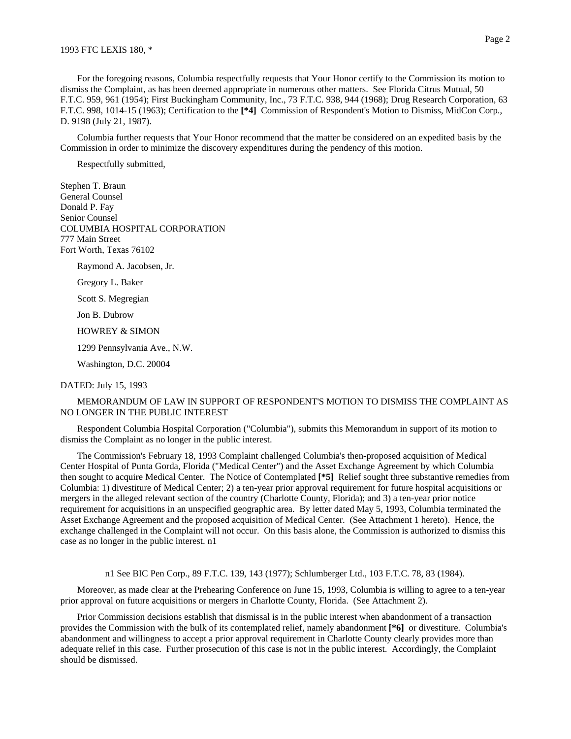For the foregoing reasons, Columbia respectfully requests that Your Honor certify to the Commission its motion to dismiss the Complaint, as has been deemed appropriate in numerous other matters. See Florida Citrus Mutual, 50 F.T.C. 959, 961 (1954); First Buckingham Community, Inc., 73 F.T.C. 938, 944 (1968); Drug Research Corporation, 63 F.T.C. 998, 1014-15 (1963); Certification to the **[\*4]** Commission of Respondent's Motion to Dismiss, MidCon Corp., D. 9198 (July 21, 1987).

Columbia further requests that Your Honor recommend that the matter be considered on an expedited basis by the Commission in order to minimize the discovery expenditures during the pendency of this motion.

Respectfully submitted,

Stephen T. Braun General Counsel Donald P. Fay Senior Counsel COLUMBIA HOSPITAL CORPORATION 777 Main Street Fort Worth, Texas 76102

Raymond A. Jacobsen, Jr.

Gregory L. Baker

Scott S. Megregian

Jon B. Dubrow

HOWREY & SIMON

1299 Pennsylvania Ave., N.W.

Washington, D.C. 20004

DATED: July 15, 1993

MEMORANDUM OF LAW IN SUPPORT OF RESPONDENT'S MOTION TO DISMISS THE COMPLAINT AS NO LONGER IN THE PUBLIC INTEREST

Respondent Columbia Hospital Corporation ("Columbia"), submits this Memorandum in support of its motion to dismiss the Complaint as no longer in the public interest.

The Commission's February 18, 1993 Complaint challenged Columbia's then-proposed acquisition of Medical Center Hospital of Punta Gorda, Florida ("Medical Center") and the Asset Exchange Agreement by which Columbia then sought to acquire Medical Center. The Notice of Contemplated **[\*5]** Relief sought three substantive remedies from Columbia: 1) divestiture of Medical Center; 2) a ten-year prior approval requirement for future hospital acquisitions or mergers in the alleged relevant section of the country (Charlotte County, Florida); and 3) a ten-year prior notice requirement for acquisitions in an unspecified geographic area. By letter dated May 5, 1993, Columbia terminated the Asset Exchange Agreement and the proposed acquisition of Medical Center. (See Attachment 1 hereto). Hence, the exchange challenged in the Complaint will not occur. On this basis alone, the Commission is authorized to dismiss this case as no longer in the public interest. n1

n1 See BIC Pen Corp., 89 F.T.C. 139, 143 (1977); Schlumberger Ltd., 103 F.T.C. 78, 83 (1984).

Moreover, as made clear at the Prehearing Conference on June 15, 1993, Columbia is willing to agree to a ten-year prior approval on future acquisitions or mergers in Charlotte County, Florida. (See Attachment 2).

Prior Commission decisions establish that dismissal is in the public interest when abandonment of a transaction provides the Commission with the bulk of its contemplated relief, namely abandonment **[\*6]** or divestiture. Columbia's abandonment and willingness to accept a prior approval requirement in Charlotte County clearly provides more than adequate relief in this case. Further prosecution of this case is not in the public interest. Accordingly, the Complaint should be dismissed.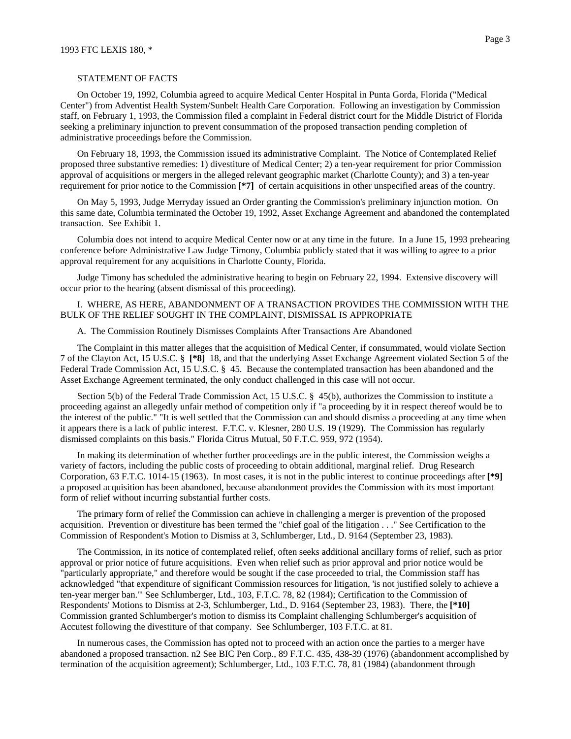#### STATEMENT OF FACTS

On October 19, 1992, Columbia agreed to acquire Medical Center Hospital in Punta Gorda, Florida ("Medical Center") from Adventist Health System/Sunbelt Health Care Corporation. Following an investigation by Commission staff, on February 1, 1993, the Commission filed a complaint in Federal district court for the Middle District of Florida seeking a preliminary injunction to prevent consummation of the proposed transaction pending completion of administrative proceedings before the Commission.

On February 18, 1993, the Commission issued its administrative Complaint. The Notice of Contemplated Relief proposed three substantive remedies: 1) divestiture of Medical Center; 2) a ten-year requirement for prior Commission approval of acquisitions or mergers in the alleged relevant geographic market (Charlotte County); and 3) a ten-year requirement for prior notice to the Commission **[\*7]** of certain acquisitions in other unspecified areas of the country.

On May 5, 1993, Judge Merryday issued an Order granting the Commission's preliminary injunction motion. On this same date, Columbia terminated the October 19, 1992, Asset Exchange Agreement and abandoned the contemplated transaction. See Exhibit 1.

Columbia does not intend to acquire Medical Center now or at any time in the future. In a June 15, 1993 prehearing conference before Administrative Law Judge Timony, Columbia publicly stated that it was willing to agree to a prior approval requirement for any acquisitions in Charlotte County, Florida.

Judge Timony has scheduled the administrative hearing to begin on February 22, 1994. Extensive discovery will occur prior to the hearing (absent dismissal of this proceeding).

## I. WHERE, AS HERE, ABANDONMENT OF A TRANSACTION PROVIDES THE COMMISSION WITH THE BULK OF THE RELIEF SOUGHT IN THE COMPLAINT, DISMISSAL IS APPROPRIATE

#### A. The Commission Routinely Dismisses Complaints After Transactions Are Abandoned

The Complaint in this matter alleges that the acquisition of Medical Center, if consummated, would violate Section 7 of the Clayton Act, 15 U.S.C. § **[\*8]** 18, and that the underlying Asset Exchange Agreement violated Section 5 of the Federal Trade Commission Act, 15 U.S.C. § 45. Because the contemplated transaction has been abandoned and the Asset Exchange Agreement terminated, the only conduct challenged in this case will not occur.

Section 5(b) of the Federal Trade Commission Act, 15 U.S.C. § 45(b), authorizes the Commission to institute a proceeding against an allegedly unfair method of competition only if "a proceeding by it in respect thereof would be to the interest of the public." "It is well settled that the Commission can and should dismiss a proceeding at any time when it appears there is a lack of public interest. F.T.C. v. Klesner, 280 U.S. 19 (1929). The Commission has regularly dismissed complaints on this basis." Florida Citrus Mutual, 50 F.T.C. 959, 972 (1954).

In making its determination of whether further proceedings are in the public interest, the Commission weighs a variety of factors, including the public costs of proceeding to obtain additional, marginal relief. Drug Research Corporation, 63 F.T.C. 1014-15 (1963). In most cases, it is not in the public interest to continue proceedings after **[\*9]** a proposed acquisition has been abandoned, because abandonment provides the Commission with its most important form of relief without incurring substantial further costs.

The primary form of relief the Commission can achieve in challenging a merger is prevention of the proposed acquisition. Prevention or divestiture has been termed the "chief goal of the litigation . . ." See Certification to the Commission of Respondent's Motion to Dismiss at 3, Schlumberger, Ltd., D. 9164 (September 23, 1983).

The Commission, in its notice of contemplated relief, often seeks additional ancillary forms of relief, such as prior approval or prior notice of future acquisitions. Even when relief such as prior approval and prior notice would be "particularly appropriate," and therefore would be sought if the case proceeded to trial, the Commission staff has acknowledged "that expenditure of significant Commission resources for litigation, 'is not justified solely to achieve a ten-year merger ban.'" See Schlumberger, Ltd., 103, F.T.C. 78, 82 (1984); Certification to the Commission of Respondents' Motions to Dismiss at 2-3, Schlumberger, Ltd., D. 9164 (September 23, 1983). There, the **[\*10]** Commission granted Schlumberger's motion to dismiss its Complaint challenging Schlumberger's acquisition of Accutest following the divestiture of that company. See Schlumberger, 103 F.T.C. at 81.

In numerous cases, the Commission has opted not to proceed with an action once the parties to a merger have abandoned a proposed transaction. n2 See BIC Pen Corp., 89 F.T.C. 435, 438-39 (1976) (abandonment accomplished by termination of the acquisition agreement); Schlumberger, Ltd., 103 F.T.C. 78, 81 (1984) (abandonment through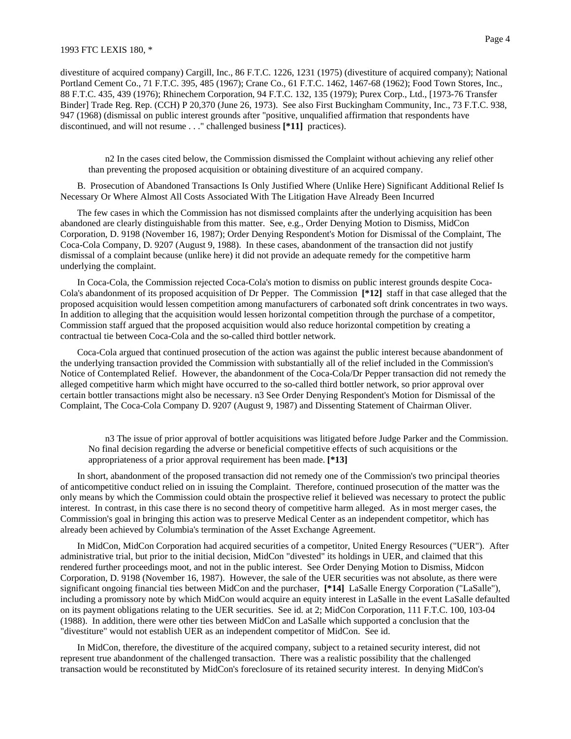#### 1993 FTC LEXIS 180, \*

divestiture of acquired company) Cargill, Inc., 86 F.T.C. 1226, 1231 (1975) (divestiture of acquired company); National Portland Cement Co., 71 F.T.C. 395, 485 (1967); Crane Co., 61 F.T.C. 1462, 1467-68 (1962); Food Town Stores, Inc., 88 F.T.C. 435, 439 (1976); Rhinechem Corporation, 94 F.T.C. 132, 135 (1979); Purex Corp., Ltd., [1973-76 Transfer Binder] Trade Reg. Rep. (CCH) P 20,370 (June 26, 1973). See also First Buckingham Community, Inc., 73 F.T.C. 938, 947 (1968) (dismissal on public interest grounds after "positive, unqualified affirmation that respondents have discontinued, and will not resume . . ." challenged business **[\*11]** practices).

n2 In the cases cited below, the Commission dismissed the Complaint without achieving any relief other than preventing the proposed acquisition or obtaining divestiture of an acquired company.

B. Prosecution of Abandoned Transactions Is Only Justified Where (Unlike Here) Significant Additional Relief Is Necessary Or Where Almost All Costs Associated With The Litigation Have Already Been Incurred

The few cases in which the Commission has not dismissed complaints after the underlying acquisition has been abandoned are clearly distinguishable from this matter. See, e.g., Order Denying Motion to Dismiss, MidCon Corporation, D. 9198 (November 16, 1987); Order Denying Respondent's Motion for Dismissal of the Complaint, The Coca-Cola Company, D. 9207 (August 9, 1988). In these cases, abandonment of the transaction did not justify dismissal of a complaint because (unlike here) it did not provide an adequate remedy for the competitive harm underlying the complaint.

In Coca-Cola, the Commission rejected Coca-Cola's motion to dismiss on public interest grounds despite Coca-Cola's abandonment of its proposed acquisition of Dr Pepper. The Commission **[\*12]** staff in that case alleged that the proposed acquisition would lessen competition among manufacturers of carbonated soft drink concentrates in two ways. In addition to alleging that the acquisition would lessen horizontal competition through the purchase of a competitor, Commission staff argued that the proposed acquisition would also reduce horizontal competition by creating a contractual tie between Coca-Cola and the so-called third bottler network.

Coca-Cola argued that continued prosecution of the action was against the public interest because abandonment of the underlying transaction provided the Commission with substantially all of the relief included in the Commission's Notice of Contemplated Relief. However, the abandonment of the Coca-Cola/Dr Pepper transaction did not remedy the alleged competitive harm which might have occurred to the so-called third bottler network, so prior approval over certain bottler transactions might also be necessary. n3 See Order Denying Respondent's Motion for Dismissal of the Complaint, The Coca-Cola Company D. 9207 (August 9, 1987) and Dissenting Statement of Chairman Oliver.

n3 The issue of prior approval of bottler acquisitions was litigated before Judge Parker and the Commission. No final decision regarding the adverse or beneficial competitive effects of such acquisitions or the appropriateness of a prior approval requirement has been made. **[\*13]**

In short, abandonment of the proposed transaction did not remedy one of the Commission's two principal theories of anticompetitive conduct relied on in issuing the Complaint. Therefore, continued prosecution of the matter was the only means by which the Commission could obtain the prospective relief it believed was necessary to protect the public interest. In contrast, in this case there is no second theory of competitive harm alleged. As in most merger cases, the Commission's goal in bringing this action was to preserve Medical Center as an independent competitor, which has already been achieved by Columbia's termination of the Asset Exchange Agreement.

In MidCon, MidCon Corporation had acquired securities of a competitor, United Energy Resources ("UER"). After administrative trial, but prior to the initial decision, MidCon "divested" its holdings in UER, and claimed that this rendered further proceedings moot, and not in the public interest. See Order Denying Motion to Dismiss, Midcon Corporation, D. 9198 (November 16, 1987). However, the sale of the UER securities was not absolute, as there were significant ongoing financial ties between MidCon and the purchaser, **[\*14]** LaSalle Energy Corporation ("LaSalle"), including a promissory note by which MidCon would acquire an equity interest in LaSalle in the event LaSalle defaulted on its payment obligations relating to the UER securities. See id. at 2; MidCon Corporation, 111 F.T.C. 100, 103-04 (1988). In addition, there were other ties between MidCon and LaSalle which supported a conclusion that the "divestiture" would not establish UER as an independent competitor of MidCon. See id.

In MidCon, therefore, the divestiture of the acquired company, subject to a retained security interest, did not represent true abandonment of the challenged transaction. There was a realistic possibility that the challenged transaction would be reconstituted by MidCon's foreclosure of its retained security interest. In denying MidCon's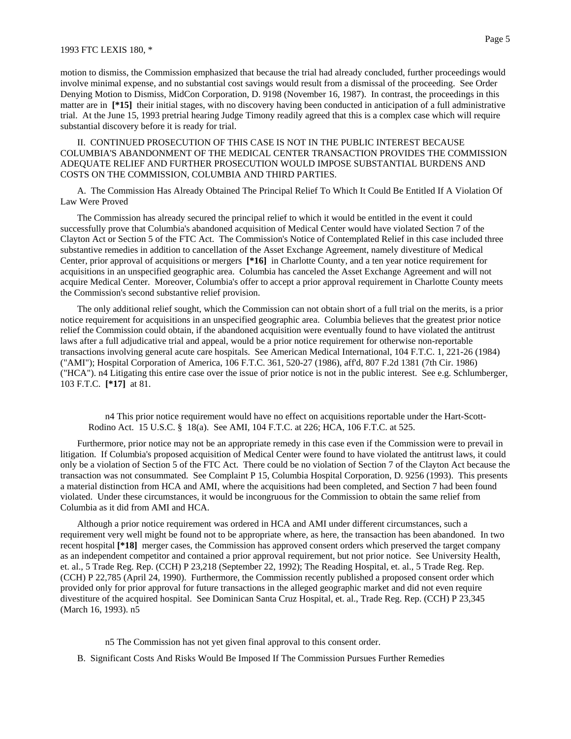motion to dismiss, the Commission emphasized that because the trial had already concluded, further proceedings would involve minimal expense, and no substantial cost savings would result from a dismissal of the proceeding. See Order Denying Motion to Dismiss, MidCon Corporation, D. 9198 (November 16, 1987). In contrast, the proceedings in this matter are in **[\*15]** their initial stages, with no discovery having been conducted in anticipation of a full administrative trial. At the June 15, 1993 pretrial hearing Judge Timony readily agreed that this is a complex case which will require substantial discovery before it is ready for trial.

## II. CONTINUED PROSECUTION OF THIS CASE IS NOT IN THE PUBLIC INTEREST BECAUSE COLUMBIA'S ABANDONMENT OF THE MEDICAL CENTER TRANSACTION PROVIDES THE COMMISSION ADEQUATE RELIEF AND FURTHER PROSECUTION WOULD IMPOSE SUBSTANTIAL BURDENS AND COSTS ON THE COMMISSION, COLUMBIA AND THIRD PARTIES.

A. The Commission Has Already Obtained The Principal Relief To Which It Could Be Entitled If A Violation Of Law Were Proved

The Commission has already secured the principal relief to which it would be entitled in the event it could successfully prove that Columbia's abandoned acquisition of Medical Center would have violated Section 7 of the Clayton Act or Section 5 of the FTC Act. The Commission's Notice of Contemplated Relief in this case included three substantive remedies in addition to cancellation of the Asset Exchange Agreement, namely divestiture of Medical Center, prior approval of acquisitions or mergers **[\*16]** in Charlotte County, and a ten year notice requirement for acquisitions in an unspecified geographic area. Columbia has canceled the Asset Exchange Agreement and will not acquire Medical Center. Moreover, Columbia's offer to accept a prior approval requirement in Charlotte County meets the Commission's second substantive relief provision.

The only additional relief sought, which the Commission can not obtain short of a full trial on the merits, is a prior notice requirement for acquisitions in an unspecified geographic area. Columbia believes that the greatest prior notice relief the Commission could obtain, if the abandoned acquisition were eventually found to have violated the antitrust laws after a full adjudicative trial and appeal, would be a prior notice requirement for otherwise non-reportable transactions involving general acute care hospitals. See American Medical International, 104 F.T.C. 1, 221-26 (1984) ("AMI"); Hospital Corporation of America, 106 F.T.C. 361, 520-27 (1986), aff'd, 807 F.2d 1381 (7th Cir. 1986) ("HCA"). n4 Litigating this entire case over the issue of prior notice is not in the public interest. See e.g. Schlumberger, 103 F.T.C. **[\*17]** at 81.

n4 This prior notice requirement would have no effect on acquisitions reportable under the Hart-Scott-Rodino Act. 15 U.S.C. § 18(a). See AMI, 104 F.T.C. at 226; HCA, 106 F.T.C. at 525.

Furthermore, prior notice may not be an appropriate remedy in this case even if the Commission were to prevail in litigation. If Columbia's proposed acquisition of Medical Center were found to have violated the antitrust laws, it could only be a violation of Section 5 of the FTC Act. There could be no violation of Section 7 of the Clayton Act because the transaction was not consummated. See Complaint P 15, Columbia Hospital Corporation, D. 9256 (1993). This presents a material distinction from HCA and AMI, where the acquisitions had been completed, and Section 7 had been found violated. Under these circumstances, it would be incongruous for the Commission to obtain the same relief from Columbia as it did from AMI and HCA.

Although a prior notice requirement was ordered in HCA and AMI under different circumstances, such a requirement very well might be found not to be appropriate where, as here, the transaction has been abandoned. In two recent hospital **[\*18]** merger cases, the Commission has approved consent orders which preserved the target company as an independent competitor and contained a prior approval requirement, but not prior notice. See University Health, et. al., 5 Trade Reg. Rep. (CCH) P 23,218 (September 22, 1992); The Reading Hospital, et. al., 5 Trade Reg. Rep. (CCH) P 22,785 (April 24, 1990). Furthermore, the Commission recently published a proposed consent order which provided only for prior approval for future transactions in the alleged geographic market and did not even require divestiture of the acquired hospital. See Dominican Santa Cruz Hospital, et. al., Trade Reg. Rep. (CCH) P 23,345 (March 16, 1993). n5

- n5 The Commission has not yet given final approval to this consent order.
- B. Significant Costs And Risks Would Be Imposed If The Commission Pursues Further Remedies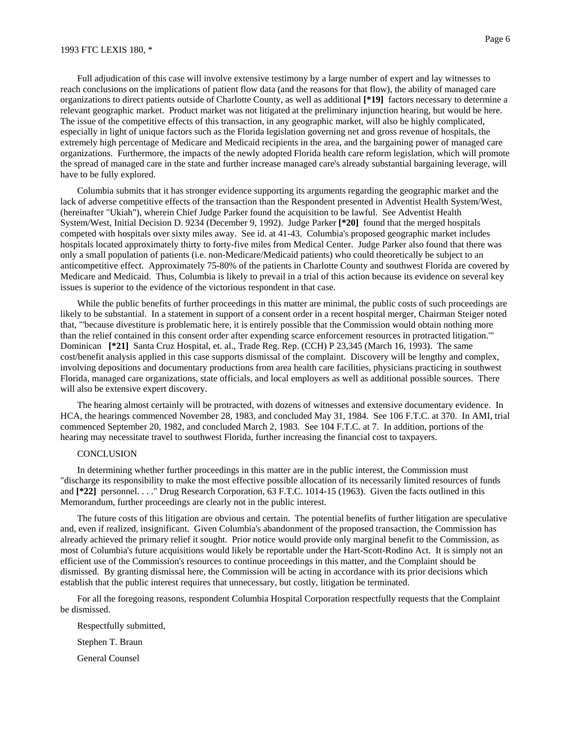#### 1993 FTC LEXIS 180, \*

Full adjudication of this case will involve extensive testimony by a large number of expert and lay witnesses to reach conclusions on the implications of patient flow data (and the reasons for that flow), the ability of managed care organizations to direct patients outside of Charlotte County, as well as additional **[\*19]** factors necessary to determine a relevant geographic market. Product market was not litigated at the preliminary injunction hearing, but would be here. The issue of the competitive effects of this transaction, in any geographic market, will also be highly complicated, especially in light of unique factors such as the Florida legislation governing net and gross revenue of hospitals, the extremely high percentage of Medicare and Medicaid recipients in the area, and the bargaining power of managed care organizations. Furthermore, the impacts of the newly adopted Florida health care reform legislation, which will promote the spread of managed care in the state and further increase managed care's already substantial bargaining leverage, will have to be fully explored.

Columbia submits that it has stronger evidence supporting its arguments regarding the geographic market and the lack of adverse competitive effects of the transaction than the Respondent presented in Adventist Health System/West, (hereinafter "Ukiah"), wherein Chief Judge Parker found the acquisition to be lawful. See Adventist Health System/West, Initial Decision D. 9234 (December 9, 1992). Judge Parker **[\*20]** found that the merged hospitals competed with hospitals over sixty miles away. See id. at 41-43. Columbia's proposed geographic market includes hospitals located approximately thirty to forty-five miles from Medical Center. Judge Parker also found that there was only a small population of patients (i.e. non-Medicare/Medicaid patients) who could theoretically be subject to an anticompetitive effect. Approximately 75-80% of the patients in Charlotte County and southwest Florida are covered by Medicare and Medicaid. Thus, Columbia is likely to prevail in a trial of this action because its evidence on several key issues is superior to the evidence of the victorious respondent in that case.

While the public benefits of further proceedings in this matter are minimal, the public costs of such proceedings are likely to be substantial. In a statement in support of a consent order in a recent hospital merger, Chairman Steiger noted that, "'because divestiture is problematic here, it is entirely possible that the Commission would obtain nothing more than the relief contained in this consent order after expending scarce enforcement resources in protracted litigation.'" Dominican **[\*21]** Santa Cruz Hospital, et. al., Trade Reg. Rep. (CCH) P 23,345 (March 16, 1993). The same cost/benefit analysis applied in this case supports dismissal of the complaint. Discovery will be lengthy and complex, involving depositions and documentary productions from area health care facilities, physicians practicing in southwest Florida, managed care organizations, state officials, and local employers as well as additional possible sources. There will also be extensive expert discovery.

The hearing almost certainly will be protracted, with dozens of witnesses and extensive documentary evidence. In HCA, the hearings commenced November 28, 1983, and concluded May 31, 1984. See 106 F.T.C. at 370. In AMI, trial commenced September 20, 1982, and concluded March 2, 1983. See 104 F.T.C. at 7. In addition, portions of the hearing may necessitate travel to southwest Florida, further increasing the financial cost to taxpayers.

### **CONCLUSION**

In determining whether further proceedings in this matter are in the public interest, the Commission must "discharge its responsibility to make the most effective possible allocation of its necessarily limited resources of funds and **[\*22]** personnel. . . ." Drug Research Corporation, 63 F.T.C. 1014-15 (1963). Given the facts outlined in this Memorandum, further proceedings are clearly not in the public interest.

The future costs of this litigation are obvious and certain. The potential benefits of further litigation are speculative and, even if realized, insignificant. Given Columbia's abandonment of the proposed transaction, the Commission has already achieved the primary relief it sought. Prior notice would provide only marginal benefit to the Commission, as most of Columbia's future acquisitions would likely be reportable under the Hart-Scott-Rodino Act. It is simply not an efficient use of the Commission's resources to continue proceedings in this matter, and the Complaint should be dismissed. By granting dismissal here, the Commission will be acting in accordance with its prior decisions which establish that the public interest requires that unnecessary, but costly, litigation be terminated.

For all the foregoing reasons, respondent Columbia Hospital Corporation respectfully requests that the Complaint be dismissed.

Respectfully submitted, Stephen T. Braun

General Counsel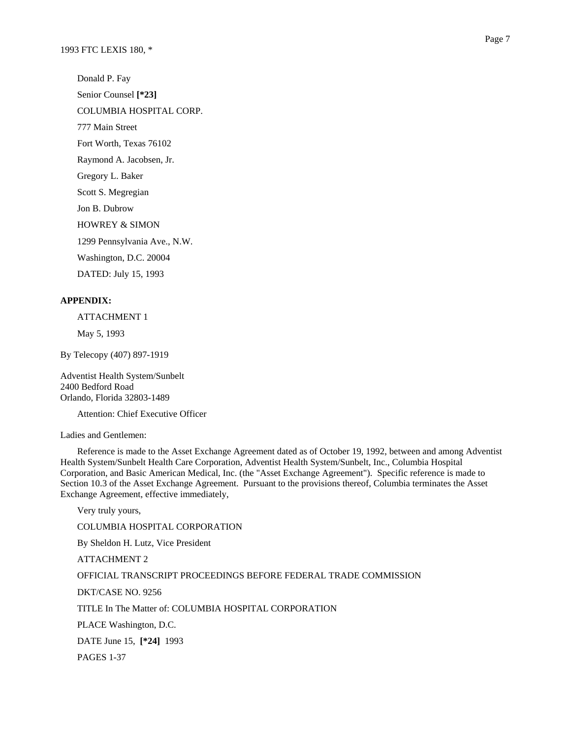Donald P. Fay Senior Counsel **[\*23]** COLUMBIA HOSPITAL CORP. 777 Main Street Fort Worth, Texas 76102 Raymond A. Jacobsen, Jr. Gregory L. Baker Scott S. Megregian Jon B. Dubrow HOWREY & SIMON 1299 Pennsylvania Ave., N.W. Washington, D.C. 20004 DATED: July 15, 1993

## **APPENDIX:**

ATTACHMENT 1

May 5, 1993

By Telecopy (407) 897-1919

Adventist Health System/Sunbelt 2400 Bedford Road Orlando, Florida 32803-1489

Attention: Chief Executive Officer

Ladies and Gentlemen:

Reference is made to the Asset Exchange Agreement dated as of October 19, 1992, between and among Adventist Health System/Sunbelt Health Care Corporation, Adventist Health System/Sunbelt, Inc., Columbia Hospital Corporation, and Basic American Medical, Inc. (the "Asset Exchange Agreement"). Specific reference is made to Section 10.3 of the Asset Exchange Agreement. Pursuant to the provisions thereof, Columbia terminates the Asset Exchange Agreement, effective immediately,

Very truly yours, COLUMBIA HOSPITAL CORPORATION By Sheldon H. Lutz, Vice President ATTACHMENT 2 OFFICIAL TRANSCRIPT PROCEEDINGS BEFORE FEDERAL TRADE COMMISSION DKT/CASE NO. 9256 TITLE In The Matter of: COLUMBIA HOSPITAL CORPORATION PLACE Washington, D.C. DATE June 15, **[\*24]** 1993 PAGES 1-37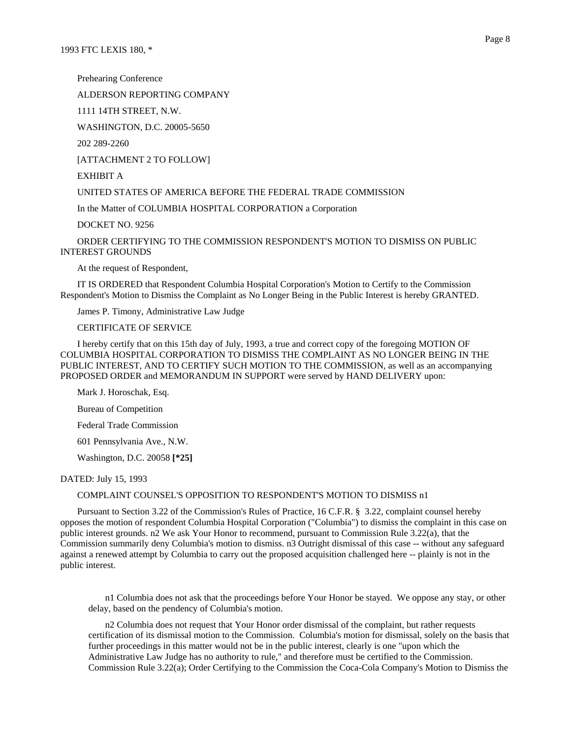Prehearing Conference

ALDERSON REPORTING COMPANY

1111 14TH STREET, N.W.

WASHINGTON, D.C. 20005-5650

202 289-2260

[ATTACHMENT 2 TO FOLLOW]

EXHIBIT A

UNITED STATES OF AMERICA BEFORE THE FEDERAL TRADE COMMISSION

In the Matter of COLUMBIA HOSPITAL CORPORATION a Corporation

DOCKET NO. 9256

ORDER CERTIFYING TO THE COMMISSION RESPONDENT'S MOTION TO DISMISS ON PUBLIC INTEREST GROUNDS

At the request of Respondent,

IT IS ORDERED that Respondent Columbia Hospital Corporation's Motion to Certify to the Commission Respondent's Motion to Dismiss the Complaint as No Longer Being in the Public Interest is hereby GRANTED.

James P. Timony, Administrative Law Judge

CERTIFICATE OF SERVICE

I hereby certify that on this 15th day of July, 1993, a true and correct copy of the foregoing MOTION OF COLUMBIA HOSPITAL CORPORATION TO DISMISS THE COMPLAINT AS NO LONGER BEING IN THE PUBLIC INTEREST, AND TO CERTIFY SUCH MOTION TO THE COMMISSION, as well as an accompanying PROPOSED ORDER and MEMORANDUM IN SUPPORT were served by HAND DELIVERY upon:

Mark J. Horoschak, Esq.

Bureau of Competition

Federal Trade Commission

601 Pennsylvania Ave., N.W.

Washington, D.C. 20058 **[\*25]**

DATED: July 15, 1993

### COMPLAINT COUNSEL'S OPPOSITION TO RESPONDENT'S MOTION TO DISMISS n1

Pursuant to Section 3.22 of the Commission's Rules of Practice, 16 C.F.R. § 3.22, complaint counsel hereby opposes the motion of respondent Columbia Hospital Corporation ("Columbia") to dismiss the complaint in this case on public interest grounds. n2 We ask Your Honor to recommend, pursuant to Commission Rule 3.22(a), that the Commission summarily deny Columbia's motion to dismiss. n3 Outright dismissal of this case -- without any safeguard against a renewed attempt by Columbia to carry out the proposed acquisition challenged here -- plainly is not in the public interest.

n1 Columbia does not ask that the proceedings before Your Honor be stayed. We oppose any stay, or other delay, based on the pendency of Columbia's motion.

n2 Columbia does not request that Your Honor order dismissal of the complaint, but rather requests certification of its dismissal motion to the Commission. Columbia's motion for dismissal, solely on the basis that further proceedings in this matter would not be in the public interest, clearly is one "upon which the Administrative Law Judge has no authority to rule," and therefore must be certified to the Commission. Commission Rule 3.22(a); Order Certifying to the Commission the Coca-Cola Company's Motion to Dismiss the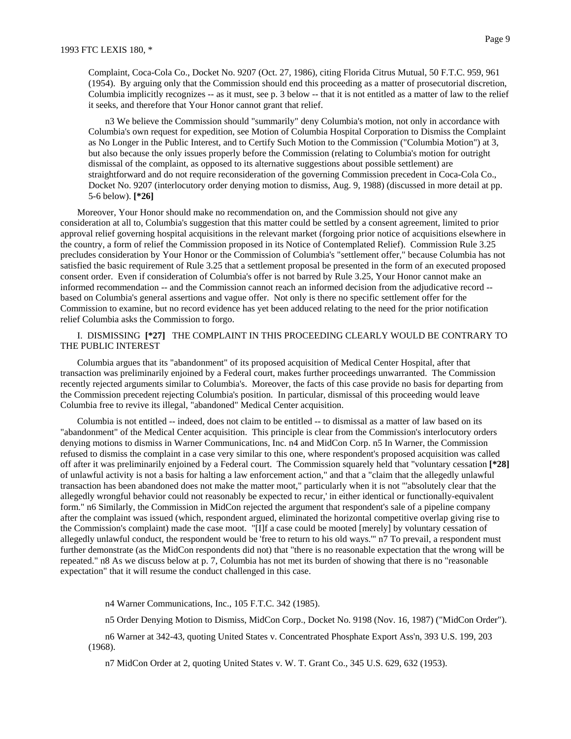Complaint, Coca-Cola Co., Docket No. 9207 (Oct. 27, 1986), citing Florida Citrus Mutual, 50 F.T.C. 959, 961 (1954). By arguing only that the Commission should end this proceeding as a matter of prosecutorial discretion, Columbia implicitly recognizes -- as it must, see p. 3 below -- that it is not entitled as a matter of law to the relief it seeks, and therefore that Your Honor cannot grant that relief.

n3 We believe the Commission should "summarily" deny Columbia's motion, not only in accordance with Columbia's own request for expedition, see Motion of Columbia Hospital Corporation to Dismiss the Complaint as No Longer in the Public Interest, and to Certify Such Motion to the Commission ("Columbia Motion") at 3, but also because the only issues properly before the Commission (relating to Columbia's motion for outright dismissal of the complaint, as opposed to its alternative suggestions about possible settlement) are straightforward and do not require reconsideration of the governing Commission precedent in Coca-Cola Co., Docket No. 9207 (interlocutory order denying motion to dismiss, Aug. 9, 1988) (discussed in more detail at pp. 5-6 below). **[\*26]**

Moreover, Your Honor should make no recommendation on, and the Commission should not give any consideration at all to, Columbia's suggestion that this matter could be settled by a consent agreement, limited to prior approval relief governing hospital acquisitions in the relevant market (forgoing prior notice of acquisitions elsewhere in the country, a form of relief the Commission proposed in its Notice of Contemplated Relief). Commission Rule 3.25 precludes consideration by Your Honor or the Commission of Columbia's "settlement offer," because Columbia has not satisfied the basic requirement of Rule 3.25 that a settlement proposal be presented in the form of an executed proposed consent order. Even if consideration of Columbia's offer is not barred by Rule 3.25, Your Honor cannot make an informed recommendation -- and the Commission cannot reach an informed decision from the adjudicative record - based on Columbia's general assertions and vague offer. Not only is there no specific settlement offer for the Commission to examine, but no record evidence has yet been adduced relating to the need for the prior notification relief Columbia asks the Commission to forgo.

## I. DISMISSING **[\*27]** THE COMPLAINT IN THIS PROCEEDING CLEARLY WOULD BE CONTRARY TO THE PUBLIC INTEREST

Columbia argues that its "abandonment" of its proposed acquisition of Medical Center Hospital, after that transaction was preliminarily enjoined by a Federal court, makes further proceedings unwarranted. The Commission recently rejected arguments similar to Columbia's. Moreover, the facts of this case provide no basis for departing from the Commission precedent rejecting Columbia's position. In particular, dismissal of this proceeding would leave Columbia free to revive its illegal, "abandoned" Medical Center acquisition.

Columbia is not entitled -- indeed, does not claim to be entitled -- to dismissal as a matter of law based on its "abandonment" of the Medical Center acquisition. This principle is clear from the Commission's interlocutory orders denying motions to dismiss in Warner Communications, Inc. n4 and MidCon Corp. n5 In Warner, the Commission refused to dismiss the complaint in a case very similar to this one, where respondent's proposed acquisition was called off after it was preliminarily enjoined by a Federal court. The Commission squarely held that "voluntary cessation **[\*28]** of unlawful activity is not a basis for halting a law enforcement action," and that a "claim that the allegedly unlawful transaction has been abandoned does not make the matter moot," particularly when it is not "'absolutely clear that the allegedly wrongful behavior could not reasonably be expected to recur,' in either identical or functionally-equivalent form." n6 Similarly, the Commission in MidCon rejected the argument that respondent's sale of a pipeline company after the complaint was issued (which, respondent argued, eliminated the horizontal competitive overlap giving rise to the Commission's complaint) made the case moot. "[I]f a case could be mooted [merely] by voluntary cessation of allegedly unlawful conduct, the respondent would be 'free to return to his old ways.'" n7 To prevail, a respondent must further demonstrate (as the MidCon respondents did not) that "there is no reasonable expectation that the wrong will be repeated." n8 As we discuss below at p. 7, Columbia has not met its burden of showing that there is no "reasonable expectation" that it will resume the conduct challenged in this case.

n4 Warner Communications, Inc., 105 F.T.C. 342 (1985).

n5 Order Denying Motion to Dismiss, MidCon Corp., Docket No. 9198 (Nov. 16, 1987) ("MidCon Order").

n6 Warner at 342-43, quoting United States v. Concentrated Phosphate Export Ass'n, 393 U.S. 199, 203 (1968).

n7 MidCon Order at 2, quoting United States v. W. T. Grant Co., 345 U.S. 629, 632 (1953).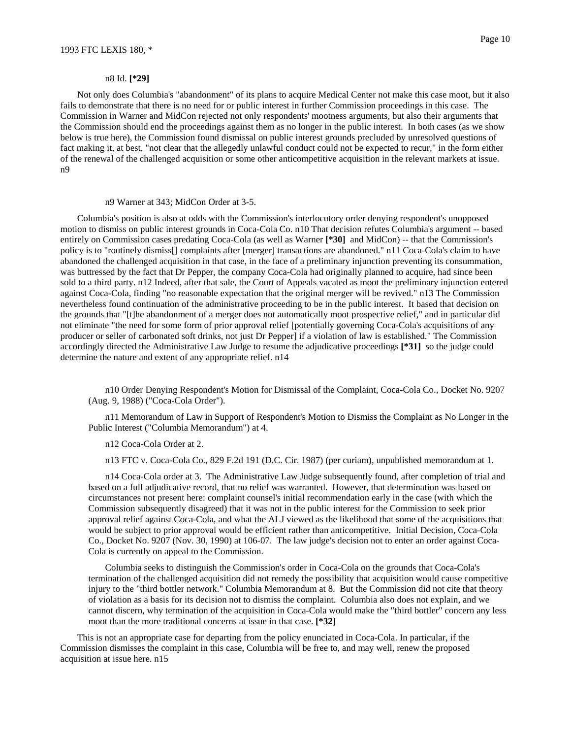#### n8 Id. **[\*29]**

Not only does Columbia's "abandonment" of its plans to acquire Medical Center not make this case moot, but it also fails to demonstrate that there is no need for or public interest in further Commission proceedings in this case. The Commission in Warner and MidCon rejected not only respondents' mootness arguments, but also their arguments that the Commission should end the proceedings against them as no longer in the public interest. In both cases (as we show below is true here), the Commission found dismissal on public interest grounds precluded by unresolved questions of fact making it, at best, "not clear that the allegedly unlawful conduct could not be expected to recur," in the form either of the renewal of the challenged acquisition or some other anticompetitive acquisition in the relevant markets at issue. n9

#### n9 Warner at 343; MidCon Order at 3-5.

Columbia's position is also at odds with the Commission's interlocutory order denying respondent's unopposed motion to dismiss on public interest grounds in Coca-Cola Co. n10 That decision refutes Columbia's argument -- based entirely on Commission cases predating Coca-Cola (as well as Warner **[\*30]** and MidCon) -- that the Commission's policy is to "routinely dismiss[] complaints after [merger] transactions are abandoned." n11 Coca-Cola's claim to have abandoned the challenged acquisition in that case, in the face of a preliminary injunction preventing its consummation, was buttressed by the fact that Dr Pepper, the company Coca-Cola had originally planned to acquire, had since been sold to a third party. n12 Indeed, after that sale, the Court of Appeals vacated as moot the preliminary injunction entered against Coca-Cola, finding "no reasonable expectation that the original merger will be revived." n13 The Commission nevertheless found continuation of the administrative proceeding to be in the public interest. It based that decision on the grounds that "[t]he abandonment of a merger does not automatically moot prospective relief," and in particular did not eliminate "the need for some form of prior approval relief [potentially governing Coca-Cola's acquisitions of any producer or seller of carbonated soft drinks, not just Dr Pepper] if a violation of law is established." The Commission accordingly directed the Administrative Law Judge to resume the adjudicative proceedings **[\*31]** so the judge could determine the nature and extent of any appropriate relief. n14

n10 Order Denying Respondent's Motion for Dismissal of the Complaint, Coca-Cola Co., Docket No. 9207 (Aug. 9, 1988) ("Coca-Cola Order").

n11 Memorandum of Law in Support of Respondent's Motion to Dismiss the Complaint as No Longer in the Public Interest ("Columbia Memorandum") at 4.

n12 Coca-Cola Order at 2.

n13 FTC v. Coca-Cola Co., 829 F.2d 191 (D.C. Cir. 1987) (per curiam), unpublished memorandum at 1.

n14 Coca-Cola order at 3. The Administrative Law Judge subsequently found, after completion of trial and based on a full adjudicative record, that no relief was warranted. However, that determination was based on circumstances not present here: complaint counsel's initial recommendation early in the case (with which the Commission subsequently disagreed) that it was not in the public interest for the Commission to seek prior approval relief against Coca-Cola, and what the ALJ viewed as the likelihood that some of the acquisitions that would be subject to prior approval would be efficient rather than anticompetitive. Initial Decision, Coca-Cola Co., Docket No. 9207 (Nov. 30, 1990) at 106-07. The law judge's decision not to enter an order against Coca-Cola is currently on appeal to the Commission.

Columbia seeks to distinguish the Commission's order in Coca-Cola on the grounds that Coca-Cola's termination of the challenged acquisition did not remedy the possibility that acquisition would cause competitive injury to the "third bottler network." Columbia Memorandum at 8. But the Commission did not cite that theory of violation as a basis for its decision not to dismiss the complaint. Columbia also does not explain, and we cannot discern, why termination of the acquisition in Coca-Cola would make the "third bottler" concern any less moot than the more traditional concerns at issue in that case. **[\*32]**

This is not an appropriate case for departing from the policy enunciated in Coca-Cola. In particular, if the Commission dismisses the complaint in this case, Columbia will be free to, and may well, renew the proposed acquisition at issue here. n15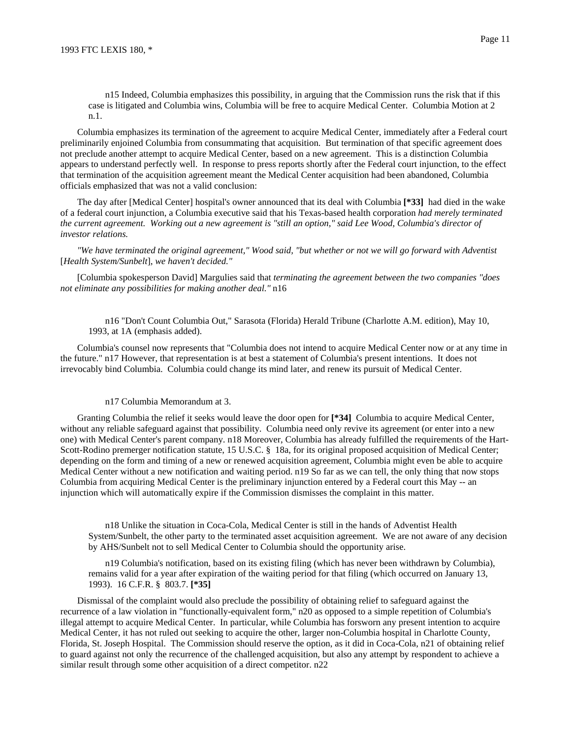n15 Indeed, Columbia emphasizes this possibility, in arguing that the Commission runs the risk that if this case is litigated and Columbia wins, Columbia will be free to acquire Medical Center. Columbia Motion at 2 n.1.

Columbia emphasizes its termination of the agreement to acquire Medical Center, immediately after a Federal court preliminarily enjoined Columbia from consummating that acquisition. But termination of that specific agreement does not preclude another attempt to acquire Medical Center, based on a new agreement. This is a distinction Columbia appears to understand perfectly well. In response to press reports shortly after the Federal court injunction, to the effect that termination of the acquisition agreement meant the Medical Center acquisition had been abandoned, Columbia officials emphasized that was not a valid conclusion:

The day after [Medical Center] hospital's owner announced that its deal with Columbia **[\*33]** had died in the wake of a federal court injunction, a Columbia executive said that his Texas-based health corporation *had merely terminated the current agreement. Working out a new agreement is "still an option," said Lee Wood, Columbia's director of investor relations.*

*"We have terminated the original agreement," Wood said, "but whether or not we will go forward with Adventist* [*Health System/Sunbelt*], *we haven't decided."*

[Columbia spokesperson David] Margulies said that *terminating the agreement between the two companies "does not eliminate any possibilities for making another deal."* n16

n16 "Don't Count Columbia Out," Sarasota (Florida) Herald Tribune (Charlotte A.M. edition), May 10, 1993, at 1A (emphasis added).

Columbia's counsel now represents that "Columbia does not intend to acquire Medical Center now or at any time in the future." n17 However, that representation is at best a statement of Columbia's present intentions. It does not irrevocably bind Columbia. Columbia could change its mind later, and renew its pursuit of Medical Center.

### n17 Columbia Memorandum at 3.

Granting Columbia the relief it seeks would leave the door open for **[\*34]** Columbia to acquire Medical Center, without any reliable safeguard against that possibility. Columbia need only revive its agreement (or enter into a new one) with Medical Center's parent company. n18 Moreover, Columbia has already fulfilled the requirements of the Hart-Scott-Rodino premerger notification statute, 15 U.S.C. § 18a, for its original proposed acquisition of Medical Center; depending on the form and timing of a new or renewed acquisition agreement, Columbia might even be able to acquire Medical Center without a new notification and waiting period. n19 So far as we can tell, the only thing that now stops Columbia from acquiring Medical Center is the preliminary injunction entered by a Federal court this May -- an injunction which will automatically expire if the Commission dismisses the complaint in this matter.

n18 Unlike the situation in Coca-Cola, Medical Center is still in the hands of Adventist Health System/Sunbelt, the other party to the terminated asset acquisition agreement. We are not aware of any decision by AHS/Sunbelt not to sell Medical Center to Columbia should the opportunity arise.

n19 Columbia's notification, based on its existing filing (which has never been withdrawn by Columbia), remains valid for a year after expiration of the waiting period for that filing (which occurred on January 13, 1993). 16 C.F.R. § 803.7. **[\*35]**

Dismissal of the complaint would also preclude the possibility of obtaining relief to safeguard against the recurrence of a law violation in "functionally-equivalent form," n20 as opposed to a simple repetition of Columbia's illegal attempt to acquire Medical Center. In particular, while Columbia has forsworn any present intention to acquire Medical Center, it has not ruled out seeking to acquire the other, larger non-Columbia hospital in Charlotte County, Florida, St. Joseph Hospital. The Commission should reserve the option, as it did in Coca-Cola, n21 of obtaining relief to guard against not only the recurrence of the challenged acquisition, but also any attempt by respondent to achieve a similar result through some other acquisition of a direct competitor. n22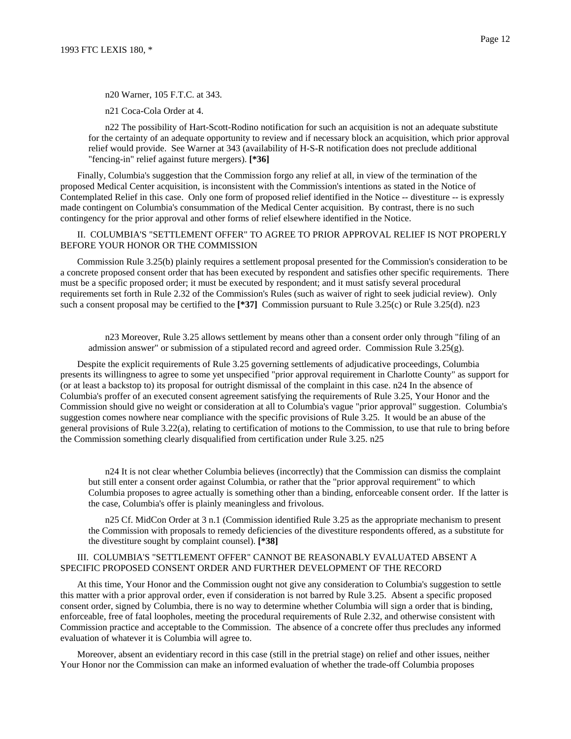n20 Warner, 105 F.T.C. at 343.

n21 Coca-Cola Order at 4.

n22 The possibility of Hart-Scott-Rodino notification for such an acquisition is not an adequate substitute for the certainty of an adequate opportunity to review and if necessary block an acquisition, which prior approval relief would provide. See Warner at 343 (availability of H-S-R notification does not preclude additional "fencing-in" relief against future mergers). **[\*36]**

Finally, Columbia's suggestion that the Commission forgo any relief at all, in view of the termination of the proposed Medical Center acquisition, is inconsistent with the Commission's intentions as stated in the Notice of Contemplated Relief in this case. Only one form of proposed relief identified in the Notice -- divestiture -- is expressly made contingent on Columbia's consummation of the Medical Center acquisition. By contrast, there is no such contingency for the prior approval and other forms of relief elsewhere identified in the Notice.

## II. COLUMBIA'S "SETTLEMENT OFFER" TO AGREE TO PRIOR APPROVAL RELIEF IS NOT PROPERLY BEFORE YOUR HONOR OR THE COMMISSION

Commission Rule 3.25(b) plainly requires a settlement proposal presented for the Commission's consideration to be a concrete proposed consent order that has been executed by respondent and satisfies other specific requirements. There must be a specific proposed order; it must be executed by respondent; and it must satisfy several procedural requirements set forth in Rule 2.32 of the Commission's Rules (such as waiver of right to seek judicial review). Only such a consent proposal may be certified to the [\*37] Commission pursuant to Rule 3.25(c) or Rule 3.25(d). n23

n23 Moreover, Rule 3.25 allows settlement by means other than a consent order only through "filing of an admission answer" or submission of a stipulated record and agreed order. Commission Rule 3.25(g).

Despite the explicit requirements of Rule 3.25 governing settlements of adjudicative proceedings, Columbia presents its willingness to agree to some yet unspecified "prior approval requirement in Charlotte County" as support for (or at least a backstop to) its proposal for outright dismissal of the complaint in this case. n24 In the absence of Columbia's proffer of an executed consent agreement satisfying the requirements of Rule 3.25, Your Honor and the Commission should give no weight or consideration at all to Columbia's vague "prior approval" suggestion. Columbia's suggestion comes nowhere near compliance with the specific provisions of Rule 3.25. It would be an abuse of the general provisions of Rule 3.22(a), relating to certification of motions to the Commission, to use that rule to bring before the Commission something clearly disqualified from certification under Rule 3.25. n25

n24 It is not clear whether Columbia believes (incorrectly) that the Commission can dismiss the complaint but still enter a consent order against Columbia, or rather that the "prior approval requirement" to which Columbia proposes to agree actually is something other than a binding, enforceable consent order. If the latter is the case, Columbia's offer is plainly meaningless and frivolous.

n25 Cf. MidCon Order at 3 n.1 (Commission identified Rule 3.25 as the appropriate mechanism to present the Commission with proposals to remedy deficiencies of the divestiture respondents offered, as a substitute for the divestiture sought by complaint counsel). **[\*38]**

## III. COLUMBIA'S "SETTLEMENT OFFER" CANNOT BE REASONABLY EVALUATED ABSENT A SPECIFIC PROPOSED CONSENT ORDER AND FURTHER DEVELOPMENT OF THE RECORD

At this time, Your Honor and the Commission ought not give any consideration to Columbia's suggestion to settle this matter with a prior approval order, even if consideration is not barred by Rule 3.25. Absent a specific proposed consent order, signed by Columbia, there is no way to determine whether Columbia will sign a order that is binding, enforceable, free of fatal loopholes, meeting the procedural requirements of Rule 2.32, and otherwise consistent with Commission practice and acceptable to the Commission. The absence of a concrete offer thus precludes any informed evaluation of whatever it is Columbia will agree to.

Moreover, absent an evidentiary record in this case (still in the pretrial stage) on relief and other issues, neither Your Honor nor the Commission can make an informed evaluation of whether the trade-off Columbia proposes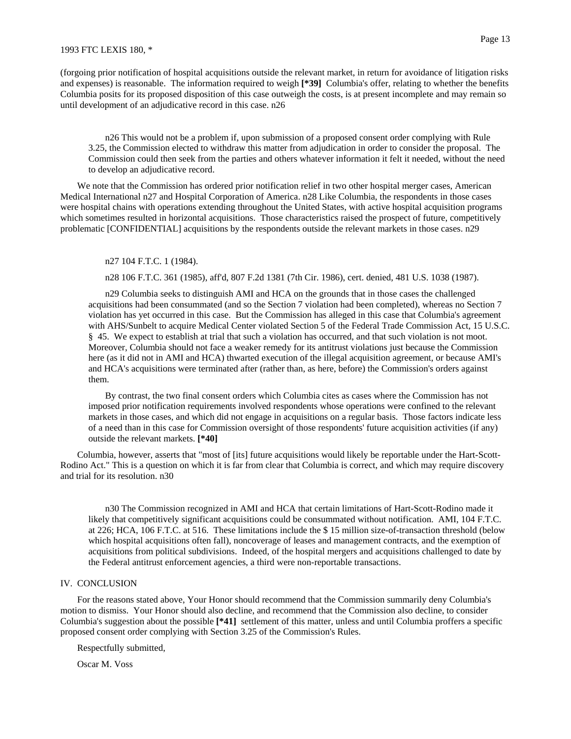(forgoing prior notification of hospital acquisitions outside the relevant market, in return for avoidance of litigation risks and expenses) is reasonable. The information required to weigh **[\*39]** Columbia's offer, relating to whether the benefits Columbia posits for its proposed disposition of this case outweigh the costs, is at present incomplete and may remain so until development of an adjudicative record in this case. n26

n26 This would not be a problem if, upon submission of a proposed consent order complying with Rule 3.25, the Commission elected to withdraw this matter from adjudication in order to consider the proposal. The Commission could then seek from the parties and others whatever information it felt it needed, without the need to develop an adjudicative record.

We note that the Commission has ordered prior notification relief in two other hospital merger cases, American Medical International n27 and Hospital Corporation of America. n28 Like Columbia, the respondents in those cases were hospital chains with operations extending throughout the United States, with active hospital acquisition programs which sometimes resulted in horizontal acquisitions. Those characteristics raised the prospect of future, competitively problematic [CONFIDENTIAL] acquisitions by the respondents outside the relevant markets in those cases. n29

n27 104 F.T.C. 1 (1984).

n28 106 F.T.C. 361 (1985), aff'd, 807 F.2d 1381 (7th Cir. 1986), cert. denied, 481 U.S. 1038 (1987).

n29 Columbia seeks to distinguish AMI and HCA on the grounds that in those cases the challenged acquisitions had been consummated (and so the Section 7 violation had been completed), whereas no Section 7 violation has yet occurred in this case. But the Commission has alleged in this case that Columbia's agreement with AHS/Sunbelt to acquire Medical Center violated Section 5 of the Federal Trade Commission Act, 15 U.S.C. § 45. We expect to establish at trial that such a violation has occurred, and that such violation is not moot. Moreover, Columbia should not face a weaker remedy for its antitrust violations just because the Commission here (as it did not in AMI and HCA) thwarted execution of the illegal acquisition agreement, or because AMI's and HCA's acquisitions were terminated after (rather than, as here, before) the Commission's orders against them.

By contrast, the two final consent orders which Columbia cites as cases where the Commission has not imposed prior notification requirements involved respondents whose operations were confined to the relevant markets in those cases, and which did not engage in acquisitions on a regular basis. Those factors indicate less of a need than in this case for Commission oversight of those respondents' future acquisition activities (if any) outside the relevant markets. **[\*40]**

Columbia, however, asserts that "most of [its] future acquisitions would likely be reportable under the Hart-Scott-Rodino Act." This is a question on which it is far from clear that Columbia is correct, and which may require discovery and trial for its resolution. n30

n30 The Commission recognized in AMI and HCA that certain limitations of Hart-Scott-Rodino made it likely that competitively significant acquisitions could be consummated without notification. AMI, 104 F.T.C. at 226; HCA, 106 F.T.C. at 516. These limitations include the \$ 15 million size-of-transaction threshold (below which hospital acquisitions often fall), noncoverage of leases and management contracts, and the exemption of acquisitions from political subdivisions. Indeed, of the hospital mergers and acquisitions challenged to date by the Federal antitrust enforcement agencies, a third were non-reportable transactions.

## IV. CONCLUSION

For the reasons stated above, Your Honor should recommend that the Commission summarily deny Columbia's motion to dismiss. Your Honor should also decline, and recommend that the Commission also decline, to consider Columbia's suggestion about the possible **[\*41]** settlement of this matter, unless and until Columbia proffers a specific proposed consent order complying with Section 3.25 of the Commission's Rules.

Respectfully submitted,

Oscar M. Voss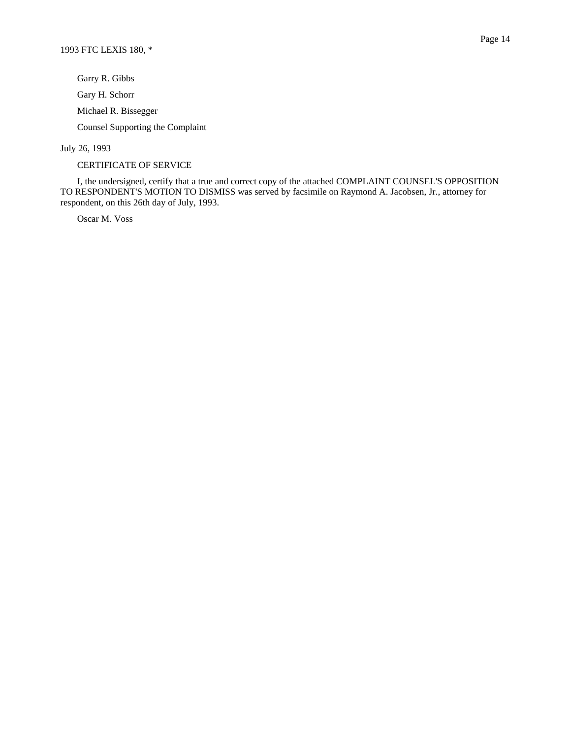Garry R. Gibbs Gary H. Schorr Michael R. Bissegger Counsel Supporting the Complaint

July 26, 1993

CERTIFICATE OF SERVICE

I, the undersigned, certify that a true and correct copy of the attached COMPLAINT COUNSEL'S OPPOSITION TO RESPONDENT'S MOTION TO DISMISS was served by facsimile on Raymond A. Jacobsen, Jr., attorney for respondent, on this 26th day of July, 1993.

Oscar M. Voss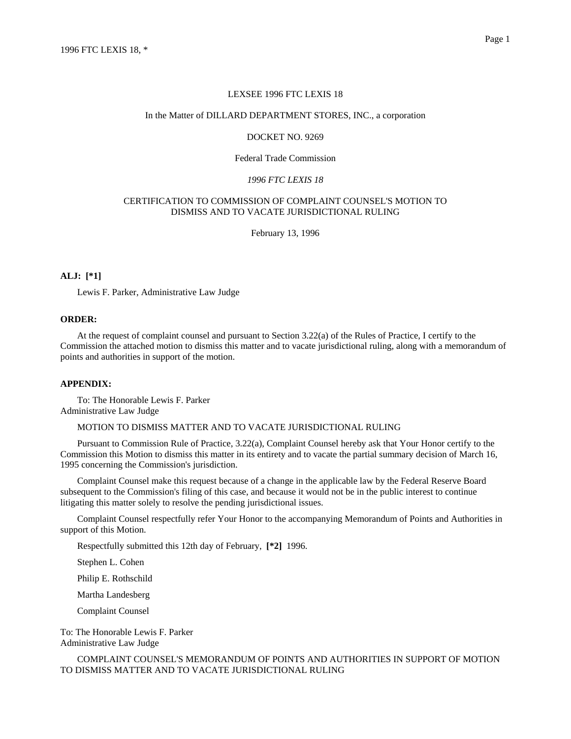### LEXSEE 1996 FTC LEXIS 18

#### In the Matter of DILLARD DEPARTMENT STORES, INC., a corporation

### DOCKET NO. 9269

## Federal Trade Commission

#### *1996 FTC LEXIS 18*

## CERTIFICATION TO COMMISSION OF COMPLAINT COUNSEL'S MOTION TO DISMISS AND TO VACATE JURISDICTIONAL RULING

February 13, 1996

## **ALJ: [\*1]**

Lewis F. Parker, Administrative Law Judge

### **ORDER:**

At the request of complaint counsel and pursuant to Section 3.22(a) of the Rules of Practice, I certify to the Commission the attached motion to dismiss this matter and to vacate jurisdictional ruling, along with a memorandum of points and authorities in support of the motion.

## **APPENDIX:**

To: The Honorable Lewis F. Parker Administrative Law Judge

## MOTION TO DISMISS MATTER AND TO VACATE JURISDICTIONAL RULING

Pursuant to Commission Rule of Practice, 3.22(a), Complaint Counsel hereby ask that Your Honor certify to the Commission this Motion to dismiss this matter in its entirety and to vacate the partial summary decision of March 16, 1995 concerning the Commission's jurisdiction.

Complaint Counsel make this request because of a change in the applicable law by the Federal Reserve Board subsequent to the Commission's filing of this case, and because it would not be in the public interest to continue litigating this matter solely to resolve the pending jurisdictional issues.

Complaint Counsel respectfully refer Your Honor to the accompanying Memorandum of Points and Authorities in support of this Motion.

Respectfully submitted this 12th day of February, **[\*2]** 1996.

Stephen L. Cohen

Philip E. Rothschild

Martha Landesberg

Complaint Counsel

To: The Honorable Lewis F. Parker Administrative Law Judge

COMPLAINT COUNSEL'S MEMORANDUM OF POINTS AND AUTHORITIES IN SUPPORT OF MOTION TO DISMISS MATTER AND TO VACATE JURISDICTIONAL RULING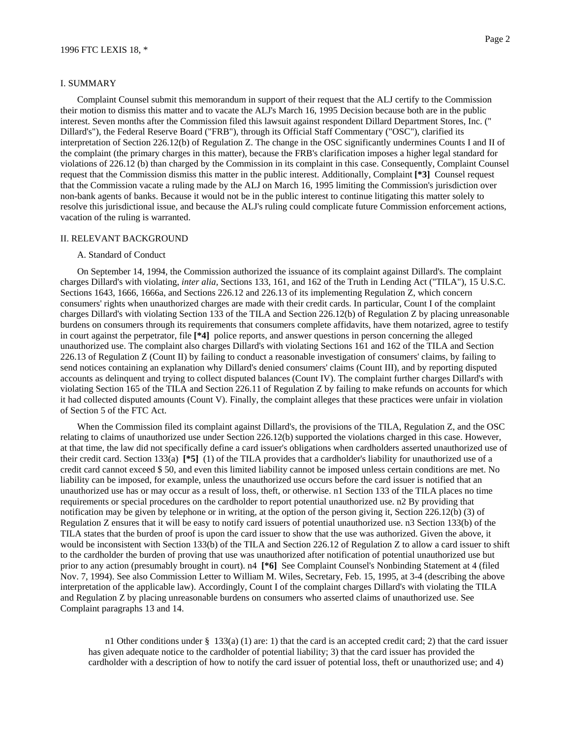#### I. SUMMARY

Complaint Counsel submit this memorandum in support of their request that the ALJ certify to the Commission their motion to dismiss this matter and to vacate the ALJ's March 16, 1995 Decision because both are in the public interest. Seven months after the Commission filed this lawsuit against respondent Dillard Department Stores, Inc. (" Dillard's"), the Federal Reserve Board ("FRB"), through its Official Staff Commentary ("OSC"), clarified its interpretation of Section 226.12(b) of Regulation Z. The change in the OSC significantly undermines Counts I and II of the complaint (the primary charges in this matter), because the FRB's clarification imposes a higher legal standard for violations of 226.12 (b) than charged by the Commission in its complaint in this case. Consequently, Complaint Counsel request that the Commission dismiss this matter in the public interest. Additionally, Complaint **[\*3]** Counsel request that the Commission vacate a ruling made by the ALJ on March 16, 1995 limiting the Commission's jurisdiction over non-bank agents of banks. Because it would not be in the public interest to continue litigating this matter solely to resolve this jurisdictional issue, and because the ALJ's ruling could complicate future Commission enforcement actions, vacation of the ruling is warranted.

#### II. RELEVANT BACKGROUND

#### A. Standard of Conduct

On September 14, 1994, the Commission authorized the issuance of its complaint against Dillard's. The complaint charges Dillard's with violating, *inter alia,* Sections 133, 161, and 162 of the Truth in Lending Act ("TILA"), 15 U.S.C. Sections 1643, 1666, 1666a, and Sections 226.12 and 226.13 of its implementing Regulation Z, which concern consumers' rights when unauthorized charges are made with their credit cards. In particular, Count I of the complaint charges Dillard's with violating Section 133 of the TILA and Section 226.12(b) of Regulation Z by placing unreasonable burdens on consumers through its requirements that consumers complete affidavits, have them notarized, agree to testify in court against the perpetrator, file **[\*4]** police reports, and answer questions in person concerning the alleged unauthorized use. The complaint also charges Dillard's with violating Sections 161 and 162 of the TILA and Section 226.13 of Regulation Z (Count II) by failing to conduct a reasonable investigation of consumers' claims, by failing to send notices containing an explanation why Dillard's denied consumers' claims (Count III), and by reporting disputed accounts as delinquent and trying to collect disputed balances (Count IV). The complaint further charges Dillard's with violating Section 165 of the TILA and Section 226.11 of Regulation Z by failing to make refunds on accounts for which it had collected disputed amounts (Count V). Finally, the complaint alleges that these practices were unfair in violation of Section 5 of the FTC Act.

When the Commission filed its complaint against Dillard's, the provisions of the TILA, Regulation Z, and the OSC relating to claims of unauthorized use under Section 226.12(b) supported the violations charged in this case. However, at that time, the law did not specifically define a card issuer's obligations when cardholders asserted unauthorized use of their credit card. Section 133(a) **[\*5]** (1) of the TILA provides that a cardholder's liability for unauthorized use of a credit card cannot exceed \$ 50, and even this limited liability cannot be imposed unless certain conditions are met. No liability can be imposed, for example, unless the unauthorized use occurs before the card issuer is notified that an unauthorized use has or may occur as a result of loss, theft, or otherwise. n1 Section 133 of the TILA places no time requirements or special procedures on the cardholder to report potential unauthorized use. n2 By providing that notification may be given by telephone or in writing, at the option of the person giving it, Section 226.12(b) (3) of Regulation Z ensures that it will be easy to notify card issuers of potential unauthorized use. n3 Section 133(b) of the TILA states that the burden of proof is upon the card issuer to show that the use was authorized. Given the above, it would be inconsistent with Section 133(b) of the TILA and Section 226.12 of Regulation Z to allow a card issuer to shift to the cardholder the burden of proving that use was unauthorized after notification of potential unauthorized use but prior to any action (presumably brought in court). n4 **[\*6]** See Complaint Counsel's Nonbinding Statement at 4 (filed Nov. 7, 1994). See also Commission Letter to William M. Wiles, Secretary, Feb. 15, 1995, at 3-4 (describing the above interpretation of the applicable law). Accordingly, Count I of the complaint charges Dillard's with violating the TILA and Regulation Z by placing unreasonable burdens on consumers who asserted claims of unauthorized use. See Complaint paragraphs 13 and 14.

n1 Other conditions under § 133(a) (1) are: 1) that the card is an accepted credit card; 2) that the card issuer has given adequate notice to the cardholder of potential liability; 3) that the card issuer has provided the cardholder with a description of how to notify the card issuer of potential loss, theft or unauthorized use; and 4)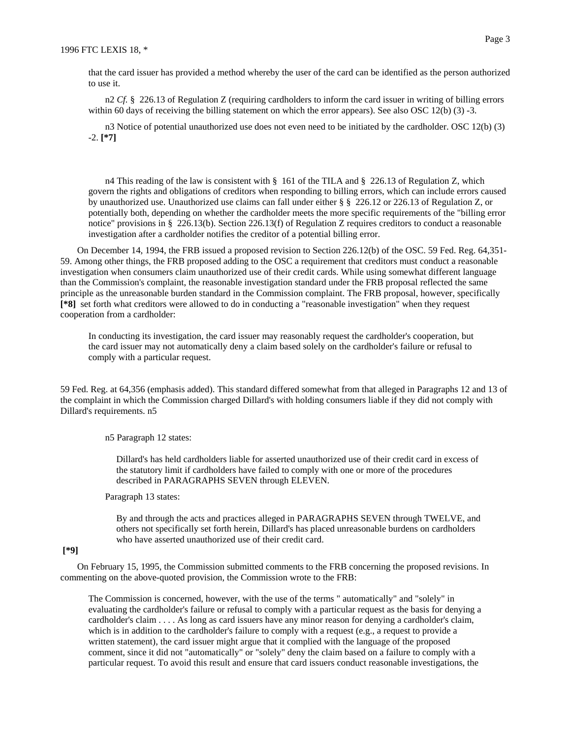n2 *Cf.* § 226.13 of Regulation Z (requiring cardholders to inform the card issuer in writing of billing errors within 60 days of receiving the billing statement on which the error appears). See also OSC 12(b) (3) -3.

n3 Notice of potential unauthorized use does not even need to be initiated by the cardholder. OSC 12(b) (3) -2. **[\*7]**

n4 This reading of the law is consistent with § 161 of the TILA and § 226.13 of Regulation Z, which govern the rights and obligations of creditors when responding to billing errors, which can include errors caused by unauthorized use. Unauthorized use claims can fall under either § § 226.12 or 226.13 of Regulation Z, or potentially both, depending on whether the cardholder meets the more specific requirements of the "billing error notice" provisions in § 226.13(b). Section 226.13(f) of Regulation Z requires creditors to conduct a reasonable investigation after a cardholder notifies the creditor of a potential billing error.

On December 14, 1994, the FRB issued a proposed revision to Section 226.12(b) of the OSC. 59 Fed. Reg. 64,351- 59. Among other things, the FRB proposed adding to the OSC a requirement that creditors must conduct a reasonable investigation when consumers claim unauthorized use of their credit cards. While using somewhat different language than the Commission's complaint, the reasonable investigation standard under the FRB proposal reflected the same principle as the unreasonable burden standard in the Commission complaint. The FRB proposal, however, specifically **[\*8]** set forth what creditors were allowed to do in conducting a "reasonable investigation" when they request cooperation from a cardholder:

In conducting its investigation, the card issuer may reasonably request the cardholder's cooperation, but the card issuer may not automatically deny a claim based solely on the cardholder's failure or refusal to comply with a particular request.

59 Fed. Reg. at 64,356 (emphasis added). This standard differed somewhat from that alleged in Paragraphs 12 and 13 of the complaint in which the Commission charged Dillard's with holding consumers liable if they did not comply with Dillard's requirements. n5

n5 Paragraph 12 states:

Dillard's has held cardholders liable for asserted unauthorized use of their credit card in excess of the statutory limit if cardholders have failed to comply with one or more of the procedures described in PARAGRAPHS SEVEN through ELEVEN.

Paragraph 13 states:

By and through the acts and practices alleged in PARAGRAPHS SEVEN through TWELVE, and others not specifically set forth herein, Dillard's has placed unreasonable burdens on cardholders who have asserted unauthorized use of their credit card.

## **[\*9]**

On February 15, 1995, the Commission submitted comments to the FRB concerning the proposed revisions. In commenting on the above-quoted provision, the Commission wrote to the FRB:

The Commission is concerned, however, with the use of the terms " automatically" and "solely" in evaluating the cardholder's failure or refusal to comply with a particular request as the basis for denying a cardholder's claim . . . . As long as card issuers have any minor reason for denying a cardholder's claim, which is in addition to the cardholder's failure to comply with a request (e.g., a request to provide a written statement), the card issuer might argue that it complied with the language of the proposed comment, since it did not "automatically" or "solely" deny the claim based on a failure to comply with a particular request. To avoid this result and ensure that card issuers conduct reasonable investigations, the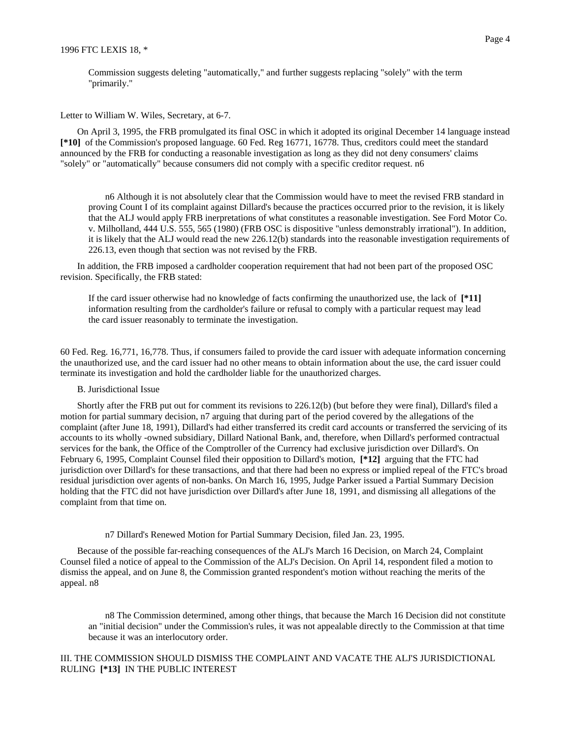Commission suggests deleting "automatically," and further suggests replacing "solely" with the term "primarily."

Letter to William W. Wiles, Secretary, at 6-7.

On April 3, 1995, the FRB promulgated its final OSC in which it adopted its original December 14 language instead **[\*10]** of the Commission's proposed language. 60 Fed. Reg 16771, 16778. Thus, creditors could meet the standard announced by the FRB for conducting a reasonable investigation as long as they did not deny consumers' claims "solely" or "automatically" because consumers did not comply with a specific creditor request. n6

n6 Although it is not absolutely clear that the Commission would have to meet the revised FRB standard in proving Count I of its complaint against Dillard's because the practices occurred prior to the revision, it is likely that the ALJ would apply FRB inerpretations of what constitutes a reasonable investigation. See Ford Motor Co. v. Milholland, 444 U.S. 555, 565 (1980) (FRB OSC is dispositive "unless demonstrably irrational"). In addition, it is likely that the ALJ would read the new 226.12(b) standards into the reasonable investigation requirements of 226.13, even though that section was not revised by the FRB.

In addition, the FRB imposed a cardholder cooperation requirement that had not been part of the proposed OSC revision. Specifically, the FRB stated:

If the card issuer otherwise had no knowledge of facts confirming the unauthorized use, the lack of **[\*11]** information resulting from the cardholder's failure or refusal to comply with a particular request may lead the card issuer reasonably to terminate the investigation.

60 Fed. Reg. 16,771, 16,778. Thus, if consumers failed to provide the card issuer with adequate information concerning the unauthorized use, and the card issuer had no other means to obtain information about the use, the card issuer could terminate its investigation and hold the cardholder liable for the unauthorized charges.

## B. Jurisdictional Issue

Shortly after the FRB put out for comment its revisions to 226.12(b) (but before they were final), Dillard's filed a motion for partial summary decision, n7 arguing that during part of the period covered by the allegations of the complaint (after June 18, 1991), Dillard's had either transferred its credit card accounts or transferred the servicing of its accounts to its wholly -owned subsidiary, Dillard National Bank, and, therefore, when Dillard's performed contractual services for the bank, the Office of the Comptroller of the Currency had exclusive jurisdiction over Dillard's. On February 6, 1995, Complaint Counsel filed their opposition to Dillard's motion, **[\*12]** arguing that the FTC had jurisdiction over Dillard's for these transactions, and that there had been no express or implied repeal of the FTC's broad residual jurisdiction over agents of non-banks. On March 16, 1995, Judge Parker issued a Partial Summary Decision holding that the FTC did not have jurisdiction over Dillard's after June 18, 1991, and dismissing all allegations of the complaint from that time on.

#### n7 Dillard's Renewed Motion for Partial Summary Decision, filed Jan. 23, 1995.

Because of the possible far-reaching consequences of the ALJ's March 16 Decision, on March 24, Complaint Counsel filed a notice of appeal to the Commission of the ALJ's Decision. On April 14, respondent filed a motion to dismiss the appeal, and on June 8, the Commission granted respondent's motion without reaching the merits of the appeal. n8

n8 The Commission determined, among other things, that because the March 16 Decision did not constitute an "initial decision" under the Commission's rules, it was not appealable directly to the Commission at that time because it was an interlocutory order.

## III. THE COMMISSION SHOULD DISMISS THE COMPLAINT AND VACATE THE ALJ'S JURISDICTIONAL RULING **[\*13]** IN THE PUBLIC INTEREST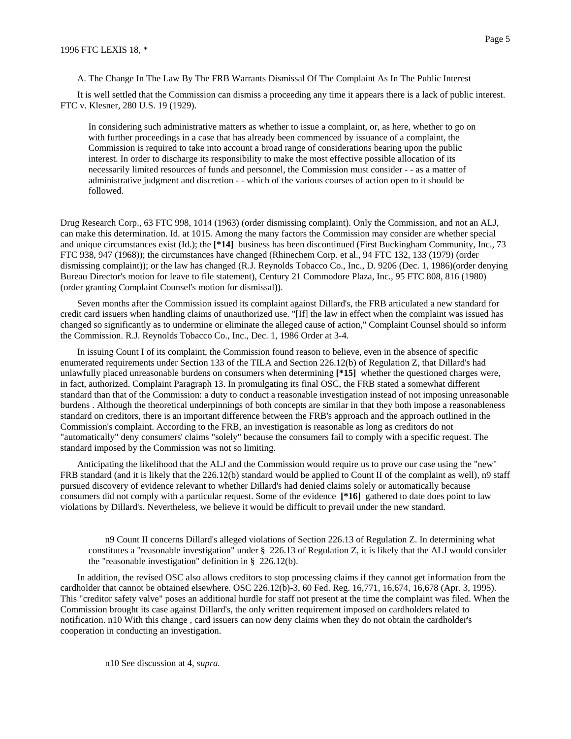A. The Change In The Law By The FRB Warrants Dismissal Of The Complaint As In The Public Interest

It is well settled that the Commission can dismiss a proceeding any time it appears there is a lack of public interest. FTC v. Klesner, 280 U.S. 19 (1929).

In considering such administrative matters as whether to issue a complaint, or, as here, whether to go on with further proceedings in a case that has already been commenced by issuance of a complaint, the Commission is required to take into account a broad range of considerations bearing upon the public interest. In order to discharge its responsibility to make the most effective possible allocation of its necessarily limited resources of funds and personnel, the Commission must consider - - as a matter of administrative judgment and discretion - - which of the various courses of action open to it should be followed.

Drug Research Corp., 63 FTC 998, 1014 (1963) (order dismissing complaint). Only the Commission, and not an ALJ, can make this determination. Id. at 1015. Among the many factors the Commission may consider are whether special and unique circumstances exist (Id.); the **[\*14]** business has been discontinued (First Buckingham Community, Inc., 73 FTC 938, 947 (1968)); the circumstances have changed (Rhinechem Corp. et al., 94 FTC 132, 133 (1979) (order dismissing complaint)); or the law has changed (R.J. Reynolds Tobacco Co., Inc., D. 9206 (Dec. 1, 1986)(order denying Bureau Director's motion for leave to file statement), Century 21 Commodore Plaza, Inc., 95 FTC 808, 816 (1980) (order granting Complaint Counsel's motion for dismissal)).

Seven months after the Commission issued its complaint against Dillard's, the FRB articulated a new standard for credit card issuers when handling claims of unauthorized use. "[If] the law in effect when the complaint was issued has changed so significantly as to undermine or eliminate the alleged cause of action," Complaint Counsel should so inform the Commission. R.J. Reynolds Tobacco Co., Inc., Dec. 1, 1986 Order at 3-4.

In issuing Count I of its complaint, the Commission found reason to believe, even in the absence of specific enumerated requirements under Section 133 of the TILA and Section 226.12(b) of Regulation Z, that Dillard's had unlawfully placed unreasonable burdens on consumers when determining **[\*15]** whether the questioned charges were, in fact, authorized. Complaint Paragraph 13. In promulgating its final OSC, the FRB stated a somewhat different standard than that of the Commission: a duty to conduct a reasonable investigation instead of not imposing unreasonable burdens . Although the theoretical underpinnings of both concepts are similar in that they both impose a reasonableness standard on creditors, there is an important difference between the FRB's approach and the approach outlined in the Commission's complaint. According to the FRB, an investigation is reasonable as long as creditors do not "automatically" deny consumers' claims "solely" because the consumers fail to comply with a specific request. The standard imposed by the Commission was not so limiting.

Anticipating the likelihood that the ALJ and the Commission would require us to prove our case using the "new" FRB standard (and it is likely that the 226.12(b) standard would be applied to Count II of the complaint as well), n9 staff pursued discovery of evidence relevant to whether Dillard's had denied claims solely or automatically because consumers did not comply with a particular request. Some of the evidence **[\*16]** gathered to date does point to law violations by Dillard's. Nevertheless, we believe it would be difficult to prevail under the new standard.

n9 Count II concerns Dillard's alleged violations of Section 226.13 of Regulation Z. In determining what constitutes a "reasonable investigation" under § 226.13 of Regulation Z, it is likely that the ALJ would consider the "reasonable investigation" definition in § 226.12(b).

In addition, the revised OSC also allows creditors to stop processing claims if they cannot get information from the cardholder that cannot be obtained elsewhere. OSC 226.12(b)-3, 60 Fed. Reg. 16,771, 16,674, 16,678 (Apr. 3, 1995). This "creditor safety valve" poses an additional hurdle for staff not present at the time the complaint was filed. When the Commission brought its case against Dillard's, the only written requirement imposed on cardholders related to notification. n10 With this change , card issuers can now deny claims when they do not obtain the cardholder's cooperation in conducting an investigation.

n10 See discussion at 4, *supra.*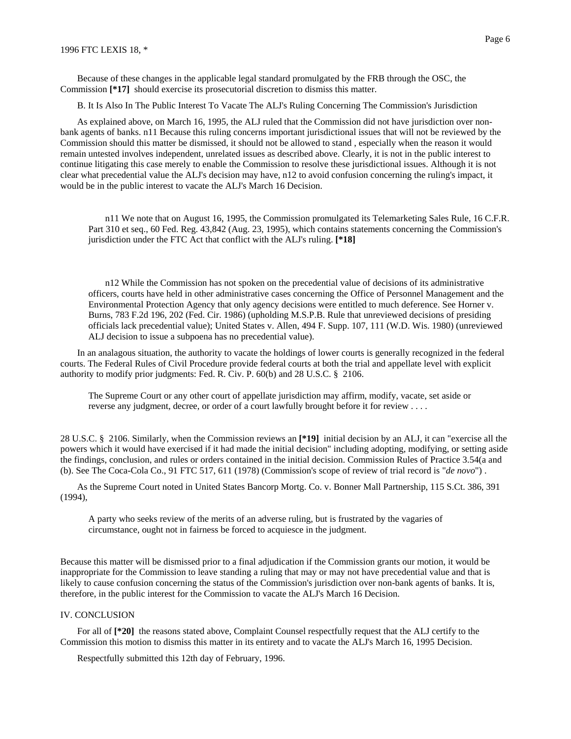Because of these changes in the applicable legal standard promulgated by the FRB through the OSC, the Commission **[\*17]** should exercise its prosecutorial discretion to dismiss this matter.

B. It Is Also In The Public Interest To Vacate The ALJ's Ruling Concerning The Commission's Jurisdiction

As explained above, on March 16, 1995, the ALJ ruled that the Commission did not have jurisdiction over nonbank agents of banks. n11 Because this ruling concerns important jurisdictional issues that will not be reviewed by the Commission should this matter be dismissed, it should not be allowed to stand , especially when the reason it would remain untested involves independent, unrelated issues as described above. Clearly, it is not in the public interest to continue litigating this case merely to enable the Commission to resolve these jurisdictional issues. Although it is not clear what precedential value the ALJ's decision may have, n12 to avoid confusion concerning the ruling's impact, it would be in the public interest to vacate the ALJ's March 16 Decision.

n11 We note that on August 16, 1995, the Commission promulgated its Telemarketing Sales Rule, 16 C.F.R. Part 310 et seq., 60 Fed. Reg. 43,842 (Aug. 23, 1995), which contains statements concerning the Commission's jurisdiction under the FTC Act that conflict with the ALJ's ruling. **[\*18]**

n12 While the Commission has not spoken on the precedential value of decisions of its administrative officers, courts have held in other administrative cases concerning the Office of Personnel Management and the Environmental Protection Agency that only agency decisions were entitled to much deference. See Horner v. Burns, 783 F.2d 196, 202 (Fed. Cir. 1986) (upholding M.S.P.B. Rule that unreviewed decisions of presiding officials lack precedential value); United States v. Allen, 494 F. Supp. 107, 111 (W.D. Wis. 1980) (unreviewed ALJ decision to issue a subpoena has no precedential value).

In an analagous situation, the authority to vacate the holdings of lower courts is generally recognized in the federal courts. The Federal Rules of Civil Procedure provide federal courts at both the trial and appellate level with explicit authority to modify prior judgments: Fed. R. Civ. P. 60(b) and 28 U.S.C. § 2106.

The Supreme Court or any other court of appellate jurisdiction may affirm, modify, vacate, set aside or reverse any judgment, decree, or order of a court lawfully brought before it for review . . . .

28 U.S.C. § 2106. Similarly, when the Commission reviews an **[\*19]** initial decision by an ALJ, it can "exercise all the powers which it would have exercised if it had made the initial decision" including adopting, modifying, or setting aside the findings, conclusion, and rules or orders contained in the initial decision. Commission Rules of Practice 3.54(a and (b). See The Coca-Cola Co., 91 FTC 517, 611 (1978) (Commission's scope of review of trial record is "*de novo*") .

As the Supreme Court noted in United States Bancorp Mortg. Co. v. Bonner Mall Partnership, 115 S.Ct. 386, 391 (1994),

A party who seeks review of the merits of an adverse ruling, but is frustrated by the vagaries of circumstance, ought not in fairness be forced to acquiesce in the judgment.

Because this matter will be dismissed prior to a final adjudication if the Commission grants our motion, it would be inappropriate for the Commission to leave standing a ruling that may or may not have precedential value and that is likely to cause confusion concerning the status of the Commission's jurisdiction over non-bank agents of banks. It is, therefore, in the public interest for the Commission to vacate the ALJ's March 16 Decision.

## IV. CONCLUSION

For all of **[\*20]** the reasons stated above, Complaint Counsel respectfully request that the ALJ certify to the Commission this motion to dismiss this matter in its entirety and to vacate the ALJ's March 16, 1995 Decision.

Respectfully submitted this 12th day of February, 1996.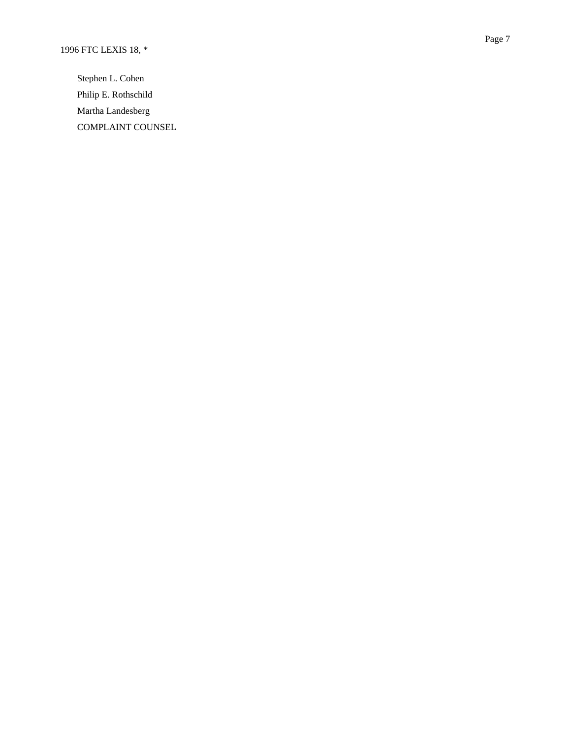Stephen L. Cohen Philip E. Rothschild Martha Landesberg COMPLAINT COUNSEL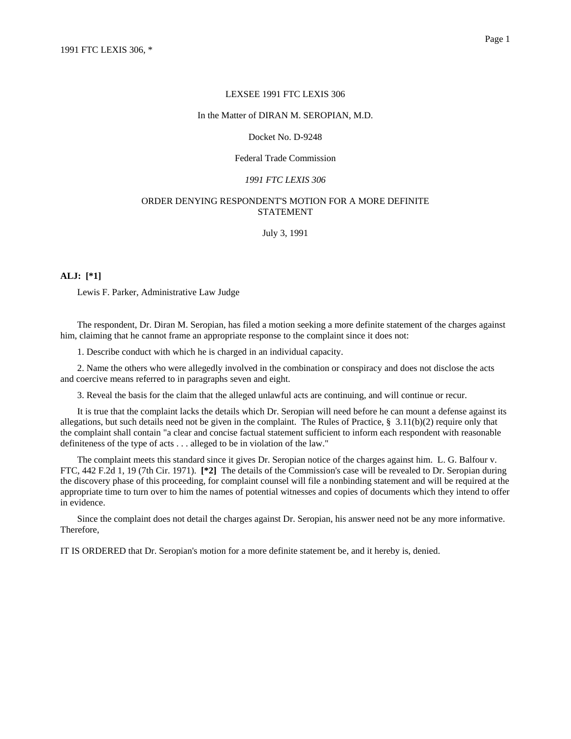#### LEXSEE 1991 FTC LEXIS 306

#### In the Matter of DIRAN M. SEROPIAN, M.D.

### Docket No. D-9248

## Federal Trade Commission

#### *1991 FTC LEXIS 306*

## ORDER DENYING RESPONDENT'S MOTION FOR A MORE DEFINITE STATEMENT

July 3, 1991

## **ALJ: [\*1]**

Lewis F. Parker, Administrative Law Judge

The respondent, Dr. Diran M. Seropian, has filed a motion seeking a more definite statement of the charges against him, claiming that he cannot frame an appropriate response to the complaint since it does not:

1. Describe conduct with which he is charged in an individual capacity.

2. Name the others who were allegedly involved in the combination or conspiracy and does not disclose the acts and coercive means referred to in paragraphs seven and eight.

3. Reveal the basis for the claim that the alleged unlawful acts are continuing, and will continue or recur.

It is true that the complaint lacks the details which Dr. Seropian will need before he can mount a defense against its allegations, but such details need not be given in the complaint. The Rules of Practice,  $\S$  3.11(b)(2) require only that the complaint shall contain "a clear and concise factual statement sufficient to inform each respondent with reasonable definiteness of the type of acts . . . alleged to be in violation of the law."

The complaint meets this standard since it gives Dr. Seropian notice of the charges against him. L. G. Balfour v. FTC, 442 F.2d 1, 19 (7th Cir. 1971). **[\*2]** The details of the Commission's case will be revealed to Dr. Seropian during the discovery phase of this proceeding, for complaint counsel will file a nonbinding statement and will be required at the appropriate time to turn over to him the names of potential witnesses and copies of documents which they intend to offer in evidence.

Since the complaint does not detail the charges against Dr. Seropian, his answer need not be any more informative. Therefore,

IT IS ORDERED that Dr. Seropian's motion for a more definite statement be, and it hereby is, denied.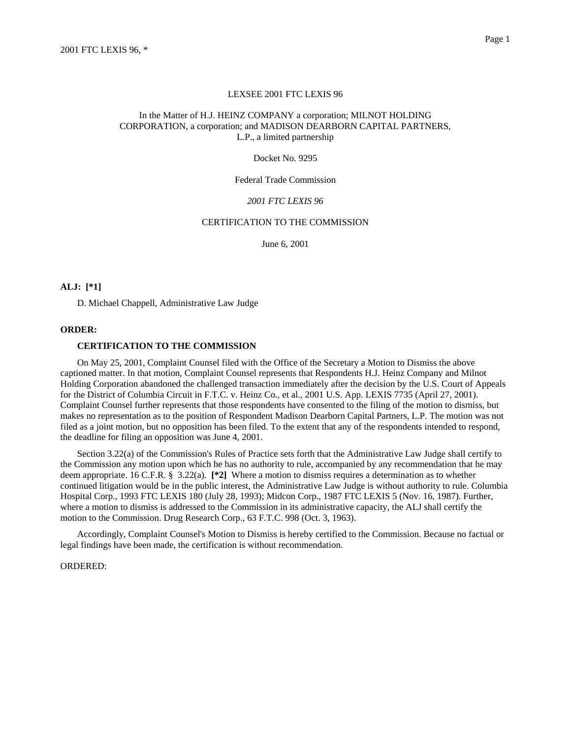#### LEXSEE 2001 FTC LEXIS 96

## In the Matter of H.J. HEINZ COMPANY a corporation; MILNOT HOLDING CORPORATION, a corporation; and MADISON DEARBORN CAPITAL PARTNERS, L.P., a limited partnership

Docket No. 9295

Federal Trade Commission

#### *2001 FTC LEXIS 96*

## CERTIFICATION TO THE COMMISSION

June 6, 2001

## **ALJ: [\*1]**

D. Michael Chappell, Administrative Law Judge

#### **ORDER:**

## **CERTIFICATION TO THE COMMISSION**

On May 25, 2001, Complaint Counsel filed with the Office of the Secretary a Motion to Dismiss the above captioned matter. In that motion, Complaint Counsel represents that Respondents H.J. Heinz Company and Milnot Holding Corporation abandoned the challenged transaction immediately after the decision by the U.S. Court of Appeals for the District of Columbia Circuit in F.T.C. v. Heinz Co., et al., 2001 U.S. App. LEXIS 7735 (April 27, 2001). Complaint Counsel further represents that those respondents have consented to the filing of the motion to dismiss, but makes no representation as to the position of Respondent Madison Dearborn Capital Partners, L.P. The motion was not filed as a joint motion, but no opposition has been filed. To the extent that any of the respondents intended to respond, the deadline for filing an opposition was June 4, 2001.

Section 3.22(a) of the Commission's Rules of Practice sets forth that the Administrative Law Judge shall certify to the Commission any motion upon which he has no authority to rule, accompanied by any recommendation that he may deem appropriate. 16 C.F.R. § 3.22(a). **[\*2]** Where a motion to dismiss requires a determination as to whether continued litigation would be in the public interest, the Administrative Law Judge is without authority to rule. Columbia Hospital Corp., 1993 FTC LEXIS 180 (July 28, 1993); Midcon Corp., 1987 FTC LEXIS 5 (Nov. 16, 1987). Further, where a motion to dismiss is addressed to the Commission in its administrative capacity, the ALJ shall certify the motion to the Commission. Drug Research Corp., 63 F.T.C. 998 (Oct. 3, 1963).

Accordingly, Complaint Counsel's Motion to Dismiss is hereby certified to the Commission. Because no factual or legal findings have been made, the certification is without recommendation.

#### ORDERED: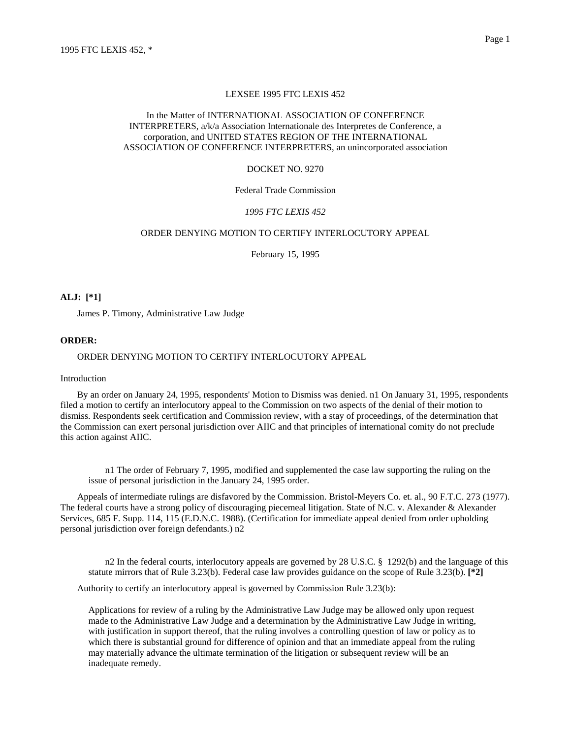### LEXSEE 1995 FTC LEXIS 452

## In the Matter of INTERNATIONAL ASSOCIATION OF CONFERENCE INTERPRETERS, a/k/a Association Internationale des Interpretes de Conference, a corporation, and UNITED STATES REGION OF THE INTERNATIONAL ASSOCIATION OF CONFERENCE INTERPRETERS, an unincorporated association

#### DOCKET NO. 9270

## Federal Trade Commission

#### *1995 FTC LEXIS 452*

## ORDER DENYING MOTION TO CERTIFY INTERLOCUTORY APPEAL

February 15, 1995

#### **ALJ: [\*1]**

James P. Timony, Administrative Law Judge

### **ORDER:**

### ORDER DENYING MOTION TO CERTIFY INTERLOCUTORY APPEAL

#### Introduction

By an order on January 24, 1995, respondents' Motion to Dismiss was denied. n1 On January 31, 1995, respondents filed a motion to certify an interlocutory appeal to the Commission on two aspects of the denial of their motion to dismiss. Respondents seek certification and Commission review, with a stay of proceedings, of the determination that the Commission can exert personal jurisdiction over AIIC and that principles of international comity do not preclude this action against AIIC.

n1 The order of February 7, 1995, modified and supplemented the case law supporting the ruling on the issue of personal jurisdiction in the January 24, 1995 order.

Appeals of intermediate rulings are disfavored by the Commission. Bristol-Meyers Co. et. al., 90 F.T.C. 273 (1977). The federal courts have a strong policy of discouraging piecemeal litigation. State of N.C. v. Alexander & Alexander Services, 685 F. Supp. 114, 115 (E.D.N.C. 1988). (Certification for immediate appeal denied from order upholding personal jurisdiction over foreign defendants.) n2

n2 In the federal courts, interlocutory appeals are governed by 28 U.S.C. § 1292(b) and the language of this statute mirrors that of Rule 3.23(b). Federal case law provides guidance on the scope of Rule 3.23(b). **[\*2]**

Authority to certify an interlocutory appeal is governed by Commission Rule 3.23(b):

Applications for review of a ruling by the Administrative Law Judge may be allowed only upon request made to the Administrative Law Judge and a determination by the Administrative Law Judge in writing, with justification in support thereof, that the ruling involves a controlling question of law or policy as to which there is substantial ground for difference of opinion and that an immediate appeal from the ruling may materially advance the ultimate termination of the litigation or subsequent review will be an inadequate remedy.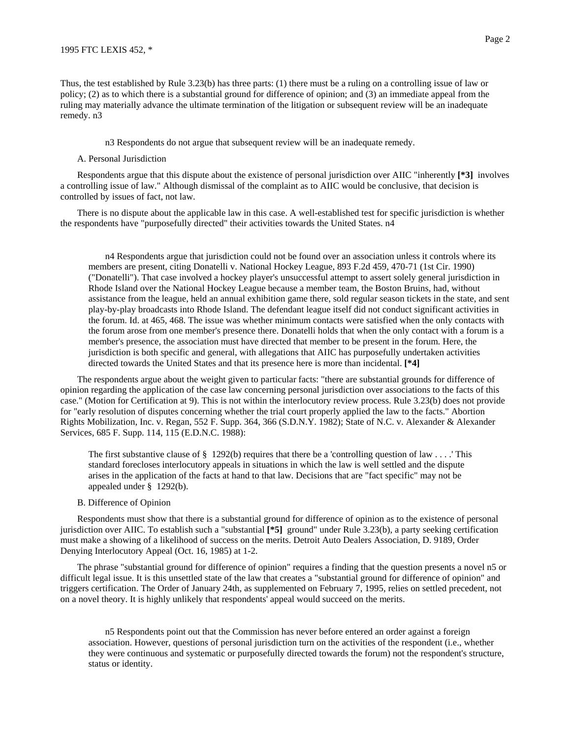Thus, the test established by Rule 3.23(b) has three parts: (1) there must be a ruling on a controlling issue of law or policy; (2) as to which there is a substantial ground for difference of opinion; and (3) an immediate appeal from the ruling may materially advance the ultimate termination of the litigation or subsequent review will be an inadequate remedy. n3

n3 Respondents do not argue that subsequent review will be an inadequate remedy.

#### A. Personal Jurisdiction

Respondents argue that this dispute about the existence of personal jurisdiction over AIIC "inherently **[\*3]** involves a controlling issue of law." Although dismissal of the complaint as to AIIC would be conclusive, that decision is controlled by issues of fact, not law.

There is no dispute about the applicable law in this case. A well-established test for specific jurisdiction is whether the respondents have "purposefully directed" their activities towards the United States. n4

n4 Respondents argue that jurisdiction could not be found over an association unless it controls where its members are present, citing Donatelli v. National Hockey League, 893 F.2d 459, 470-71 (1st Cir. 1990) ("Donatelli"). That case involved a hockey player's unsuccessful attempt to assert solely general jurisdiction in Rhode Island over the National Hockey League because a member team, the Boston Bruins, had, without assistance from the league, held an annual exhibition game there, sold regular season tickets in the state, and sent play-by-play broadcasts into Rhode Island. The defendant league itself did not conduct significant activities in the forum. Id. at 465, 468. The issue was whether minimum contacts were satisfied when the only contacts with the forum arose from one member's presence there. Donatelli holds that when the only contact with a forum is a member's presence, the association must have directed that member to be present in the forum. Here, the jurisdiction is both specific and general, with allegations that AIIC has purposefully undertaken activities directed towards the United States and that its presence here is more than incidental. **[\*4]**

The respondents argue about the weight given to particular facts: "there are substantial grounds for difference of opinion regarding the application of the case law concerning personal jurisdiction over associations to the facts of this case." (Motion for Certification at 9). This is not within the interlocutory review process. Rule 3.23(b) does not provide for "early resolution of disputes concerning whether the trial court properly applied the law to the facts." Abortion Rights Mobilization, Inc. v. Regan, 552 F. Supp. 364, 366 (S.D.N.Y. 1982); State of N.C. v. Alexander & Alexander Services, 685 F. Supp. 114, 115 (E.D.N.C. 1988):

The first substantive clause of  $\S$  1292(b) requires that there be a 'controlling question of law . . . . This standard forecloses interlocutory appeals in situations in which the law is well settled and the dispute arises in the application of the facts at hand to that law. Decisions that are "fact specific" may not be appealed under § 1292(b).

#### B. Difference of Opinion

Respondents must show that there is a substantial ground for difference of opinion as to the existence of personal jurisdiction over AIIC. To establish such a "substantial **[\*5]** ground" under Rule 3.23(b), a party seeking certification must make a showing of a likelihood of success on the merits. Detroit Auto Dealers Association, D. 9189, Order Denying Interlocutory Appeal (Oct. 16, 1985) at 1-2.

The phrase "substantial ground for difference of opinion" requires a finding that the question presents a novel n5 or difficult legal issue. It is this unsettled state of the law that creates a "substantial ground for difference of opinion" and triggers certification. The Order of January 24th, as supplemented on February 7, 1995, relies on settled precedent, not on a novel theory. It is highly unlikely that respondents' appeal would succeed on the merits.

n5 Respondents point out that the Commission has never before entered an order against a foreign association. However, questions of personal jurisdiction turn on the activities of the respondent (i.e., whether they were continuous and systematic or purposefully directed towards the forum) not the respondent's structure, status or identity.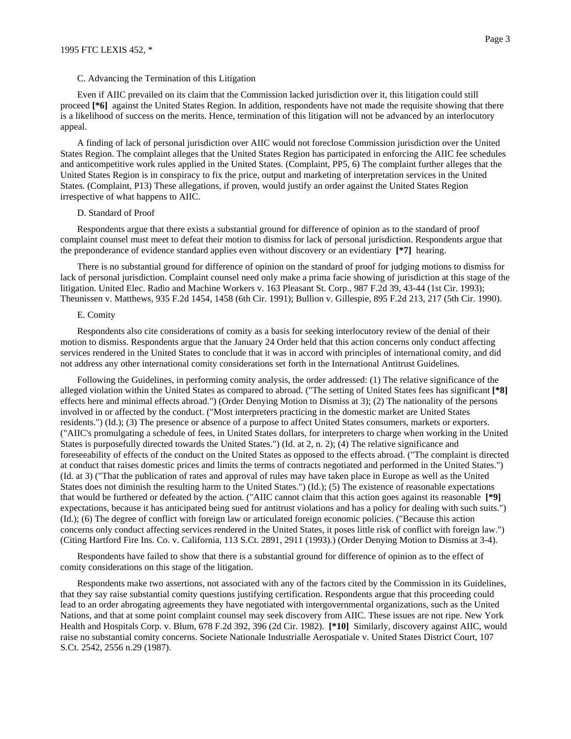Even if AIIC prevailed on its claim that the Commission lacked jurisdiction over it, this litigation could still proceed **[\*6]** against the United States Region. In addition, respondents have not made the requisite showing that there is a likelihood of success on the merits. Hence, termination of this litigation will not be advanced by an interlocutory appeal.

A finding of lack of personal jurisdiction over AIIC would not foreclose Commission jurisdiction over the United States Region. The complaint alleges that the United States Region has participated in enforcing the AIIC fee schedules and anticompetitive work rules applied in the United States. (Complaint, PP5, 6) The complaint further alleges that the United States Region is in conspiracy to fix the price, output and marketing of interpretation services in the United States. (Complaint, P13) These allegations, if proven, would justify an order against the United States Region irrespective of what happens to AIIC.

#### D. Standard of Proof

Respondents argue that there exists a substantial ground for difference of opinion as to the standard of proof complaint counsel must meet to defeat their motion to dismiss for lack of personal jurisdiction. Respondents argue that the preponderance of evidence standard applies even without discovery or an evidentiary **[\*7]** hearing.

There is no substantial ground for difference of opinion on the standard of proof for judging motions to dismiss for lack of personal jurisdiction. Complaint counsel need only make a prima facie showing of jurisdiction at this stage of the litigation. United Elec. Radio and Machine Workers v. 163 Pleasant St. Corp., 987 F.2d 39, 43-44 (1st Cir. 1993); Theunissen v. Matthews, 935 F.2d 1454, 1458 (6th Cir. 1991); Bullion v. Gillespie, 895 F.2d 213, 217 (5th Cir. 1990).

#### E. Comity

Respondents also cite considerations of comity as a basis for seeking interlocutory review of the denial of their motion to dismiss. Respondents argue that the January 24 Order held that this action concerns only conduct affecting services rendered in the United States to conclude that it was in accord with principles of international comity, and did not address any other international comity considerations set forth in the International Antitrust Guidelines.

Following the Guidelines, in performing comity analysis, the order addressed: (1) The relative significance of the alleged violation within the United States as compared to abroad. ("The setting of United States fees has significant **[\*8]** effects here and minimal effects abroad.") (Order Denying Motion to Dismiss at 3); (2) The nationality of the persons involved in or affected by the conduct. ("Most interpreters practicing in the domestic market are United States residents.") (Id.); (3) The presence or absence of a purpose to affect United States consumers, markets or exporters. ("AIIC's promulgating a schedule of fees, in United States dollars, for interpreters to charge when working in the United States is purposefully directed towards the United States.") (Id. at 2, n. 2); (4) The relative significance and foreseeability of effects of the conduct on the United States as opposed to the effects abroad. ("The complaint is directed at conduct that raises domestic prices and limits the terms of contracts negotiated and performed in the United States.") (Id. at 3) ("That the publication of rates and approval of rules may have taken place in Europe as well as the United States does not diminish the resulting harm to the United States.") (Id.); (5) The existence of reasonable expectations that would be furthered or defeated by the action. ("AIIC cannot claim that this action goes against its reasonable **[\*9]** expectations, because it has anticipated being sued for antitrust violations and has a policy for dealing with such suits.") (Id.); (6) The degree of conflict with foreign law or articulated foreign economic policies. ("Because this action concerns only conduct affecting services rendered in the United States, it poses little risk of conflict with foreign law.") (Citing Hartford Fire Ins. Co. v. California, 113 S.Ct. 2891, 2911 (1993).) (Order Denying Motion to Dismiss at 3-4).

Respondents have failed to show that there is a substantial ground for difference of opinion as to the effect of comity considerations on this stage of the litigation.

Respondents make two assertions, not associated with any of the factors cited by the Commission in its Guidelines, that they say raise substantial comity questions justifying certification. Respondents argue that this proceeding could lead to an order abrogating agreements they have negotiated with intergovernmental organizations, such as the United Nations, and that at some point complaint counsel may seek discovery from AIIC. These issues are not ripe. New York Health and Hospitals Corp. v. Blum, 678 F.2d 392, 396 (2d Cir. 1982). **[\*10]** Similarly, discovery against AIIC, would raise no substantial comity concerns. Societe Nationale Industrialle Aerospatiale v. United States District Court, 107 S.Ct. 2542, 2556 n.29 (1987).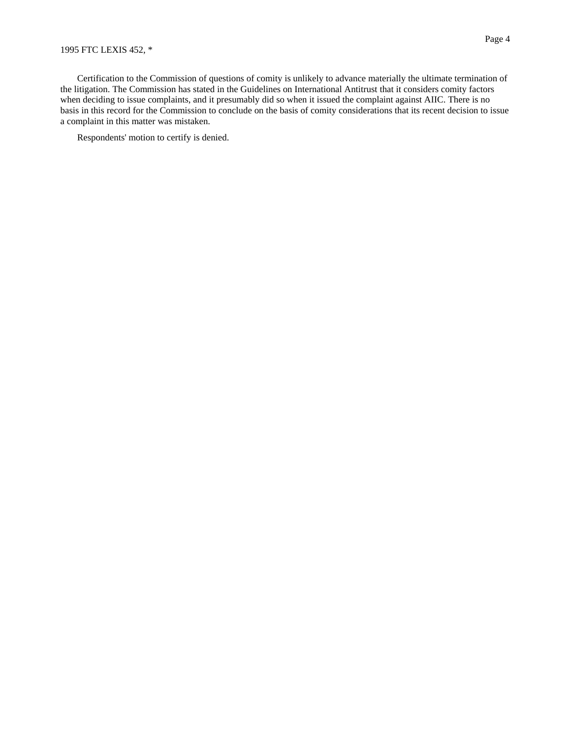## 1995 FTC LEXIS 452, \*

Certification to the Commission of questions of comity is unlikely to advance materially the ultimate termination of the litigation. The Commission has stated in the Guidelines on International Antitrust that it considers comity factors when deciding to issue complaints, and it presumably did so when it issued the complaint against AIIC. There is no basis in this record for the Commission to conclude on the basis of comity considerations that its recent decision to issue a complaint in this matter was mistaken.

Respondents' motion to certify is denied.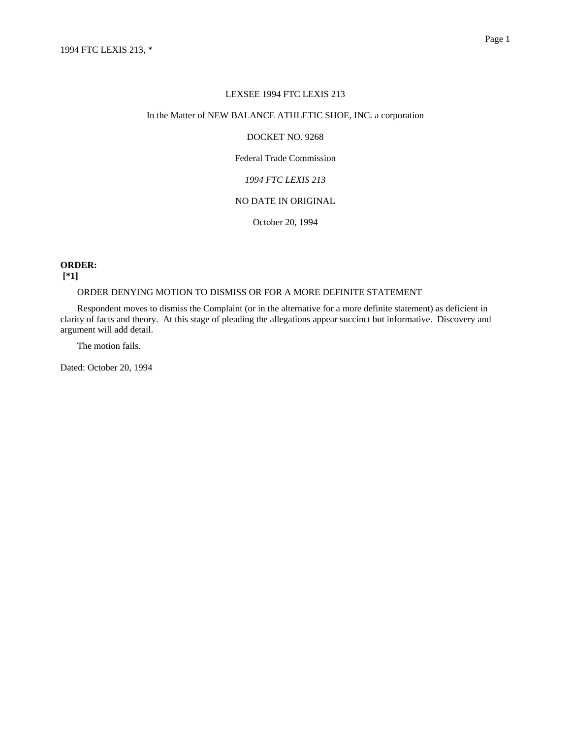### LEXSEE 1994 FTC LEXIS 213

## In the Matter of NEW BALANCE ATHLETIC SHOE, INC. a corporation

## DOCKET NO. 9268

## Federal Trade Commission

# *1994 FTC LEXIS 213*

# NO DATE IN ORIGINAL

October 20, 1994

## **ORDER:**

## **[\*1]**

# ORDER DENYING MOTION TO DISMISS OR FOR A MORE DEFINITE STATEMENT

Respondent moves to dismiss the Complaint (or in the alternative for a more definite statement) as deficient in clarity of facts and theory. At this stage of pleading the allegations appear succinct but informative. Discovery and argument will add detail.

The motion fails.

Dated: October 20, 1994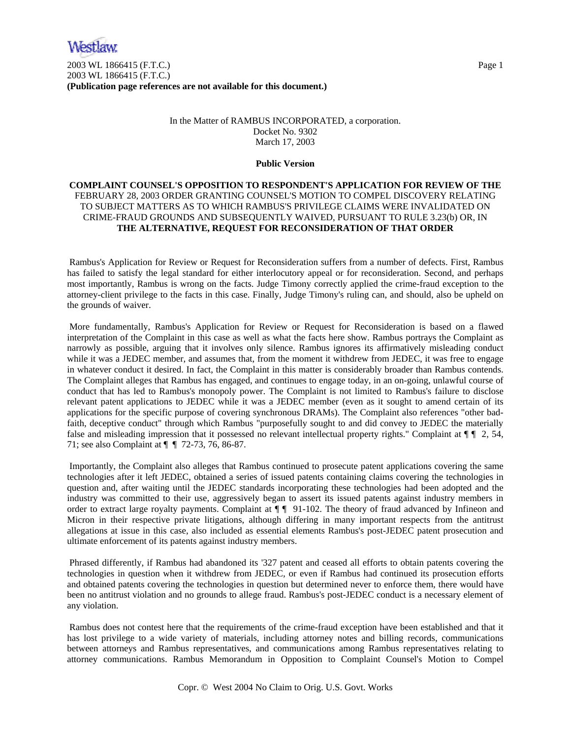2003 WL 1866415 (F.T.C.) Page 1 2003 WL 1866415 (F.T.C.) **(Publication page references are not available for this document.)**

# In the Matter of RAMBUS INCORPORATED, a corporation. Docket No. 9302 March 17, 2003

## **Public Version**

# **COMPLAINT COUNSEL'S OPPOSITION TO RESPONDENT'S APPLICATION FOR REVIEW OF THE**  FEBRUARY 28, 2003 ORDER GRANTING COUNSEL'S MOTION TO COMPEL DISCOVERY RELATING TO SUBJECT MATTERS AS TO WHICH RAMBUS'S PRIVILEGE CLAIMS WERE INVALIDATED ON CRIME-FRAUD GROUNDS AND SUBSEQUENTLY WAIVED, PURSUANT TO RULE 3.23(b) OR, IN **THE ALTERNATIVE, REQUEST FOR RECONSIDERATION OF THAT ORDER**

 Rambus's Application for Review or Request for Reconsideration suffers from a number of defects. First, Rambus has failed to satisfy the legal standard for either interlocutory appeal or for reconsideration. Second, and perhaps most importantly, Rambus is wrong on the facts. Judge Timony correctly applied the crime-fraud exception to the attorney-client privilege to the facts in this case. Finally, Judge Timony's ruling can, and should, also be upheld on the grounds of waiver.

 More fundamentally, Rambus's Application for Review or Request for Reconsideration is based on a flawed interpretation of the Complaint in this case as well as what the facts here show. Rambus portrays the Complaint as narrowly as possible, arguing that it involves only silence. Rambus ignores its affirmatively misleading conduct while it was a JEDEC member, and assumes that, from the moment it withdrew from JEDEC, it was free to engage in whatever conduct it desired. In fact, the Complaint in this matter is considerably broader than Rambus contends. The Complaint alleges that Rambus has engaged, and continues to engage today, in an on-going, unlawful course of conduct that has led to Rambus's monopoly power. The Complaint is not limited to Rambus's failure to disclose relevant patent applications to JEDEC while it was a JEDEC member (even as it sought to amend certain of its applications for the specific purpose of covering synchronous DRAMs). The Complaint also references "other badfaith, deceptive conduct" through which Rambus "purposefully sought to and did convey to JEDEC the materially false and misleading impression that it possessed no relevant intellectual property rights." Complaint at  $\P$   $\P$  2, 54, 71; see also Complaint at ¶ ¶ 72-73, 76, 86-87.

 Importantly, the Complaint also alleges that Rambus continued to prosecute patent applications covering the same technologies after it left JEDEC, obtained a series of issued patents containing claims covering the technologies in question and, after waiting until the JEDEC standards incorporating these technologies had been adopted and the industry was committed to their use, aggressively began to assert its issued patents against industry members in order to extract large royalty payments. Complaint at  $\P\P$  91-102. The theory of fraud advanced by Infineon and Micron in their respective private litigations, although differing in many important respects from the antitrust allegations at issue in this case, also included as essential elements Rambus's post-JEDEC patent prosecution and ultimate enforcement of its patents against industry members.

 Phrased differently, if Rambus had abandoned its '327 patent and ceased all efforts to obtain patents covering the technologies in question when it withdrew from JEDEC, or even if Rambus had continued its prosecution efforts and obtained patents covering the technologies in question but determined never to enforce them, there would have been no antitrust violation and no grounds to allege fraud. Rambus's post-JEDEC conduct is a necessary element of any violation.

 Rambus does not contest here that the requirements of the crime-fraud exception have been established and that it has lost privilege to a wide variety of materials, including attorney notes and billing records, communications between attorneys and Rambus representatives, and communications among Rambus representatives relating to attorney communications. Rambus Memorandum in Opposition to Complaint Counsel's Motion to Compel

Copr. © West 2004 No Claim to Orig. U.S. Govt. Works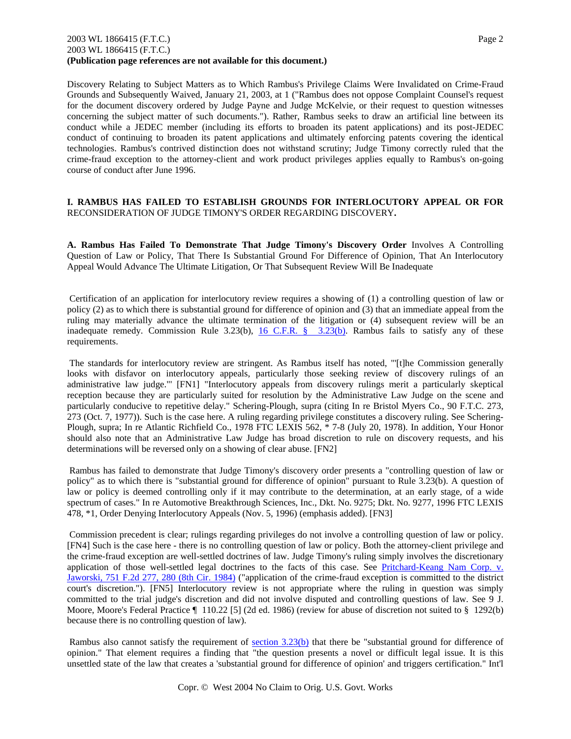## 2003 WL 1866415 (F.T.C.) Page 2 2003 WL 1866415 (F.T.C.) **(Publication page references are not available for this document.)**

Discovery Relating to Subject Matters as to Which Rambus's Privilege Claims Were Invalidated on Crime-Fraud Grounds and Subsequently Waived, January 21, 2003, at 1 ("Rambus does not oppose Complaint Counsel's request for the document discovery ordered by Judge Payne and Judge McKelvie, or their request to question witnesses concerning the subject matter of such documents."). Rather, Rambus seeks to draw an artificial line between its conduct while a JEDEC member (including its efforts to broaden its patent applications) and its post-JEDEC conduct of continuing to broaden its patent applications and ultimately enforcing patents covering the identical technologies. Rambus's contrived distinction does not withstand scrutiny; Judge Timony correctly ruled that the crime-fraud exception to the attorney-client and work product privileges applies equally to Rambus's on-going course of conduct after June 1996.

# **I. RAMBUS HAS FAILED TO ESTABLISH GROUNDS FOR INTERLOCUTORY APPEAL OR FOR**  RECONSIDERATION OF JUDGE TIMONY'S ORDER REGARDING DISCOVERY**.**

**A. Rambus Has Failed To Demonstrate That Judge Timony's Discovery Order** Involves A Controlling Question of Law or Policy, That There Is Substantial Ground For Difference of Opinion, That An Interlocutory Appeal Would Advance The Ultimate Litigation, Or That Subsequent Review Will Be Inadequate

 Certification of an application for interlocutory review requires a showing of (1) a controlling question of law or policy (2) as to which there is substantial ground for difference of opinion and (3) that an immediate appeal from the ruling may materially advance the ultimate termination of the litigation or (4) subsequent review will be an inadequate remedy. Commission Rule 3.23(b), 16 C.F.R. § 3.23(b). Rambus fails to satisfy any of these requirements.

 The standards for interlocutory review are stringent. As Rambus itself has noted, "'[t]he Commission generally looks with disfavor on interlocutory appeals, particularly those seeking review of discovery rulings of an administrative law judge."' [FN1] "Interlocutory appeals from discovery rulings merit a particularly skeptical reception because they are particularly suited for resolution by the Administrative Law Judge on the scene and particularly conducive to repetitive delay." Schering-Plough, supra (citing In re Bristol Myers Co., 90 F.T.C. 273, 273 (Oct. 7, 1977)). Such is the case here. A ruling regarding privilege constitutes a discovery ruling. See Schering-Plough, supra; In re Atlantic Richfield Co., 1978 FTC LEXIS 562, \* 7-8 (July 20, 1978). In addition, Your Honor should also note that an Administrative Law Judge has broad discretion to rule on discovery requests, and his determinations will be reversed only on a showing of clear abuse. [FN2]

 Rambus has failed to demonstrate that Judge Timony's discovery order presents a "controlling question of law or policy" as to which there is "substantial ground for difference of opinion" pursuant to Rule 3.23(b). A question of law or policy is deemed controlling only if it may contribute to the determination, at an early stage, of a wide spectrum of cases." In re Automotive Breakthrough Sciences, Inc., Dkt. No. 9275; Dkt. No. 9277, 1996 FTC LEXIS 478, \*1, Order Denying Interlocutory Appeals (Nov. 5, 1996) (emphasis added). [FN3]

 Commission precedent is clear; rulings regarding privileges do not involve a controlling question of law or policy. [FN4] Such is the case here - there is no controlling question of law or policy. Both the attorney-client privilege and the crime-fraud exception are well-settled doctrines of law. Judge Timony's ruling simply involves the discretionary application of those well-settled legal doctrines to the facts of this case. See Pritchard-Keang Nam Corp. v. Jaworski, 751 F.2d 277, 280 (8th Cir. 1984) ("application of the crime-fraud exception is committed to the district court's discretion."). [FN5] Interlocutory review is not appropriate where the ruling in question was simply committed to the trial judge's discretion and did not involve disputed and controlling questions of law. See 9 J. Moore, Moore's Federal Practice  $\llbracket 110.22 \llbracket 5 \rrbracket$  (2d ed. 1986) (review for abuse of discretion not suited to § 1292(b) because there is no controlling question of law).

Rambus also cannot satisfy the requirement of section  $3.23(b)$  that there be "substantial ground for difference of opinion." That element requires a finding that "the question presents a novel or difficult legal issue. It is this unsettled state of the law that creates a 'substantial ground for difference of opinion' and triggers certification." Int'l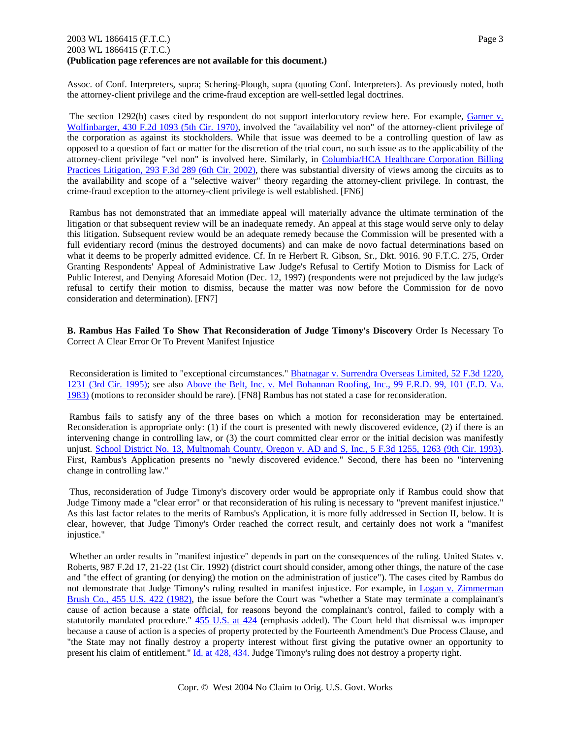## 2003 WL 1866415 (F.T.C.) Page 3 2003 WL 1866415 (F.T.C.) **(Publication page references are not available for this document.)**

Assoc. of Conf. Interpreters, supra; Schering-Plough, supra (quoting Conf. Interpreters). As previously noted, both the attorney-client privilege and the crime-fraud exception are well-settled legal doctrines.

The section 1292(b) cases cited by respondent do not support interlocutory review here. For example, Garner v. Wolfinbarger, 430 F.2d 1093 (5th Cir. 1970), involved the "availability vel non" of the attorney-client privilege of the corporation as against its stockholders. While that issue was deemed to be a controlling question of law as opposed to a question of fact or matter for the discretion of the trial court, no such issue as to the applicability of the attorney-client privilege "vel non" is involved here. Similarly, in Columbia/HCA Healthcare Corporation Billing Practices Litigation, 293 F.3d 289 (6th Cir. 2002), there was substantial diversity of views among the circuits as to the availability and scope of a "selective waiver" theory regarding the attorney-client privilege. In contrast, the crime-fraud exception to the attorney-client privilege is well established. [FN6]

 Rambus has not demonstrated that an immediate appeal will materially advance the ultimate termination of the litigation or that subsequent review will be an inadequate remedy. An appeal at this stage would serve only to delay this litigation. Subsequent review would be an adequate remedy because the Commission will be presented with a full evidentiary record (minus the destroyed documents) and can make de novo factual determinations based on what it deems to be properly admitted evidence. Cf. In re Herbert R. Gibson, Sr., Dkt. 9016. 90 F.T.C. 275, Order Granting Respondents' Appeal of Administrative Law Judge's Refusal to Certify Motion to Dismiss for Lack of Public Interest, and Denying Aforesaid Motion (Dec. 12, 1997) (respondents were not prejudiced by the law judge's refusal to certify their motion to dismiss, because the matter was now before the Commission for de novo consideration and determination). [FN7]

**B. Rambus Has Failed To Show That Reconsideration of Judge Timony's Discovery** Order Is Necessary To Correct A Clear Error Or To Prevent Manifest Injustice

 Reconsideration is limited to "exceptional circumstances." Bhatnagar v. Surrendra Overseas Limited, 52 F.3d 1220, 1231 (3rd Cir. 1995); see also Above the Belt, Inc. v. Mel Bohannan Roofing, Inc., 99 F.R.D. 99, 101 (E.D. Va. 1983) (motions to reconsider should be rare). [FN8] Rambus has not stated a case for reconsideration.

 Rambus fails to satisfy any of the three bases on which a motion for reconsideration may be entertained. Reconsideration is appropriate only: (1) if the court is presented with newly discovered evidence, (2) if there is an intervening change in controlling law, or (3) the court committed clear error or the initial decision was manifestly unjust. School District No. 13, Multnomah County, Oregon v. AD and S, Inc., 5 F.3d 1255, 1263 (9th Cir. 1993). First, Rambus's Application presents no "newly discovered evidence." Second, there has been no "intervening change in controlling law."

 Thus, reconsideration of Judge Timony's discovery order would be appropriate only if Rambus could show that Judge Timony made a "clear error" or that reconsideration of his ruling is necessary to "prevent manifest injustice." As this last factor relates to the merits of Rambus's Application, it is more fully addressed in Section II, below. It is clear, however, that Judge Timony's Order reached the correct result, and certainly does not work a "manifest injustice."

 Whether an order results in "manifest injustice" depends in part on the consequences of the ruling. United States v. Roberts, 987 F.2d 17, 21-22 (1st Cir. 1992) (district court should consider, among other things, the nature of the case and "the effect of granting (or denying) the motion on the administration of justice"). The cases cited by Rambus do not demonstrate that Judge Timony's ruling resulted in manifest injustice. For example, in Logan v. Zimmerman Brush Co., 455 U.S. 422 (1982), the issue before the Court was "whether a State may terminate a complainant's cause of action because a state official, for reasons beyond the complainant's control, failed to comply with a statutorily mandated procedure." 455 U.S. at 424 (emphasis added). The Court held that dismissal was improper because a cause of action is a species of property protected by the Fourteenth Amendment's Due Process Clause, and "the State may not finally destroy a property interest without first giving the putative owner an opportunity to present his claim of entitlement." Id. at 428, 434. Judge Timony's ruling does not destroy a property right.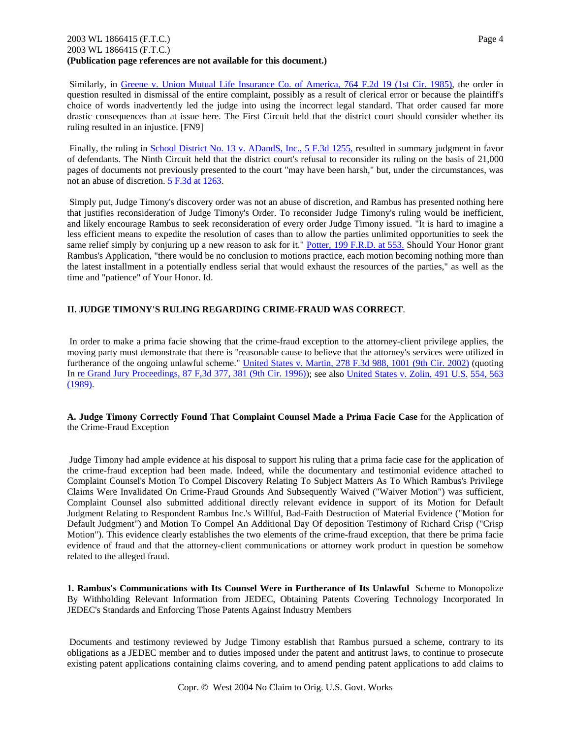## 2003 WL 1866415 (F.T.C.) Page 4 2003 WL 1866415 (F.T.C.) **(Publication page references are not available for this document.)**

 Similarly, in Greene v. Union Mutual Life Insurance Co. of America, 764 F.2d 19 (1st Cir. 1985), the order in question resulted in dismissal of the entire complaint, possibly as a result of clerical error or because the plaintiff's choice of words inadvertently led the judge into using the incorrect legal standard. That order caused far more drastic consequences than at issue here. The First Circuit held that the district court should consider whether its ruling resulted in an injustice. [FN9]

Finally, the ruling in School District No. 13 v. ADandS, Inc., 5 F.3d 1255, resulted in summary judgment in favor of defendants. The Ninth Circuit held that the district court's refusal to reconsider its ruling on the basis of 21,000 pages of documents not previously presented to the court "may have been harsh," but, under the circumstances, was not an abuse of discretion. 5 F.3d at 1263.

 Simply put, Judge Timony's discovery order was not an abuse of discretion, and Rambus has presented nothing here that justifies reconsideration of Judge Timony's Order. To reconsider Judge Timony's ruling would be inefficient, and likely encourage Rambus to seek reconsideration of every order Judge Timony issued. "It is hard to imagine a less efficient means to expedite the resolution of cases than to allow the parties unlimited opportunities to seek the same relief simply by conjuring up a new reason to ask for it." Potter, 199 F.R.D. at 553. Should Your Honor grant Rambus's Application, "there would be no conclusion to motions practice, each motion becoming nothing more than the latest installment in a potentially endless serial that would exhaust the resources of the parties," as well as the time and "patience" of Your Honor. Id.

# **II. JUDGE TIMONY'S RULING REGARDING CRIME-FRAUD WAS CORRECT**.

 In order to make a prima facie showing that the crime-fraud exception to the attorney-client privilege applies, the moving party must demonstrate that there is "reasonable cause to believe that the attorney's services were utilized in furtherance of the ongoing unlawful scheme." United States v. Martin, 278 F.3d 988, 1001 (9th Cir. 2002) (quoting In re Grand Jury Proceedings, 87 F,3d 377, 381 (9th Cir. 1996)); see also United States v. Zolin, 491 U.S. 554, 563 (1989).

**A. Judge Timony Correctly Found That Complaint Counsel Made a Prima Facie Case** for the Application of the Crime-Fraud Exception

 Judge Timony had ample evidence at his disposal to support his ruling that a prima facie case for the application of the crime-fraud exception had been made. Indeed, while the documentary and testimonial evidence attached to Complaint Counsel's Motion To Compel Discovery Relating To Subject Matters As To Which Rambus's Privilege Claims Were Invalidated On Crime-Fraud Grounds And Subsequently Waived ("Waiver Motion") was sufficient, Complaint Counsel also submitted additional directly relevant evidence in support of its Motion for Default Judgment Relating to Respondent Rambus Inc.'s Willful, Bad-Faith Destruction of Material Evidence ("Motion for Default Judgment") and Motion To Compel An Additional Day Of deposition Testimony of Richard Crisp ("Crisp Motion"). This evidence clearly establishes the two elements of the crime-fraud exception, that there be prima facie evidence of fraud and that the attorney-client communications or attorney work product in question be somehow related to the alleged fraud.

**1. Rambus's Communications with Its Counsel Were in Furtherance of Its Unlawful** Scheme to Monopolize By Withholding Relevant Information from JEDEC, Obtaining Patents Covering Technology Incorporated In JEDEC's Standards and Enforcing Those Patents Against Industry Members

 Documents and testimony reviewed by Judge Timony establish that Rambus pursued a scheme, contrary to its obligations as a JEDEC member and to duties imposed under the patent and antitrust laws, to continue to prosecute existing patent applications containing claims covering, and to amend pending patent applications to add claims to

Copr. © West 2004 No Claim to Orig. U.S. Govt. Works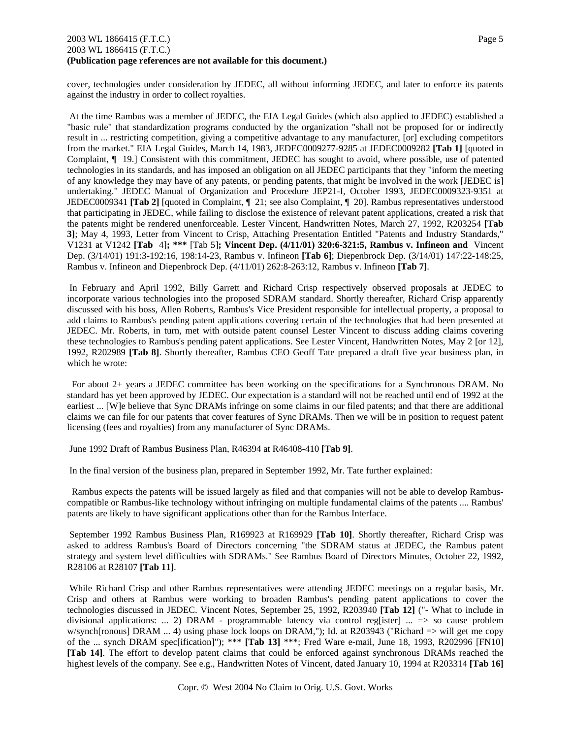## 2003 WL 1866415 (F.T.C.) Page 5 2003 WL 1866415 (F.T.C.) **(Publication page references are not available for this document.)**

cover, technologies under consideration by JEDEC, all without informing JEDEC, and later to enforce its patents against the industry in order to collect royalties.

 At the time Rambus was a member of JEDEC, the EIA Legal Guides (which also applied to JEDEC) established a "basic rule" that standardization programs conducted by the organization "shall not be proposed for or indirectly result in ... restricting competition, giving a competitive advantage to any manufacturer, [or] excluding competitors from the market." EIA Legal Guides, March 14, 1983, JEDEC0009277-9285 at JEDEC0009282 **[Tab 1]** [quoted in Complaint, ¶ 19.] Consistent with this commitment, JEDEC has sought to avoid, where possible, use of patented technologies in its standards, and has imposed an obligation on all JEDEC participants that they "inform the meeting of any knowledge they may have of any patents, or pending patents, that might be involved in the work [JEDEC is] undertaking." JEDEC Manual of Organization and Procedure JEP21-I, October 1993, JEDEC0009323-9351 at JEDEC0009341 **[Tab 2]** [quoted in Complaint, ¶ 21; see also Complaint, ¶ 20]. Rambus representatives understood that participating in JEDEC, while failing to disclose the existence of relevant patent applications, created a risk that the patents might be rendered unenforceable. Lester Vincent, Handwritten Notes, March 27, 1992, R203254 **[Tab 3]**; May 4, 1993, Letter from Vincent to Crisp, Attaching Presentation Entitled "Patents and Industry Standards," V1231 at V1242 **[Tab** 4]**; \*\*\*** [Tab 5]**; Vincent Dep. (4/11/01) 320:6-321:5, Rambus v. Infineon and** Vincent Dep. (3/14/01) 191:3-192:16, 198:14-23, Rambus v. Infineon **[Tab 6]**; Diepenbrock Dep. (3/14/01) 147:22-148:25, Rambus v. Infineon and Diepenbrock Dep. (4/11/01) 262:8-263:12, Rambus v. Infineon **[Tab 7]**.

 In February and April 1992, Billy Garrett and Richard Crisp respectively observed proposals at JEDEC to incorporate various technologies into the proposed SDRAM standard. Shortly thereafter, Richard Crisp apparently discussed with his boss, Allen Roberts, Rambus's Vice President responsible for intellectual property, a proposal to add claims to Rambus's pending patent applications covering certain of the technologies that had been presented at JEDEC. Mr. Roberts, in turn, met with outside patent counsel Lester Vincent to discuss adding claims covering these technologies to Rambus's pending patent applications. See Lester Vincent, Handwritten Notes, May 2 [or 12], 1992, R202989 **[Tab 8]**. Shortly thereafter, Rambus CEO Geoff Tate prepared a draft five year business plan, in which he wrote:

 For about 2+ years a JEDEC committee has been working on the specifications for a Synchronous DRAM. No standard has yet been approved by JEDEC. Our expectation is a standard will not be reached until end of 1992 at the earliest ... [W]e believe that Sync DRAMs infringe on some claims in our filed patents; and that there are additional claims we can file for our patents that cover features of Sync DRAMs. Then we will be in position to request patent licensing (fees and royalties) from any manufacturer of Sync DRAMs.

June 1992 Draft of Rambus Business Plan, R46394 at R46408-410 **[Tab 9]**.

In the final version of the business plan, prepared in September 1992, Mr. Tate further explained:

 Rambus expects the patents will be issued largely as filed and that companies will not be able to develop Rambuscompatible or Rambus-like technology without infringing on multiple fundamental claims of the patents .... Rambus' patents are likely to have significant applications other than for the Rambus Interface.

 September 1992 Rambus Business Plan, R169923 at R169929 **[Tab 10]**. Shortly thereafter, Richard Crisp was asked to address Rambus's Board of Directors concerning "the SDRAM status at JEDEC, the Rambus patent strategy and system level difficulties with SDRAMs." See Rambus Board of Directors Minutes, October 22, 1992, R28106 at R28107 **[Tab 11]**.

 While Richard Crisp and other Rambus representatives were attending JEDEC meetings on a regular basis, Mr. Crisp and others at Rambus were working to broaden Rambus's pending patent applications to cover the technologies discussed in JEDEC. Vincent Notes, September 25, 1992, R203940 **[Tab 12]** ("- What to include in divisional applications: ... 2) DRAM - programmable latency via control reg[ister] ... => so cause problem w/synch[ronous] DRAM ... 4) using phase lock loops on DRAM,"); Id. at R203943 ("Richard => will get me copy of the ... synch DRAM spec[ification]"); \*\*\* **[Tab 13]** \*\*\*; Fred Ware e-mail, June 18, 1993, R202996 [FN10] **[Tab 14]**. The effort to develop patent claims that could be enforced against synchronous DRAMs reached the highest levels of the company. See e.g., Handwritten Notes of Vincent, dated January 10, 1994 at R203314 **[Tab 16]**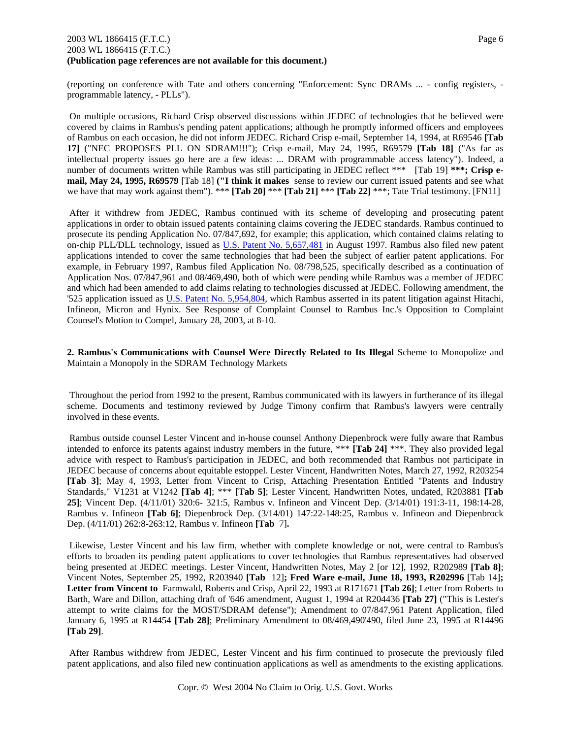## 2003 WL 1866415 (F.T.C.) Page 6 2003 WL 1866415 (F.T.C.) **(Publication page references are not available for this document.)**

(reporting on conference with Tate and others concerning "Enforcement: Sync DRAMs ... - config registers, programmable latency, - PLLs").

 On multiple occasions, Richard Crisp observed discussions within JEDEC of technologies that he believed were covered by claims in Rambus's pending patent applications; although he promptly informed officers and employees of Rambus on each occasion, he did not inform JEDEC. Richard Crisp e-mail, September 14, 1994, at R69546 **[Tab 17]** ("NEC PROPOSES PLL ON SDRAM!!!"); Crisp e-mail, May 24, 1995, R69579 **[Tab 18]** ("As far as intellectual property issues go here are a few ideas: ... DRAM with programmable access latency"). Indeed, a number of documents written while Rambus was still participating in JEDEC reflect \*\*\* [Tab 19] **\*\*\*; Crisp email, May 24, 1995, R69579** [Tab 18] **("I think it makes** sense to review our current issued patents and see what we have that may work against them"). \*\*\* **[Tab 20]** \*\*\* **[Tab 21]** \*\*\* **[Tab 22]** \*\*\*; Tate Trial testimony. [FN11]

 After it withdrew from JEDEC, Rambus continued with its scheme of developing and prosecuting patent applications in order to obtain issued patents containing claims covering the JEDEC standards. Rambus continued to prosecute its pending Application No. 07/847,692, for example; this application, which contained claims relating to on-chip PLL/DLL technology, issued as U.S. Patent No. 5,657,481 in August 1997. Rambus also filed new patent applications intended to cover the same technologies that had been the subject of earlier patent applications. For example, in February 1997, Rambus filed Application No. 08/798,525, specifically described as a continuation of Application Nos. 07/847,961 and 08/469,490, both of which were pending while Rambus was a member of JEDEC and which had been amended to add claims relating to technologies discussed at JEDEC. Following amendment, the '525 application issued as U.S. Patent No. 5,954,804, which Rambus asserted in its patent litigation against Hitachi, Infineon, Micron and Hynix. See Response of Complaint Counsel to Rambus Inc.'s Opposition to Complaint Counsel's Motion to Compel, January 28, 2003, at 8-10.

**2. Rambus's Communications with Counsel Were Directly Related to Its Illegal** Scheme to Monopolize and Maintain a Monopoly in the SDRAM Technology Markets

 Throughout the period from 1992 to the present, Rambus communicated with its lawyers in furtherance of its illegal scheme. Documents and testimony reviewed by Judge Timony confirm that Rambus's lawyers were centrally involved in these events.

 Rambus outside counsel Lester Vincent and in-house counsel Anthony Diepenbrock were fully aware that Rambus intended to enforce its patents against industry members in the future, \*\*\* **[Tab 24]** \*\*\*. They also provided legal advice with respect to Rambus's participation in JEDEC, and both recommended that Rambus not participate in JEDEC because of concerns about equitable estoppel. Lester Vincent, Handwritten Notes, March 27, 1992, R203254 **[Tab 3]**; May 4, 1993, Letter from Vincent to Crisp, Attaching Presentation Entitled "Patents and Industry Standards," V1231 at V1242 **[Tab 4]**; \*\*\* **[Tab 5]**; Lester Vincent, Handwritten Notes, undated, R203881 **[Tab 25]**; Vincent Dep. (4/11/01) 320:6- 321:5, Rambus v. Infineon and Vincent Dep. (3/14/01) 191:3-11, 198:14-28, Rambus v. Infineon **[Tab 6]**; Diepenbrock Dep. (3/14/01) 147:22-148:25, Rambus v. Infineon and Diepenbrock Dep. (4/11/01) 262:8-263:12, Rambus v. Infineon **[Tab** 7]**.** 

 Likewise, Lester Vincent and his law firm, whether with complete knowledge or not, were central to Rambus's efforts to broaden its pending patent applications to cover technologies that Rambus representatives had observed being presented at JEDEC meetings. Lester Vincent, Handwritten Notes, May 2 [or 12], 1992, R202989 **[Tab 8]**; Vincent Notes, September 25, 1992, R203940 **[Tab** 12]**; Fred Ware e-mail, June 18, 1993, R202996** [Tab 14]**; Letter from Vincent to** Farmwald, Roberts and Crisp, April 22, 1993 at R171671 **[Tab 26]**; Letter from Roberts to Barth, Ware and Dillon, attaching draft of '646 amendment, August 1, 1994 at R204436 **[Tab 27]** ("This is Lester's attempt to write claims for the MOST/SDRAM defense"); Amendment to 07/847,961 Patent Application, filed January 6, 1995 at R14454 **[Tab 28]**; Preliminary Amendment to 08/469,490'490, filed June 23, 1995 at R14496 **[Tab 29]**.

 After Rambus withdrew from JEDEC, Lester Vincent and his firm continued to prosecute the previously filed patent applications, and also filed new continuation applications as well as amendments to the existing applications.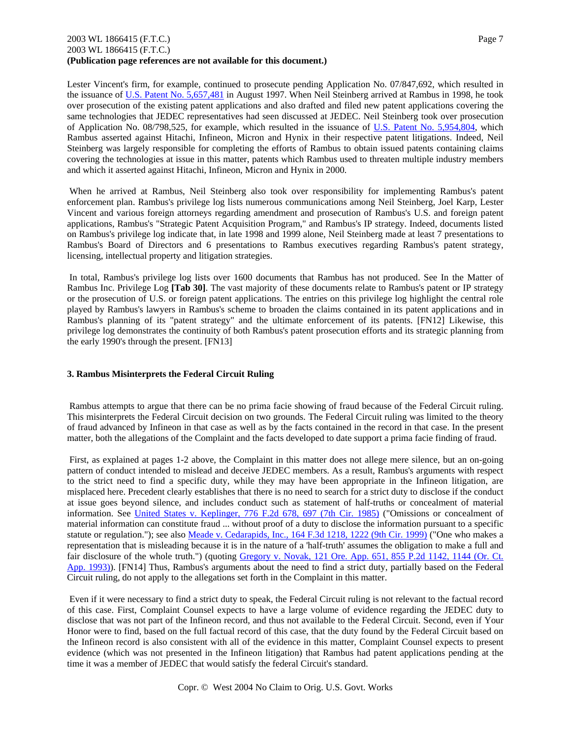## 2003 WL 1866415 (F.T.C.) Page 7 2003 WL 1866415 (F.T.C.) **(Publication page references are not available for this document.)**

Lester Vincent's firm, for example, continued to prosecute pending Application No. 07/847,692, which resulted in the issuance of U.S. Patent No. 5,657,481 in August 1997. When Neil Steinberg arrived at Rambus in 1998, he took over prosecution of the existing patent applications and also drafted and filed new patent applications covering the same technologies that JEDEC representatives had seen discussed at JEDEC. Neil Steinberg took over prosecution of Application No. 08/798,525, for example, which resulted in the issuance of U.S. Patent No. 5,954,804, which Rambus asserted against Hitachi, Infineon, Micron and Hynix in their respective patent litigations. Indeed, Neil Steinberg was largely responsible for completing the efforts of Rambus to obtain issued patents containing claims covering the technologies at issue in this matter, patents which Rambus used to threaten multiple industry members and which it asserted against Hitachi, Infineon, Micron and Hynix in 2000.

 When he arrived at Rambus, Neil Steinberg also took over responsibility for implementing Rambus's patent enforcement plan. Rambus's privilege log lists numerous communications among Neil Steinberg, Joel Karp, Lester Vincent and various foreign attorneys regarding amendment and prosecution of Rambus's U.S. and foreign patent applications, Rambus's "Strategic Patent Acquisition Program," and Rambus's IP strategy. Indeed, documents listed on Rambus's privilege log indicate that, in late 1998 and 1999 alone, Neil Steinberg made at least 7 presentations to Rambus's Board of Directors and 6 presentations to Rambus executives regarding Rambus's patent strategy, licensing, intellectual property and litigation strategies.

 In total, Rambus's privilege log lists over 1600 documents that Rambus has not produced. See In the Matter of Rambus Inc. Privilege Log **[Tab 30]**. The vast majority of these documents relate to Rambus's patent or IP strategy or the prosecution of U.S. or foreign patent applications. The entries on this privilege log highlight the central role played by Rambus's lawyers in Rambus's scheme to broaden the claims contained in its patent applications and in Rambus's planning of its "patent strategy" and the ultimate enforcement of its patents. [FN12] Likewise, this privilege log demonstrates the continuity of both Rambus's patent prosecution efforts and its strategic planning from the early 1990's through the present. [FN13]

## **3. Rambus Misinterprets the Federal Circuit Ruling**

 Rambus attempts to argue that there can be no prima facie showing of fraud because of the Federal Circuit ruling. This misinterprets the Federal Circuit decision on two grounds. The Federal Circuit ruling was limited to the theory of fraud advanced by Infineon in that case as well as by the facts contained in the record in that case. In the present matter, both the allegations of the Complaint and the facts developed to date support a prima facie finding of fraud.

 First, as explained at pages 1-2 above, the Complaint in this matter does not allege mere silence, but an on-going pattern of conduct intended to mislead and deceive JEDEC members. As a result, Rambus's arguments with respect to the strict need to find a specific duty, while they may have been appropriate in the Infineon litigation, are misplaced here. Precedent clearly establishes that there is no need to search for a strict duty to disclose if the conduct at issue goes beyond silence, and includes conduct such as statement of half-truths or concealment of material information. See United States v. Keplinger, 776 F.2d 678, 697 (7th Cir. 1985) ("Omissions or concealment of material information can constitute fraud ... without proof of a duty to disclose the information pursuant to a specific statute or regulation."); see also Meade v. Cedarapids, Inc., 164 F.3d 1218, 1222 (9th Cir. 1999) ("One who makes a representation that is misleading because it is in the nature of a 'half-truth' assumes the obligation to make a full and fair disclosure of the whole truth.") (quoting Gregory v. Novak, 121 Ore. App. 651, 855 P.2d 1142, 1144 (Or. Ct. App. 1993)). [FN14] Thus, Rambus's arguments about the need to find a strict duty, partially based on the Federal Circuit ruling, do not apply to the allegations set forth in the Complaint in this matter.

 Even if it were necessary to find a strict duty to speak, the Federal Circuit ruling is not relevant to the factual record of this case. First, Complaint Counsel expects to have a large volume of evidence regarding the JEDEC duty to disclose that was not part of the Infineon record, and thus not available to the Federal Circuit. Second, even if Your Honor were to find, based on the full factual record of this case, that the duty found by the Federal Circuit based on the Infineon record is also consistent with all of the evidence in this matter, Complaint Counsel expects to present evidence (which was not presented in the Infineon litigation) that Rambus had patent applications pending at the time it was a member of JEDEC that would satisfy the federal Circuit's standard.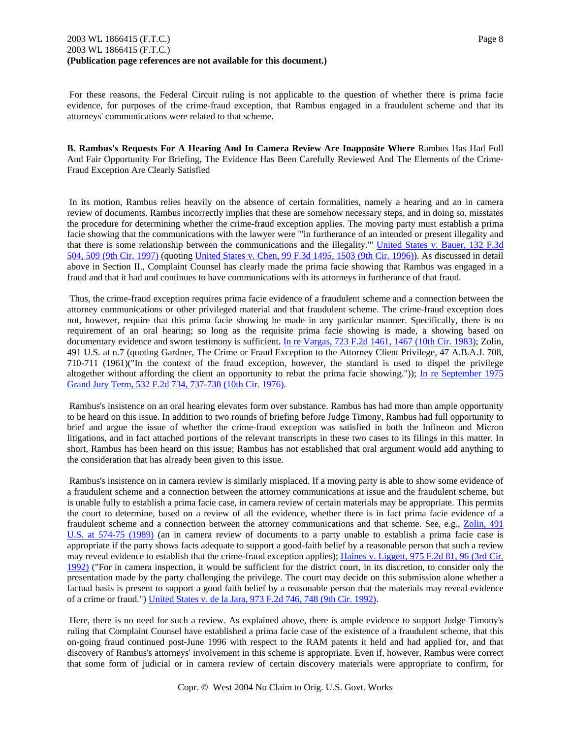For these reasons, the Federal Circuit ruling is not applicable to the question of whether there is prima facie evidence, for purposes of the crime-fraud exception, that Rambus engaged in a fraudulent scheme and that its attorneys' communications were related to that scheme.

**B. Rambus's Requests For A Hearing And In Camera Review Are Inapposite Where** Rambus Has Had Full And Fair Opportunity For Briefing, The Evidence Has Been Carefully Reviewed And The Elements of the Crime-Fraud Exception Are Clearly Satisfied

 In its motion, Rambus relies heavily on the absence of certain formalities, namely a hearing and an in camera review of documents. Rambus incorrectly implies that these are somehow necessary steps, and in doing so, misstates the procedure for determining whether the crime-fraud exception applies. The moving party must establish a prima facie showing that the communications with the lawyer were "'in furtherance of an intended or present illegality and that there is some relationship between the communications and the illegality."' United States v. Bauer, 132 F.3d 504, 509 (9th Cir. 1997) (quoting United States v. Chen, 99 F.3d 1495, 1503 (9th Cir. 1996)). As discussed in detail above in Section II., Complaint Counsel has clearly made the prima facie showing that Rambus was engaged in a fraud and that it had and continues to have communications with its attorneys in furtherance of that fraud.

 Thus, the crime-fraud exception requires prima facie evidence of a fraudulent scheme and a connection between the attorney communications or other privileged material and that fraudulent scheme. The crime-fraud exception does not, however, require that this prima facie showing be made in any particular manner. Specifically, there is no requirement of an oral hearing; so long as the requisite prima facie showing is made, a showing based on documentary evidence and sworn testimony is sufficient. In re Vargas, 723 F.2d 1461, 1467 (10th Cir. 1983); Zolin, 491 U.S. at n.7 (quoting Gardner, The Crime or Fraud Exception to the Attorney Client Privilege, 47 A.B.A.J. 708, 710-711 (1961)("In the context of the fraud exception, however, the standard is used to dispel the privilege altogether without affording the client an opportunity to rebut the prima facie showing.")); In re September 1975 Grand Jury Term, 532 F.2d 734, 737-738 (10th Cir. 1976).

 Rambus's insistence on an oral hearing elevates form over substance. Rambus has had more than ample opportunity to be heard on this issue. In addition to two rounds of briefing before Judge Timony, Rambus had full opportunity to brief and argue the issue of whether the crime-fraud exception was satisfied in both the Infineon and Micron litigations, and in fact attached portions of the relevant transcripts in these two cases to its filings in this matter. In short, Rambus has been heard on this issue; Rambus has not established that oral argument would add anything to the consideration that has already been given to this issue.

 Rambus's insistence on in camera review is similarly misplaced. If a moving party is able to show some evidence of a fraudulent scheme and a connection between the attorney communications at issue and the fraudulent scheme, but is unable fully to establish a prima facie case, in camera review of certain materials may be appropriate. This permits the court to determine, based on a review of all the evidence, whether there is in fact prima facie evidence of a fraudulent scheme and a connection between the attorney communications and that scheme. See, e.g., Zolin, 491 U.S. at 574-75 (1989) (an in camera review of documents to a party unable to establish a prima facie case is appropriate if the party shows facts adequate to support a good-faith belief by a reasonable person that such a review may reveal evidence to establish that the crime-fraud exception applies); Haines v. Liggett, 975 F.2d 81, 96 (3rd Cir. 1992) ("For in camera inspection, it would be sufficient for the district court, in its discretion, to consider only the presentation made by the party challenging the privilege. The court may decide on this submission alone whether a factual basis is present to support a good faith belief by a reasonable person that the materials may reveal evidence of a crime or fraud.") United States v. de la Jara, 973 F.2d 746, 748 (9th Cir. 1992).

 Here, there is no need for such a review. As explained above, there is ample evidence to support Judge Timony's ruling that Complaint Counsel have established a prima facie case of the existence of a fraudulent scheme, that this on-going fraud continued post-June 1996 with respect to the RAM patents it held and had applied for, and that discovery of Rambus's attorneys' involvement in this scheme is appropriate. Even if, however, Rambus were correct that some form of judicial or in camera review of certain discovery materials were appropriate to confirm, for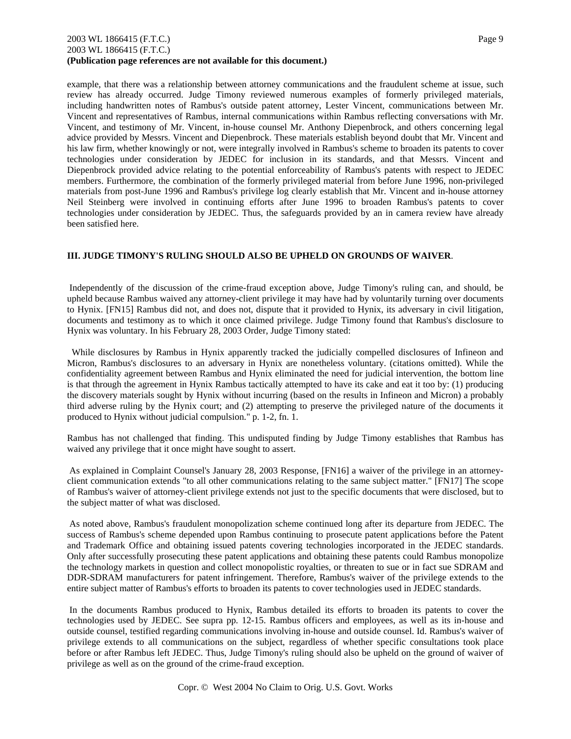### 2003 WL 1866415 (F.T.C.) Page 9 2003 WL 1866415 (F.T.C.) **(Publication page references are not available for this document.)**

example, that there was a relationship between attorney communications and the fraudulent scheme at issue, such review has already occurred. Judge Timony reviewed numerous examples of formerly privileged materials, including handwritten notes of Rambus's outside patent attorney, Lester Vincent, communications between Mr. Vincent and representatives of Rambus, internal communications within Rambus reflecting conversations with Mr. Vincent, and testimony of Mr. Vincent, in-house counsel Mr. Anthony Diepenbrock, and others concerning legal advice provided by Messrs. Vincent and Diepenbrock. These materials establish beyond doubt that Mr. Vincent and his law firm, whether knowingly or not, were integrally involved in Rambus's scheme to broaden its patents to cover technologies under consideration by JEDEC for inclusion in its standards, and that Messrs. Vincent and Diepenbrock provided advice relating to the potential enforceability of Rambus's patents with respect to JEDEC members. Furthermore, the combination of the formerly privileged material from before June 1996, non-privileged materials from post-June 1996 and Rambus's privilege log clearly establish that Mr. Vincent and in-house attorney Neil Steinberg were involved in continuing efforts after June 1996 to broaden Rambus's patents to cover technologies under consideration by JEDEC. Thus, the safeguards provided by an in camera review have already been satisfied here.

## **III. JUDGE TIMONY'S RULING SHOULD ALSO BE UPHELD ON GROUNDS OF WAIVER**.

 Independently of the discussion of the crime-fraud exception above, Judge Timony's ruling can, and should, be upheld because Rambus waived any attorney-client privilege it may have had by voluntarily turning over documents to Hynix. [FN15] Rambus did not, and does not, dispute that it provided to Hynix, its adversary in civil litigation, documents and testimony as to which it once claimed privilege. Judge Timony found that Rambus's disclosure to Hynix was voluntary. In his February 28, 2003 Order, Judge Timony stated:

 While disclosures by Rambus in Hynix apparently tracked the judicially compelled disclosures of Infineon and Micron, Rambus's disclosures to an adversary in Hynix are nonetheless voluntary. (citations omitted). While the confidentiality agreement between Rambus and Hynix eliminated the need for judicial intervention, the bottom line is that through the agreement in Hynix Rambus tactically attempted to have its cake and eat it too by: (1) producing the discovery materials sought by Hynix without incurring (based on the results in Infineon and Micron) a probably third adverse ruling by the Hynix court; and (2) attempting to preserve the privileged nature of the documents it produced to Hynix without judicial compulsion." p. 1-2, fn. 1.

Rambus has not challenged that finding. This undisputed finding by Judge Timony establishes that Rambus has waived any privilege that it once might have sought to assert.

 As explained in Complaint Counsel's January 28, 2003 Response, [FN16] a waiver of the privilege in an attorneyclient communication extends "to all other communications relating to the same subject matter." [FN17] The scope of Rambus's waiver of attorney-client privilege extends not just to the specific documents that were disclosed, but to the subject matter of what was disclosed.

 As noted above, Rambus's fraudulent monopolization scheme continued long after its departure from JEDEC. The success of Rambus's scheme depended upon Rambus continuing to prosecute patent applications before the Patent and Trademark Office and obtaining issued patents covering technologies incorporated in the JEDEC standards. Only after successfully prosecuting these patent applications and obtaining these patents could Rambus monopolize the technology markets in question and collect monopolistic royalties, or threaten to sue or in fact sue SDRAM and DDR-SDRAM manufacturers for patent infringement. Therefore, Rambus's waiver of the privilege extends to the entire subject matter of Rambus's efforts to broaden its patents to cover technologies used in JEDEC standards.

 In the documents Rambus produced to Hynix, Rambus detailed its efforts to broaden its patents to cover the technologies used by JEDEC. See supra pp. 12-15. Rambus officers and employees, as well as its in-house and outside counsel, testified regarding communications involving in-house and outside counsel. Id. Rambus's waiver of privilege extends to all communications on the subject, regardless of whether specific consultations took place before or after Rambus left JEDEC. Thus, Judge Timony's ruling should also be upheld on the ground of waiver of privilege as well as on the ground of the crime-fraud exception.

Copr. © West 2004 No Claim to Orig. U.S. Govt. Works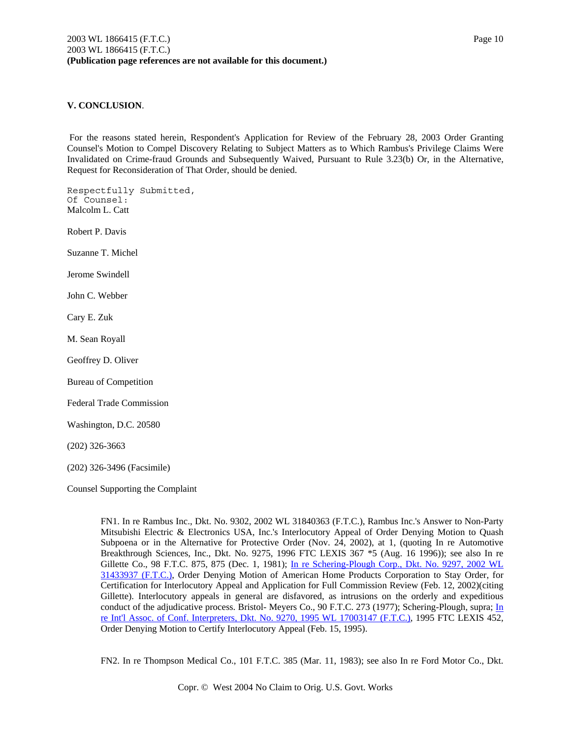# **V. CONCLUSION**.

 For the reasons stated herein, Respondent's Application for Review of the February 28, 2003 Order Granting Counsel's Motion to Compel Discovery Relating to Subject Matters as to Which Rambus's Privilege Claims Were Invalidated on Crime-fraud Grounds and Subsequently Waived, Pursuant to Rule 3.23(b) Or, in the Alternative, Request for Reconsideration of That Order, should be denied.

Respectfully Submitted, Of Counsel: Malcolm L. Catt Robert P. Davis Suzanne T. Michel Jerome Swindell John C. Webber Cary E. Zuk M. Sean Royall Geoffrey D. Oliver Bureau of Competition Federal Trade Commission

Washington, D.C. 20580

(202) 326-3663

(202) 326-3496 (Facsimile)

Counsel Supporting the Complaint

FN1. In re Rambus Inc., Dkt. No. 9302, 2002 WL 31840363 (F.T.C.), Rambus Inc.'s Answer to Non-Party Mitsubishi Electric & Electronics USA, Inc.'s Interlocutory Appeal of Order Denying Motion to Quash Subpoena or in the Alternative for Protective Order (Nov. 24, 2002), at 1, (quoting In re Automotive Breakthrough Sciences, Inc., Dkt. No. 9275, 1996 FTC LEXIS 367 \*5 (Aug. 16 1996)); see also In re Gillette Co., 98 F.T.C. 875, 875 (Dec. 1, 1981); In re Schering-Plough Corp., Dkt. No. 9297, 2002 WL 31433937 (F.T.C.), Order Denying Motion of American Home Products Corporation to Stay Order, for Certification for Interlocutory Appeal and Application for Full Commission Review (Feb. 12, 2002)(citing Gillette). Interlocutory appeals in general are disfavored, as intrusions on the orderly and expeditious conduct of the adjudicative process. Bristol- Meyers Co., 90 F.T.C. 273 (1977); Schering-Plough, supra; In re Int'l Assoc. of Conf. Interpreters, Dkt. No. 9270, 1995 WL 17003147 (F.T.C.), 1995 FTC LEXIS 452, Order Denying Motion to Certify Interlocutory Appeal (Feb. 15, 1995).

FN2. In re Thompson Medical Co., 101 F.T.C. 385 (Mar. 11, 1983); see also In re Ford Motor Co., Dkt.

Copr. © West 2004 No Claim to Orig. U.S. Govt. Works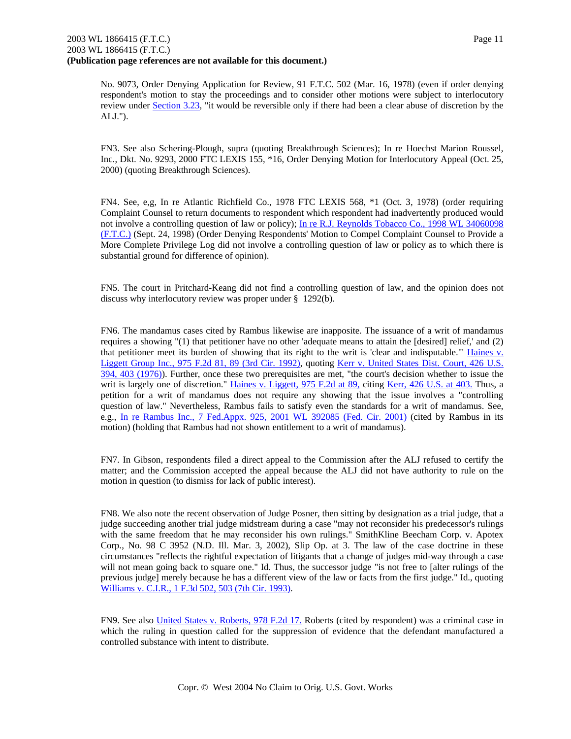No. 9073, Order Denying Application for Review, 91 F.T.C. 502 (Mar. 16, 1978) (even if order denying respondent's motion to stay the proceedings and to consider other motions were subject to interlocutory review under Section 3.23, "it would be reversible only if there had been a clear abuse of discretion by the ALJ.").

FN3. See also Schering-Plough, supra (quoting Breakthrough Sciences); In re Hoechst Marion Roussel, Inc., Dkt. No. 9293, 2000 FTC LEXIS 155, \*16, Order Denying Motion for Interlocutory Appeal (Oct. 25, 2000) (quoting Breakthrough Sciences).

FN4. See, e,g, In re Atlantic Richfield Co., 1978 FTC LEXIS 568, \*1 (Oct. 3, 1978) (order requiring Complaint Counsel to return documents to respondent which respondent had inadvertently produced would not involve a controlling question of law or policy); In re R.J. Reynolds Tobacco Co., 1998 WL 34060098 (F.T.C.) (Sept. 24, 1998) (Order Denying Respondents' Motion to Compel Complaint Counsel to Provide a More Complete Privilege Log did not involve a controlling question of law or policy as to which there is substantial ground for difference of opinion).

FN5. The court in Pritchard-Keang did not find a controlling question of law, and the opinion does not discuss why interlocutory review was proper under § 1292(b).

FN6. The mandamus cases cited by Rambus likewise are inapposite. The issuance of a writ of mandamus requires a showing "(1) that petitioner have no other 'adequate means to attain the [desired] relief,' and (2) that petitioner meet its burden of showing that its right to the writ is 'clear and indisputable."' Haines v. Liggett Group Inc., 975 F.2d 81, 89 (3rd Cir. 1992), quoting Kerr v. United States Dist. Court, 426 U.S. 394, 403 (1976)). Further, once these two prerequisites are met, "the court's decision whether to issue the writ is largely one of discretion." Haines v. Liggett, 975 F.2d at 89, citing Kerr, 426 U.S. at 403. Thus, a petition for a writ of mandamus does not require any showing that the issue involves a "controlling question of law." Nevertheless, Rambus fails to satisfy even the standards for a writ of mandamus. See, e.g., In re Rambus Inc., 7 Fed.Appx. 925, 2001 WL 392085 (Fed. Cir. 2001) (cited by Rambus in its motion) (holding that Rambus had not shown entitlement to a writ of mandamus).

FN7. In Gibson, respondents filed a direct appeal to the Commission after the ALJ refused to certify the matter; and the Commission accepted the appeal because the ALJ did not have authority to rule on the motion in question (to dismiss for lack of public interest).

FN8. We also note the recent observation of Judge Posner, then sitting by designation as a trial judge, that a judge succeeding another trial judge midstream during a case "may not reconsider his predecessor's rulings with the same freedom that he may reconsider his own rulings." SmithKline Beecham Corp. v. Apotex Corp., No. 98 C 3952 (N.D. Ill. Mar. 3, 2002), Slip Op. at 3. The law of the case doctrine in these circumstances "reflects the rightful expectation of litigants that a change of judges mid-way through a case will not mean going back to square one." Id. Thus, the successor judge "is not free to [alter rulings of the previous judge] merely because he has a different view of the law or facts from the first judge." Id., quoting Williams v. C.I.R., 1 F.3d 502, 503 (7th Cir. 1993).

FN9. See also United States v. Roberts, 978 F.2d 17. Roberts (cited by respondent) was a criminal case in which the ruling in question called for the suppression of evidence that the defendant manufactured a controlled substance with intent to distribute.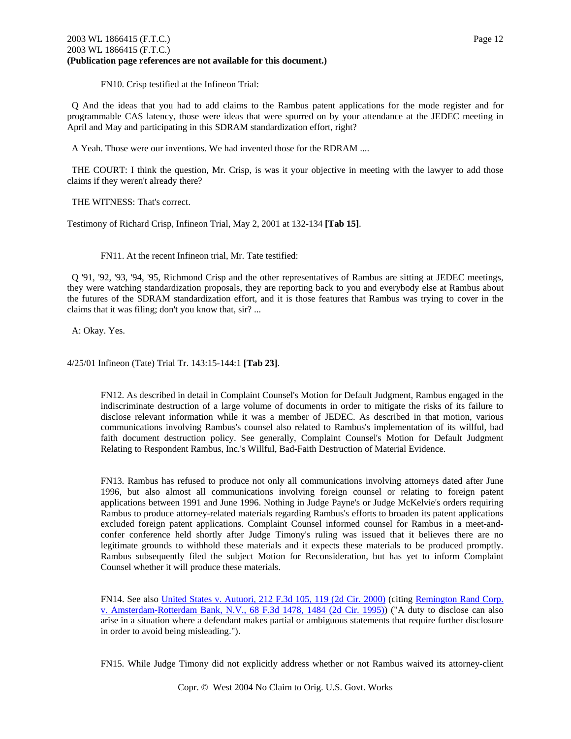## 2003 WL 1866415 (F.T.C.) Page 12 2003 WL 1866415 (F.T.C.) **(Publication page references are not available for this document.)**

FN10. Crisp testified at the Infineon Trial:

 Q And the ideas that you had to add claims to the Rambus patent applications for the mode register and for programmable CAS latency, those were ideas that were spurred on by your attendance at the JEDEC meeting in April and May and participating in this SDRAM standardization effort, right?

A Yeah. Those were our inventions. We had invented those for the RDRAM ....

 THE COURT: I think the question, Mr. Crisp, is was it your objective in meeting with the lawyer to add those claims if they weren't already there?

THE WITNESS: That's correct.

Testimony of Richard Crisp, Infineon Trial, May 2, 2001 at 132-134 **[Tab 15]**.

FN11. At the recent Infineon trial, Mr. Tate testified:

 Q '91, '92, '93, '94, '95, Richmond Crisp and the other representatives of Rambus are sitting at JEDEC meetings, they were watching standardization proposals, they are reporting back to you and everybody else at Rambus about the futures of the SDRAM standardization effort, and it is those features that Rambus was trying to cover in the claims that it was filing; don't you know that, sir? ...

A: Okay. Yes.

4/25/01 Infineon (Tate) Trial Tr. 143:15-144:1 **[Tab 23]**.

FN12. As described in detail in Complaint Counsel's Motion for Default Judgment, Rambus engaged in the indiscriminate destruction of a large volume of documents in order to mitigate the risks of its failure to disclose relevant information while it was a member of JEDEC. As described in that motion, various communications involving Rambus's counsel also related to Rambus's implementation of its willful, bad faith document destruction policy. See generally, Complaint Counsel's Motion for Default Judgment Relating to Respondent Rambus, Inc.'s Willful, Bad-Faith Destruction of Material Evidence.

FN13. Rambus has refused to produce not only all communications involving attorneys dated after June 1996, but also almost all communications involving foreign counsel or relating to foreign patent applications between 1991 and June 1996. Nothing in Judge Payne's or Judge McKelvie's orders requiring Rambus to produce attorney-related materials regarding Rambus's efforts to broaden its patent applications excluded foreign patent applications. Complaint Counsel informed counsel for Rambus in a meet-andconfer conference held shortly after Judge Timony's ruling was issued that it believes there are no legitimate grounds to withhold these materials and it expects these materials to be produced promptly. Rambus subsequently filed the subject Motion for Reconsideration, but has yet to inform Complaint Counsel whether it will produce these materials.

FN14. See also United States v. Autuori, 212 F.3d 105, 119 (2d Cir. 2000) (citing Remington Rand Corp. v. Amsterdam-Rotterdam Bank, N.V., 68 F.3d 1478, 1484 (2d Cir. 1995)) ("A duty to disclose can also arise in a situation where a defendant makes partial or ambiguous statements that require further disclosure in order to avoid being misleading.").

FN15. While Judge Timony did not explicitly address whether or not Rambus waived its attorney-client

Copr. © West 2004 No Claim to Orig. U.S. Govt. Works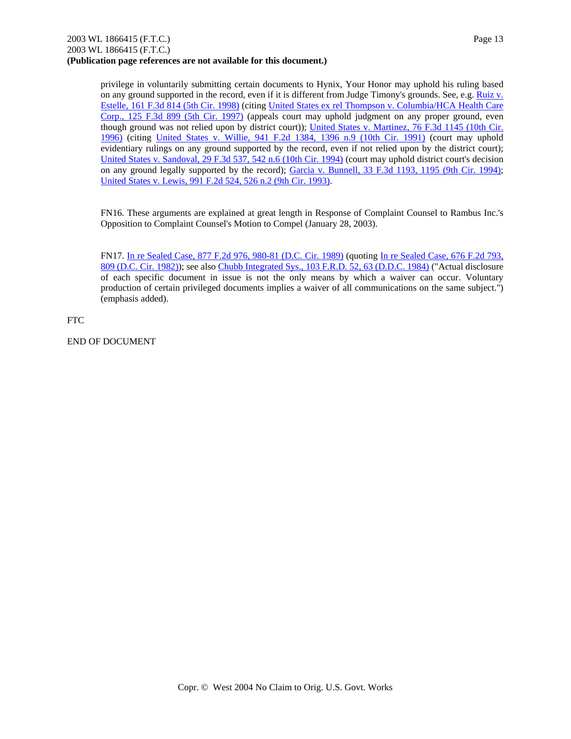privilege in voluntarily submitting certain documents to Hynix, Your Honor may uphold his ruling based on any ground supported in the record, even if it is different from Judge Timony's grounds. See, e.g. Ruiz v. Estelle, 161 F.3d 814 (5th Cir. 1998) (citing United States ex rel Thompson v. Columbia/HCA Health Care Corp., 125 F.3d 899 (5th Cir. 1997) (appeals court may uphold judgment on any proper ground, even though ground was not relied upon by district court)); United States v. Martinez, 76 F.3d 1145 (10th Cir. 1996) (citing United States v. Willie, 941 F.2d 1384, 1396 n.9 (10th Cir. 1991) (court may uphold evidentiary rulings on any ground supported by the record, even if not relied upon by the district court); United States v. Sandoval, 29 F.3d 537, 542 n.6 (10th Cir. 1994) (court may uphold district court's decision on any ground legally supported by the record); Garcia v. Bunnell, 33 F.3d 1193, 1195 (9th Cir. 1994); United States v. Lewis, 991 F.2d 524, 526 n.2 (9th Cir. 1993).

FN16. These arguments are explained at great length in Response of Complaint Counsel to Rambus Inc.'s Opposition to Complaint Counsel's Motion to Compel (January 28, 2003).

FN17. In re Sealed Case, 877 F.2d 976, 980-81 (D.C. Cir. 1989) (quoting In re Sealed Case, 676 F.2d 793, 809 (D.C. Cir. 1982)); see also Chubb Integrated Sys., 103 F.R.D. 52, 63 (D.D.C. 1984) ("Actual disclosure of each specific document in issue is not the only means by which a waiver can occur. Voluntary production of certain privileged documents implies a waiver of all communications on the same subject.") (emphasis added).

FTC

END OF DOCUMENT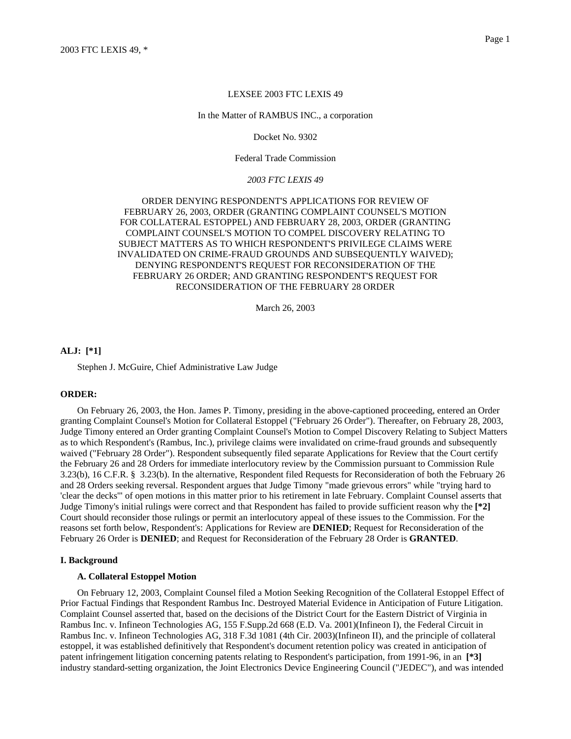In the Matter of RAMBUS INC., a corporation

Docket No. 9302

Federal Trade Commission

#### *2003 FTC LEXIS 49*

ORDER DENYING RESPONDENT'S APPLICATIONS FOR REVIEW OF FEBRUARY 26, 2003, ORDER (GRANTING COMPLAINT COUNSEL'S MOTION FOR COLLATERAL ESTOPPEL) AND FEBRUARY 28, 2003, ORDER (GRANTING COMPLAINT COUNSEL'S MOTION TO COMPEL DISCOVERY RELATING TO SUBJECT MATTERS AS TO WHICH RESPONDENT'S PRIVILEGE CLAIMS WERE INVALIDATED ON CRIME-FRAUD GROUNDS AND SUBSEQUENTLY WAIVED); DENYING RESPONDENT'S REQUEST FOR RECONSIDERATION OF THE FEBRUARY 26 ORDER; AND GRANTING RESPONDENT'S REQUEST FOR RECONSIDERATION OF THE FEBRUARY 28 ORDER

March 26, 2003

### **ALJ: [\*1]**

Stephen J. McGuire, Chief Administrative Law Judge

### **ORDER:**

On February 26, 2003, the Hon. James P. Timony, presiding in the above-captioned proceeding, entered an Order granting Complaint Counsel's Motion for Collateral Estoppel ("February 26 Order"). Thereafter, on February 28, 2003, Judge Timony entered an Order granting Complaint Counsel's Motion to Compel Discovery Relating to Subject Matters as to which Respondent's (Rambus, Inc.), privilege claims were invalidated on crime-fraud grounds and subsequently waived ("February 28 Order"). Respondent subsequently filed separate Applications for Review that the Court certify the February 26 and 28 Orders for immediate interlocutory review by the Commission pursuant to Commission Rule 3.23(b), 16 C.F.R. § 3.23(b). In the alternative, Respondent filed Requests for Reconsideration of both the February 26 and 28 Orders seeking reversal. Respondent argues that Judge Timony "made grievous errors" while "trying hard to 'clear the decks'" of open motions in this matter prior to his retirement in late February. Complaint Counsel asserts that Judge Timony's initial rulings were correct and that Respondent has failed to provide sufficient reason why the **[\*2]** Court should reconsider those rulings or permit an interlocutory appeal of these issues to the Commission. For the reasons set forth below, Respondent's: Applications for Review are **DENIED**; Request for Reconsideration of the February 26 Order is **DENIED**; and Request for Reconsideration of the February 28 Order is **GRANTED**.

#### **I. Background**

#### **A. Collateral Estoppel Motion**

On February 12, 2003, Complaint Counsel filed a Motion Seeking Recognition of the Collateral Estoppel Effect of Prior Factual Findings that Respondent Rambus Inc. Destroyed Material Evidence in Anticipation of Future Litigation. Complaint Counsel asserted that, based on the decisions of the District Court for the Eastern District of Virginia in Rambus Inc. v. Infineon Technologies AG, 155 F.Supp.2d 668 (E.D. Va. 2001)(Infineon I), the Federal Circuit in Rambus Inc. v. Infineon Technologies AG, 318 F.3d 1081 (4th Cir. 2003)(Infineon II), and the principle of collateral estoppel, it was established definitively that Respondent's document retention policy was created in anticipation of patent infringement litigation concerning patents relating to Respondent's participation, from 1991-96, in an **[\*3]** industry standard-setting organization, the Joint Electronics Device Engineering Council ("JEDEC"), and was intended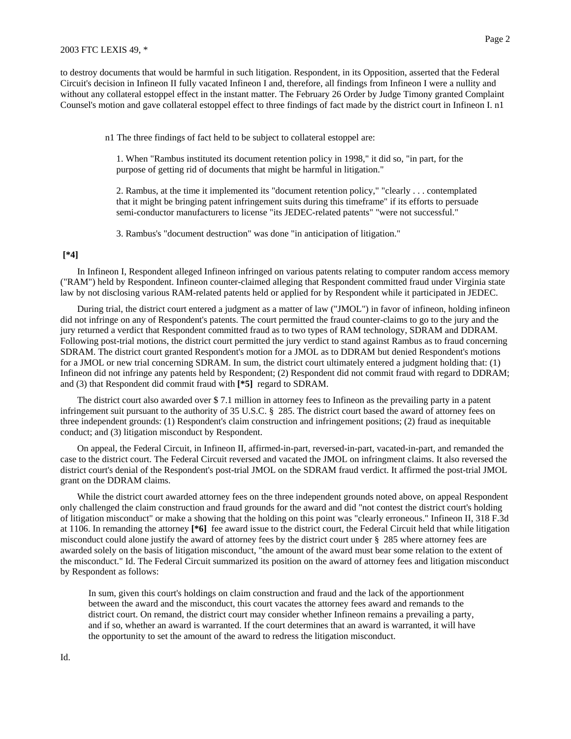to destroy documents that would be harmful in such litigation. Respondent, in its Opposition, asserted that the Federal Circuit's decision in Infineon II fully vacated Infineon I and, therefore, all findings from Infineon I were a nullity and without any collateral estoppel effect in the instant matter. The February 26 Order by Judge Timony granted Complaint Counsel's motion and gave collateral estoppel effect to three findings of fact made by the district court in Infineon I. n1

n1 The three findings of fact held to be subject to collateral estoppel are:

1. When "Rambus instituted its document retention policy in 1998," it did so, "in part, for the purpose of getting rid of documents that might be harmful in litigation."

2. Rambus, at the time it implemented its "document retention policy," "clearly . . . contemplated that it might be bringing patent infringement suits during this timeframe" if its efforts to persuade semi-conductor manufacturers to license "its JEDEC-related patents" "were not successful."

3. Rambus's "document destruction" was done "in anticipation of litigation."

### **[\*4]**

In Infineon I, Respondent alleged Infineon infringed on various patents relating to computer random access memory ("RAM") held by Respondent. Infineon counter-claimed alleging that Respondent committed fraud under Virginia state law by not disclosing various RAM-related patents held or applied for by Respondent while it participated in JEDEC.

During trial, the district court entered a judgment as a matter of law ("JMOL") in favor of infineon, holding infineon did not infringe on any of Respondent's patents. The court permitted the fraud counter-claims to go to the jury and the jury returned a verdict that Respondent committed fraud as to two types of RAM technology, SDRAM and DDRAM. Following post-trial motions, the district court permitted the jury verdict to stand against Rambus as to fraud concerning SDRAM. The district court granted Respondent's motion for a JMOL as to DDRAM but denied Respondent's motions for a JMOL or new trial concerning SDRAM. In sum, the district court ultimately entered a judgment holding that: (1) Infineon did not infringe any patents held by Respondent; (2) Respondent did not commit fraud with regard to DDRAM; and (3) that Respondent did commit fraud with **[\*5]** regard to SDRAM.

The district court also awarded over \$ 7.1 million in attorney fees to Infineon as the prevailing party in a patent infringement suit pursuant to the authority of 35 U.S.C. § 285. The district court based the award of attorney fees on three independent grounds: (1) Respondent's claim construction and infringement positions; (2) fraud as inequitable conduct; and (3) litigation misconduct by Respondent.

On appeal, the Federal Circuit, in Infineon II, affirmed-in-part, reversed-in-part, vacated-in-part, and remanded the case to the district court. The Federal Circuit reversed and vacated the JMOL on infringment claims. It also reversed the district court's denial of the Respondent's post-trial JMOL on the SDRAM fraud verdict. It affirmed the post-trial JMOL grant on the DDRAM claims.

While the district court awarded attorney fees on the three independent grounds noted above, on appeal Respondent only challenged the claim construction and fraud grounds for the award and did "not contest the district court's holding of litigation misconduct" or make a showing that the holding on this point was "clearly erroneous." Infineon II, 318 F.3d at 1106. In remanding the attorney **[\*6]** fee award issue to the district court, the Federal Circuit held that while litigation misconduct could alone justify the award of attorney fees by the district court under § 285 where attorney fees are awarded solely on the basis of litigation misconduct, "the amount of the award must bear some relation to the extent of the misconduct." Id. The Federal Circuit summarized its position on the award of attorney fees and litigation misconduct by Respondent as follows:

In sum, given this court's holdings on claim construction and fraud and the lack of the apportionment between the award and the misconduct, this court vacates the attorney fees award and remands to the district court. On remand, the district court may consider whether Infineon remains a prevailing a party, and if so, whether an award is warranted. If the court determines that an award is warranted, it will have the opportunity to set the amount of the award to redress the litigation misconduct.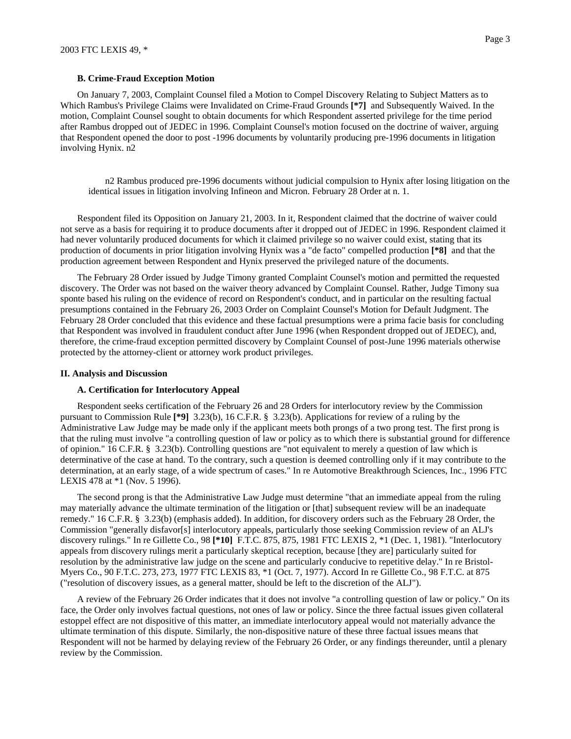#### **B. Crime-Fraud Exception Motion**

On January 7, 2003, Complaint Counsel filed a Motion to Compel Discovery Relating to Subject Matters as to Which Rambus's Privilege Claims were Invalidated on Crime-Fraud Grounds **[\*7]** and Subsequently Waived. In the motion, Complaint Counsel sought to obtain documents for which Respondent asserted privilege for the time period after Rambus dropped out of JEDEC in 1996. Complaint Counsel's motion focused on the doctrine of waiver, arguing that Respondent opened the door to post -1996 documents by voluntarily producing pre-1996 documents in litigation involving Hynix. n2

n2 Rambus produced pre-1996 documents without judicial compulsion to Hynix after losing litigation on the identical issues in litigation involving Infineon and Micron. February 28 Order at n. 1.

Respondent filed its Opposition on January 21, 2003. In it, Respondent claimed that the doctrine of waiver could not serve as a basis for requiring it to produce documents after it dropped out of JEDEC in 1996. Respondent claimed it had never voluntarily produced documents for which it claimed privilege so no waiver could exist, stating that its production of documents in prior litigation involving Hynix was a "de facto" compelled production **[\*8]** and that the production agreement between Respondent and Hynix preserved the privileged nature of the documents.

The February 28 Order issued by Judge Timony granted Complaint Counsel's motion and permitted the requested discovery. The Order was not based on the waiver theory advanced by Complaint Counsel. Rather, Judge Timony sua sponte based his ruling on the evidence of record on Respondent's conduct, and in particular on the resulting factual presumptions contained in the February 26, 2003 Order on Complaint Counsel's Motion for Default Judgment. The February 28 Order concluded that this evidence and these factual presumptions were a prima facie basis for concluding that Respondent was involved in fraudulent conduct after June 1996 (when Respondent dropped out of JEDEC), and, therefore, the crime-fraud exception permitted discovery by Complaint Counsel of post-June 1996 materials otherwise protected by the attorney-client or attorney work product privileges.

#### **II. Analysis and Discussion**

#### **A. Certification for Interlocutory Appeal**

Respondent seeks certification of the February 26 and 28 Orders for interlocutory review by the Commission pursuant to Commission Rule **[\*9]** 3.23(b), 16 C.F.R. § 3.23(b). Applications for review of a ruling by the Administrative Law Judge may be made only if the applicant meets both prongs of a two prong test. The first prong is that the ruling must involve "a controlling question of law or policy as to which there is substantial ground for difference of opinion." 16 C.F.R. § 3.23(b). Controlling questions are "not equivalent to merely a question of law which is determinative of the case at hand. To the contrary, such a question is deemed controlling only if it may contribute to the determination, at an early stage, of a wide spectrum of cases." In re Automotive Breakthrough Sciences, Inc., 1996 FTC LEXIS 478 at \*1 (Nov. 5 1996).

The second prong is that the Administrative Law Judge must determine "that an immediate appeal from the ruling may materially advance the ultimate termination of the litigation or [that] subsequent review will be an inadequate remedy." 16 C.F.R. § 3.23(b) (emphasis added). In addition, for discovery orders such as the February 28 Order, the Commission "generally disfavor[s] interlocutory appeals, particularly those seeking Commission review of an ALJ's discovery rulings." In re Gillette Co., 98 **[\*10]** F.T.C. 875, 875, 1981 FTC LEXIS 2, \*1 (Dec. 1, 1981). "Interlocutory appeals from discovery rulings merit a particularly skeptical reception, because [they are] particularly suited for resolution by the administrative law judge on the scene and particularly conducive to repetitive delay." In re Bristol-Myers Co., 90 F.T.C. 273, 273, 1977 FTC LEXIS 83, \*1 (Oct. 7, 1977). Accord In re Gillette Co., 98 F.T.C. at 875 ("resolution of discovery issues, as a general matter, should be left to the discretion of the ALJ").

A review of the February 26 Order indicates that it does not involve "a controlling question of law or policy." On its face, the Order only involves factual questions, not ones of law or policy. Since the three factual issues given collateral estoppel effect are not dispositive of this matter, an immediate interlocutory appeal would not materially advance the ultimate termination of this dispute. Similarly, the non-dispositive nature of these three factual issues means that Respondent will not be harmed by delaying review of the February 26 Order, or any findings thereunder, until a plenary review by the Commission.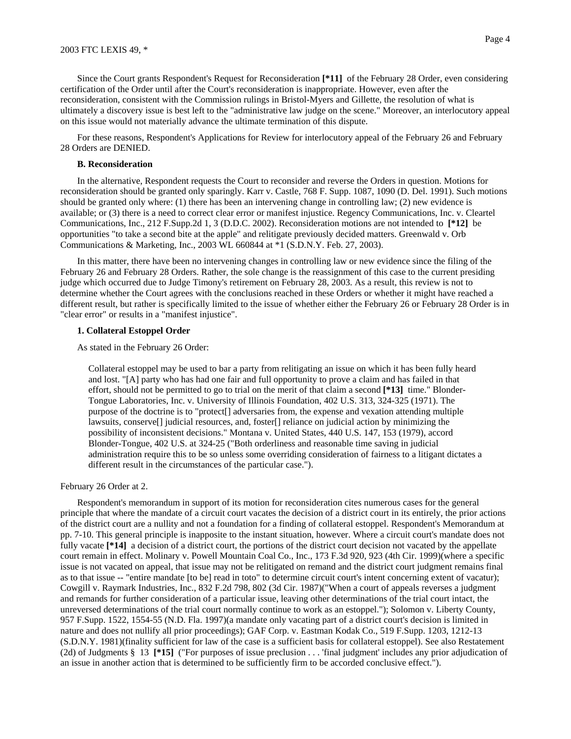Since the Court grants Respondent's Request for Reconsideration **[\*11]** of the February 28 Order, even considering certification of the Order until after the Court's reconsideration is inappropriate. However, even after the reconsideration, consistent with the Commission rulings in Bristol-Myers and Gillette, the resolution of what is ultimately a discovery issue is best left to the "administrative law judge on the scene." Moreover, an interlocutory appeal on this issue would not materially advance the ultimate termination of this dispute.

For these reasons, Respondent's Applications for Review for interlocutory appeal of the February 26 and February 28 Orders are DENIED.

#### **B. Reconsideration**

In the alternative, Respondent requests the Court to reconsider and reverse the Orders in question. Motions for reconsideration should be granted only sparingly. Karr v. Castle, 768 F. Supp. 1087, 1090 (D. Del. 1991). Such motions should be granted only where: (1) there has been an intervening change in controlling law; (2) new evidence is available; or (3) there is a need to correct clear error or manifest injustice. Regency Communications, Inc. v. Cleartel Communications, Inc., 212 F.Supp.2d 1, 3 (D.D.C. 2002). Reconsideration motions are not intended to **[\*12]** be opportunities "to take a second bite at the apple" and relitigate previously decided matters. Greenwald v. Orb Communications & Marketing, Inc., 2003 WL 660844 at \*1 (S.D.N.Y. Feb. 27, 2003).

In this matter, there have been no intervening changes in controlling law or new evidence since the filing of the February 26 and February 28 Orders. Rather, the sole change is the reassignment of this case to the current presiding judge which occurred due to Judge Timony's retirement on February 28, 2003. As a result, this review is not to determine whether the Court agrees with the conclusions reached in these Orders or whether it might have reached a different result, but rather is specifically limited to the issue of whether either the February 26 or February 28 Order is in "clear error" or results in a "manifest injustice".

#### **1. Collateral Estoppel Order**

As stated in the February 26 Order:

Collateral estoppel may be used to bar a party from relitigating an issue on which it has been fully heard and lost. "[A] party who has had one fair and full opportunity to prove a claim and has failed in that effort, should not be permitted to go to trial on the merit of that claim a second **[\*13]** time." Blonder-Tongue Laboratories, Inc. v. University of Illinois Foundation, 402 U.S. 313, 324-325 (1971). The purpose of the doctrine is to "protect[] adversaries from, the expense and vexation attending multiple lawsuits, conserve[] judicial resources, and, foster[] reliance on judicial action by minimizing the possibility of inconsistent decisions." Montana v. United States, 440 U.S. 147, 153 (1979), accord Blonder-Tongue, 402 U.S. at 324-25 ("Both orderliness and reasonable time saving in judicial administration require this to be so unless some overriding consideration of fairness to a litigant dictates a different result in the circumstances of the particular case.").

### February 26 Order at 2.

Respondent's memorandum in support of its motion for reconsideration cites numerous cases for the general principle that where the mandate of a circuit court vacates the decision of a district court in its entirely, the prior actions of the district court are a nullity and not a foundation for a finding of collateral estoppel. Respondent's Memorandum at pp. 7-10. This general principle is inapposite to the instant situation, however. Where a circuit court's mandate does not fully vacate [\*14] a decision of a district court, the portions of the district court decision not vacated by the appellate court remain in effect. Molinary v. Powell Mountain Coal Co., Inc., 173 F.3d 920, 923 (4th Cir. 1999)(where a specific issue is not vacated on appeal, that issue may not be relitigated on remand and the district court judgment remains final as to that issue -- "entire mandate [to be] read in toto" to determine circuit court's intent concerning extent of vacatur); Cowgill v. Raymark Industries, Inc., 832 F.2d 798, 802 (3d Cir. 1987)("When a court of appeals reverses a judgment and remands for further consideration of a particular issue, leaving other determinations of the trial court intact, the unreversed determinations of the trial court normally continue to work as an estoppel."); Solomon v. Liberty County, 957 F.Supp. 1522, 1554-55 (N.D. Fla. 1997)(a mandate only vacating part of a district court's decision is limited in nature and does not nullify all prior proceedings); GAF Corp. v. Eastman Kodak Co., 519 F.Supp. 1203, 1212-13 (S.D.N.Y. 1981)(finality sufficient for law of the case is a sufficient basis for collateral estoppel). See also Restatement (2d) of Judgments § 13 **[\*15]** ("For purposes of issue preclusion . . . 'final judgment' includes any prior adjudication of an issue in another action that is determined to be sufficiently firm to be accorded conclusive effect.").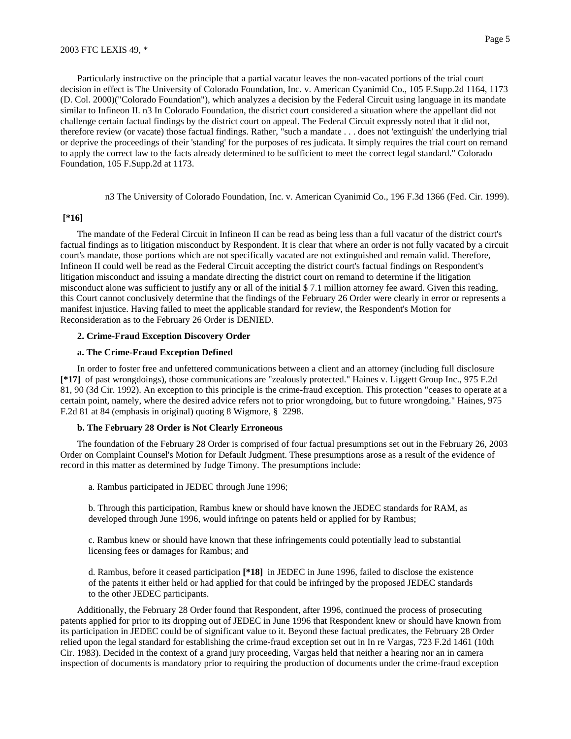Particularly instructive on the principle that a partial vacatur leaves the non-vacated portions of the trial court decision in effect is The University of Colorado Foundation, Inc. v. American Cyanimid Co., 105 F.Supp.2d 1164, 1173 (D. Col. 2000)("Colorado Foundation"), which analyzes a decision by the Federal Circuit using language in its mandate similar to Infineon II. n3 In Colorado Foundation, the district court considered a situation where the appellant did not challenge certain factual findings by the district court on appeal. The Federal Circuit expressly noted that it did not, therefore review (or vacate) those factual findings. Rather, "such a mandate . . . does not 'extinguish' the underlying trial or deprive the proceedings of their 'standing' for the purposes of res judicata. It simply requires the trial court on remand to apply the correct law to the facts already determined to be sufficient to meet the correct legal standard." Colorado Foundation, 105 F.Supp.2d at 1173.

n3 The University of Colorado Foundation, Inc. v. American Cyanimid Co., 196 F.3d 1366 (Fed. Cir. 1999).

#### **[\*16]**

The mandate of the Federal Circuit in Infineon II can be read as being less than a full vacatur of the district court's factual findings as to litigation misconduct by Respondent. It is clear that where an order is not fully vacated by a circuit court's mandate, those portions which are not specifically vacated are not extinguished and remain valid. Therefore, Infineon II could well be read as the Federal Circuit accepting the district court's factual findings on Respondent's litigation misconduct and issuing a mandate directing the district court on remand to determine if the litigation misconduct alone was sufficient to justify any or all of the initial \$ 7.1 million attorney fee award. Given this reading, this Court cannot conclusively determine that the findings of the February 26 Order were clearly in error or represents a manifest injustice. Having failed to meet the applicable standard for review, the Respondent's Motion for Reconsideration as to the February 26 Order is DENIED.

#### **2. Crime-Fraud Exception Discovery Order**

## **a. The Crime-Fraud Exception Defined**

In order to foster free and unfettered communications between a client and an attorney (including full disclosure **[\*17]** of past wrongdoings), those communications are "zealously protected." Haines v. Liggett Group Inc., 975 F.2d 81, 90 (3d Cir. 1992). An exception to this principle is the crime-fraud exception. This protection "ceases to operate at a certain point, namely, where the desired advice refers not to prior wrongdoing, but to future wrongdoing." Haines, 975 F.2d 81 at 84 (emphasis in original) quoting 8 Wigmore, § 2298.

#### **b. The February 28 Order is Not Clearly Erroneous**

The foundation of the February 28 Order is comprised of four factual presumptions set out in the February 26, 2003 Order on Complaint Counsel's Motion for Default Judgment. These presumptions arose as a result of the evidence of record in this matter as determined by Judge Timony. The presumptions include:

a. Rambus participated in JEDEC through June 1996;

b. Through this participation, Rambus knew or should have known the JEDEC standards for RAM, as developed through June 1996, would infringe on patents held or applied for by Rambus;

c. Rambus knew or should have known that these infringements could potentially lead to substantial licensing fees or damages for Rambus; and

d. Rambus, before it ceased participation **[\*18]** in JEDEC in June 1996, failed to disclose the existence of the patents it either held or had applied for that could be infringed by the proposed JEDEC standards to the other JEDEC participants.

Additionally, the February 28 Order found that Respondent, after 1996, continued the process of prosecuting patents applied for prior to its dropping out of JEDEC in June 1996 that Respondent knew or should have known from its participation in JEDEC could be of significant value to it. Beyond these factual predicates, the February 28 Order relied upon the legal standard for establishing the crime-fraud exception set out in In re Vargas, 723 F.2d 1461 (10th Cir. 1983). Decided in the context of a grand jury proceeding, Vargas held that neither a hearing nor an in camera inspection of documents is mandatory prior to requiring the production of documents under the crime-fraud exception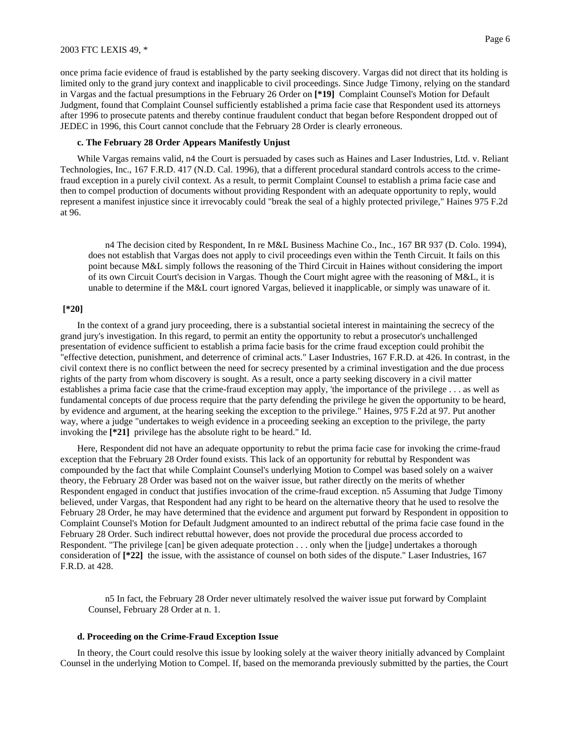#### 2003 FTC LEXIS 49, \*

once prima facie evidence of fraud is established by the party seeking discovery. Vargas did not direct that its holding is limited only to the grand jury context and inapplicable to civil proceedings. Since Judge Timony, relying on the standard in Vargas and the factual presumptions in the February 26 Order on **[\*19]** Complaint Counsel's Motion for Default Judgment, found that Complaint Counsel sufficiently established a prima facie case that Respondent used its attorneys after 1996 to prosecute patents and thereby continue fraudulent conduct that began before Respondent dropped out of JEDEC in 1996, this Court cannot conclude that the February 28 Order is clearly erroneous.

### **c. The February 28 Order Appears Manifestly Unjust**

While Vargas remains valid, n4 the Court is persuaded by cases such as Haines and Laser Industries, Ltd. v. Reliant Technologies, Inc., 167 F.R.D. 417 (N.D. Cal. 1996), that a different procedural standard controls access to the crimefraud exception in a purely civil context. As a result, to permit Complaint Counsel to establish a prima facie case and then to compel production of documents without providing Respondent with an adequate opportunity to reply, would represent a manifest injustice since it irrevocably could "break the seal of a highly protected privilege," Haines 975 F.2d at 96.

n4 The decision cited by Respondent, In re M&L Business Machine Co., Inc., 167 BR 937 (D. Colo. 1994), does not establish that Vargas does not apply to civil proceedings even within the Tenth Circuit. It fails on this point because M&L simply follows the reasoning of the Third Circuit in Haines without considering the import of its own Circuit Court's decision in Vargas. Though the Court might agree with the reasoning of M&L, it is unable to determine if the M&L court ignored Vargas, believed it inapplicable, or simply was unaware of it.

### **[\*20]**

In the context of a grand jury proceeding, there is a substantial societal interest in maintaining the secrecy of the grand jury's investigation. In this regard, to permit an entity the opportunity to rebut a prosecutor's unchallenged presentation of evidence sufficient to establish a prima facie basis for the crime fraud exception could prohibit the "effective detection, punishment, and deterrence of criminal acts." Laser Industries, 167 F.R.D. at 426. In contrast, in the civil context there is no conflict between the need for secrecy presented by a criminal investigation and the due process rights of the party from whom discovery is sought. As a result, once a party seeking discovery in a civil matter establishes a prima facie case that the crime-fraud exception may apply, 'the importance of the privilege . . . as well as fundamental concepts of due process require that the party defending the privilege he given the opportunity to be heard, by evidence and argument, at the hearing seeking the exception to the privilege." Haines, 975 F.2d at 97. Put another way, where a judge "undertakes to weigh evidence in a proceeding seeking an exception to the privilege, the party invoking the **[\*21]** privilege has the absolute right to be heard." Id.

Here, Respondent did not have an adequate opportunity to rebut the prima facie case for invoking the crime-fraud exception that the February 28 Order found exists. This lack of an opportunity for rebuttal by Respondent was compounded by the fact that while Complaint Counsel's underlying Motion to Compel was based solely on a waiver theory, the February 28 Order was based not on the waiver issue, but rather directly on the merits of whether Respondent engaged in conduct that justifies invocation of the crime-fraud exception. n5 Assuming that Judge Timony believed, under Vargas, that Respondent had any right to be heard on the alternative theory that he used to resolve the February 28 Order, he may have determined that the evidence and argument put forward by Respondent in opposition to Complaint Counsel's Motion for Default Judgment amounted to an indirect rebuttal of the prima facie case found in the February 28 Order. Such indirect rebuttal however, does not provide the procedural due process accorded to Respondent. "The privilege [can] be given adequate protection . . . only when the [judge] undertakes a thorough consideration of **[\*22]** the issue, with the assistance of counsel on both sides of the dispute." Laser Industries, 167 F.R.D. at 428.

n5 In fact, the February 28 Order never ultimately resolved the waiver issue put forward by Complaint Counsel, February 28 Order at n. 1.

### **d. Proceeding on the Crime-Fraud Exception Issue**

In theory, the Court could resolve this issue by looking solely at the waiver theory initially advanced by Complaint Counsel in the underlying Motion to Compel. If, based on the memoranda previously submitted by the parties, the Court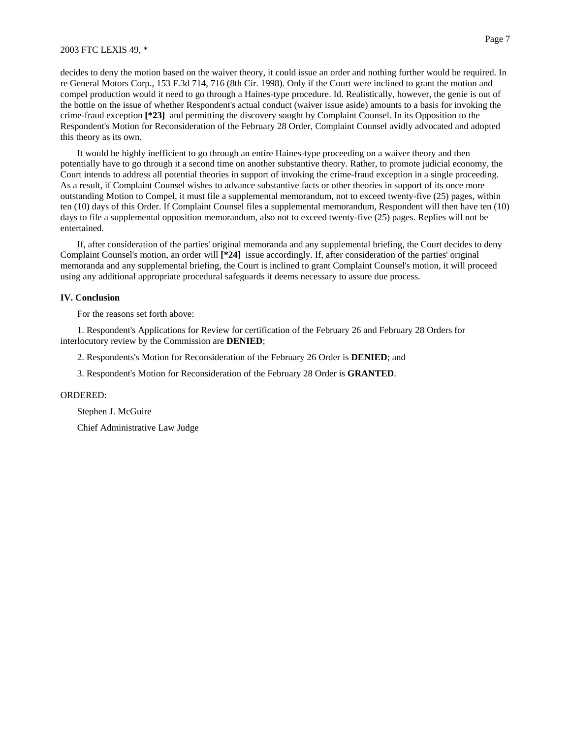#### 2003 FTC LEXIS 49, \*

decides to deny the motion based on the waiver theory, it could issue an order and nothing further would be required. In re General Motors Corp., 153 F.3d 714, 716 (8th Cir. 1998). Only if the Court were inclined to grant the motion and compel production would it need to go through a Haines-type procedure. Id. Realistically, however, the genie is out of the bottle on the issue of whether Respondent's actual conduct (waiver issue aside) amounts to a basis for invoking the crime-fraud exception **[\*23]** and permitting the discovery sought by Complaint Counsel. In its Opposition to the Respondent's Motion for Reconsideration of the February 28 Order, Complaint Counsel avidly advocated and adopted this theory as its own.

It would be highly inefficient to go through an entire Haines-type proceeding on a waiver theory and then potentially have to go through it a second time on another substantive theory. Rather, to promote judicial economy, the Court intends to address all potential theories in support of invoking the crime-fraud exception in a single proceeding. As a result, if Complaint Counsel wishes to advance substantive facts or other theories in support of its once more outstanding Motion to Compel, it must file a supplemental memorandum, not to exceed twenty-five (25) pages, within ten (10) days of this Order. If Complaint Counsel files a supplemental memorandum, Respondent will then have ten (10) days to file a supplemental opposition memorandum, also not to exceed twenty-five (25) pages. Replies will not be entertained.

If, after consideration of the parties' original memoranda and any supplemental briefing, the Court decides to deny Complaint Counsel's motion, an order will **[\*24]** issue accordingly. If, after consideration of the parties' original memoranda and any supplemental briefing, the Court is inclined to grant Complaint Counsel's motion, it will proceed using any additional appropriate procedural safeguards it deems necessary to assure due process.

### **IV. Conclusion**

For the reasons set forth above:

1. Respondent's Applications for Review for certification of the February 26 and February 28 Orders for interlocutory review by the Commission are **DENIED**;

2. Respondents's Motion for Reconsideration of the February 26 Order is **DENIED**; and

3. Respondent's Motion for Reconsideration of the February 28 Order is **GRANTED**.

### ORDERED:

Stephen J. McGuire

Chief Administrative Law Judge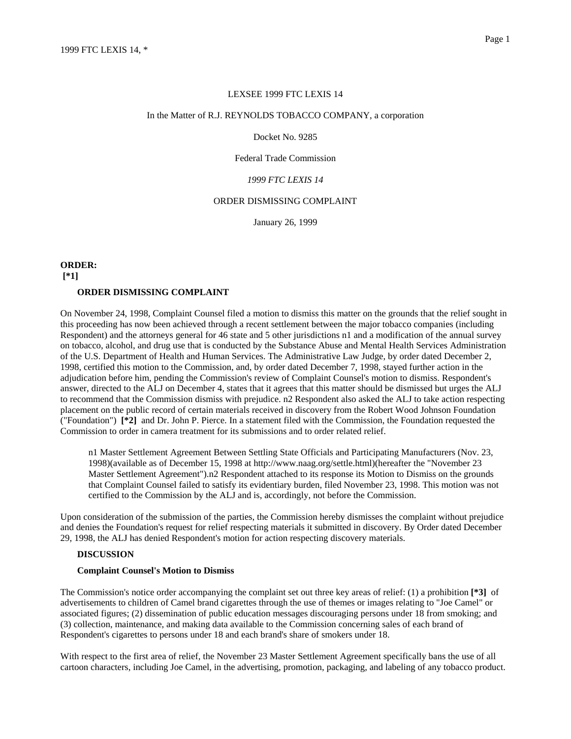#### LEXSEE 1999 FTC LEXIS 14

#### In the Matter of R.J. REYNOLDS TOBACCO COMPANY, a corporation

Docket No. 9285

Federal Trade Commission

## *1999 FTC LEXIS 14*

## ORDER DISMISSING COMPLAINT

January 26, 1999

# **ORDER: [\*1] ORDER DISMISSING COMPLAINT**

On November 24, 1998, Complaint Counsel filed a motion to dismiss this matter on the grounds that the relief sought in this proceeding has now been achieved through a recent settlement between the major tobacco companies (including Respondent) and the attorneys general for 46 state and 5 other jurisdictions n1 and a modification of the annual survey on tobacco, alcohol, and drug use that is conducted by the Substance Abuse and Mental Health Services Administration of the U.S. Department of Health and Human Services. The Administrative Law Judge, by order dated December 2, 1998, certified this motion to the Commission, and, by order dated December 7, 1998, stayed further action in the adjudication before him, pending the Commission's review of Complaint Counsel's motion to dismiss. Respondent's answer, directed to the ALJ on December 4, states that it agrees that this matter should be dismissed but urges the ALJ to recommend that the Commission dismiss with prejudice. n2 Respondent also asked the ALJ to take action respecting placement on the public record of certain materials received in discovery from the Robert Wood Johnson Foundation ("Foundation") **[\*2]** and Dr. John P. Pierce. In a statement filed with the Commission, the Foundation requested the Commission to order in camera treatment for its submissions and to order related relief.

n1 Master Settlement Agreement Between Settling State Officials and Participating Manufacturers (Nov. 23, 1998)(available as of December 15, 1998 at http://www.naag.org/settle.html)(hereafter the "November 23 Master Settlement Agreement").n2 Respondent attached to its response its Motion to Dismiss on the grounds that Complaint Counsel failed to satisfy its evidentiary burden, filed November 23, 1998. This motion was not certified to the Commission by the ALJ and is, accordingly, not before the Commission.

Upon consideration of the submission of the parties, the Commission hereby dismisses the complaint without prejudice and denies the Foundation's request for relief respecting materials it submitted in discovery. By Order dated December 29, 1998, the ALJ has denied Respondent's motion for action respecting discovery materials.

### **DISCUSSION**

#### **Complaint Counsel's Motion to Dismiss**

The Commission's notice order accompanying the complaint set out three key areas of relief: (1) a prohibition **[\*3]** of advertisements to children of Camel brand cigarettes through the use of themes or images relating to "Joe Camel" or associated figures; (2) dissemination of public education messages discouraging persons under 18 from smoking; and (3) collection, maintenance, and making data available to the Commission concerning sales of each brand of Respondent's cigarettes to persons under 18 and each brand's share of smokers under 18.

With respect to the first area of relief, the November 23 Master Settlement Agreement specifically bans the use of all cartoon characters, including Joe Camel, in the advertising, promotion, packaging, and labeling of any tobacco product.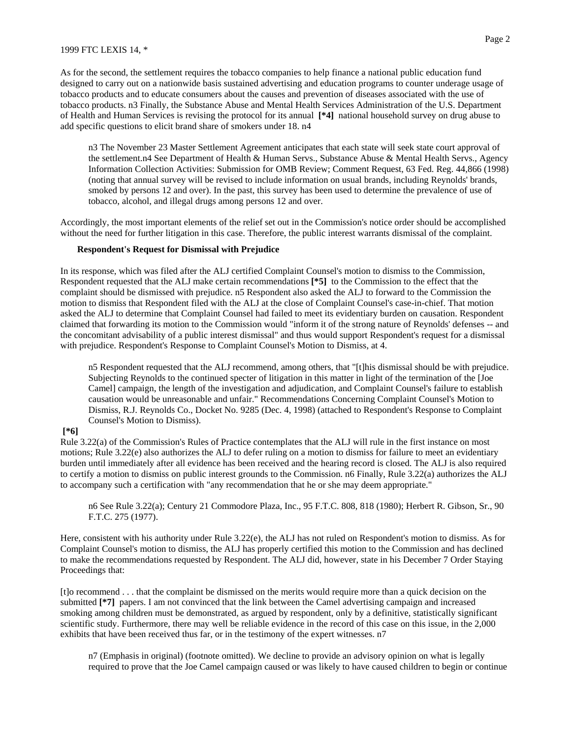1999 FTC LEXIS 14, \*

As for the second, the settlement requires the tobacco companies to help finance a national public education fund designed to carry out on a nationwide basis sustained advertising and education programs to counter underage usage of tobacco products and to educate consumers about the causes and prevention of diseases associated with the use of tobacco products. n3 Finally, the Substance Abuse and Mental Health Services Administration of the U.S. Department of Health and Human Services is revising the protocol for its annual **[\*4]** national household survey on drug abuse to add specific questions to elicit brand share of smokers under 18. n4

n3 The November 23 Master Settlement Agreement anticipates that each state will seek state court approval of the settlement.n4 See Department of Health & Human Servs., Substance Abuse & Mental Health Servs., Agency Information Collection Activities: Submission for OMB Review; Comment Request, 63 Fed. Reg. 44,866 (1998) (noting that annual survey will be revised to include information on usual brands, including Reynolds' brands, smoked by persons 12 and over). In the past, this survey has been used to determine the prevalence of use of tobacco, alcohol, and illegal drugs among persons 12 and over.

Accordingly, the most important elements of the relief set out in the Commission's notice order should be accomplished without the need for further litigation in this case. Therefore, the public interest warrants dismissal of the complaint.

### **Respondent's Request for Dismissal with Prejudice**

In its response, which was filed after the ALJ certified Complaint Counsel's motion to dismiss to the Commission, Respondent requested that the ALJ make certain recommendations **[\*5]** to the Commission to the effect that the complaint should be dismissed with prejudice. n5 Respondent also asked the ALJ to forward to the Commission the motion to dismiss that Respondent filed with the ALJ at the close of Complaint Counsel's case-in-chief. That motion asked the ALJ to determine that Complaint Counsel had failed to meet its evidentiary burden on causation. Respondent claimed that forwarding its motion to the Commission would "inform it of the strong nature of Reynolds' defenses -- and the concomitant advisability of a public interest dismissal" and thus would support Respondent's request for a dismissal with prejudice. Respondent's Response to Complaint Counsel's Motion to Dismiss, at 4.

n5 Respondent requested that the ALJ recommend, among others, that "[t]his dismissal should be with prejudice. Subjecting Reynolds to the continued specter of litigation in this matter in light of the termination of the [Joe Camel] campaign, the length of the investigation and adjudication, and Complaint Counsel's failure to establish causation would be unreasonable and unfair." Recommendations Concerning Complaint Counsel's Motion to Dismiss, R.J. Reynolds Co., Docket No. 9285 (Dec. 4, 1998) (attached to Respondent's Response to Complaint Counsel's Motion to Dismiss).

### **[\*6]**

Rule 3.22(a) of the Commission's Rules of Practice contemplates that the ALJ will rule in the first instance on most motions; Rule 3.22(e) also authorizes the ALJ to defer ruling on a motion to dismiss for failure to meet an evidentiary burden until immediately after all evidence has been received and the hearing record is closed. The ALJ is also required to certify a motion to dismiss on public interest grounds to the Commission. n6 Finally, Rule 3.22(a) authorizes the ALJ to accompany such a certification with "any recommendation that he or she may deem appropriate."

n6 See Rule 3.22(a); Century 21 Commodore Plaza, Inc., 95 F.T.C. 808, 818 (1980); Herbert R. Gibson, Sr., 90 F.T.C. 275 (1977).

Here, consistent with his authority under Rule 3.22(e), the ALJ has not ruled on Respondent's motion to dismiss. As for Complaint Counsel's motion to dismiss, the ALJ has properly certified this motion to the Commission and has declined to make the recommendations requested by Respondent. The ALJ did, however, state in his December 7 Order Staying Proceedings that:

[t]o recommend . . . that the complaint be dismissed on the merits would require more than a quick decision on the submitted [\*7] papers. I am not convinced that the link between the Camel advertising campaign and increased smoking among children must be demonstrated, as argued by respondent, only by a definitive, statistically significant scientific study. Furthermore, there may well be reliable evidence in the record of this case on this issue, in the 2,000 exhibits that have been received thus far, or in the testimony of the expert witnesses. n7

n7 (Emphasis in original) (footnote omitted). We decline to provide an advisory opinion on what is legally required to prove that the Joe Camel campaign caused or was likely to have caused children to begin or continue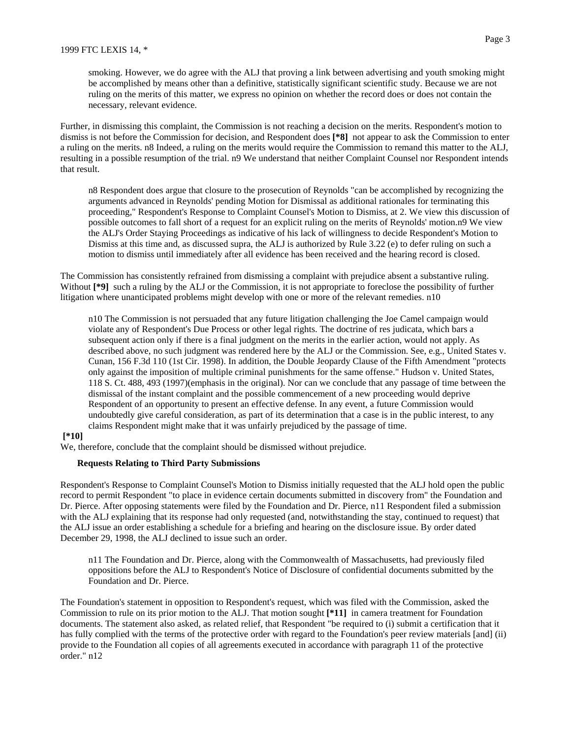Further, in dismissing this complaint, the Commission is not reaching a decision on the merits. Respondent's motion to dismiss is not before the Commission for decision, and Respondent does **[\*8]** not appear to ask the Commission to enter a ruling on the merits. n8 Indeed, a ruling on the merits would require the Commission to remand this matter to the ALJ, resulting in a possible resumption of the trial. n9 We understand that neither Complaint Counsel nor Respondent intends that result.

n8 Respondent does argue that closure to the prosecution of Reynolds "can be accomplished by recognizing the arguments advanced in Reynolds' pending Motion for Dismissal as additional rationales for terminating this proceeding," Respondent's Response to Complaint Counsel's Motion to Dismiss, at 2. We view this discussion of possible outcomes to fall short of a request for an explicit ruling on the merits of Reynolds' motion.n9 We view the ALJ's Order Staying Proceedings as indicative of his lack of willingness to decide Respondent's Motion to Dismiss at this time and, as discussed supra, the ALJ is authorized by Rule 3.22 (e) to defer ruling on such a motion to dismiss until immediately after all evidence has been received and the hearing record is closed.

The Commission has consistently refrained from dismissing a complaint with prejudice absent a substantive ruling. Without  $[$ <sup>\*9</sup>] such a ruling by the ALJ or the Commission, it is not appropriate to foreclose the possibility of further litigation where unanticipated problems might develop with one or more of the relevant remedies. n10

n10 The Commission is not persuaded that any future litigation challenging the Joe Camel campaign would violate any of Respondent's Due Process or other legal rights. The doctrine of res judicata, which bars a subsequent action only if there is a final judgment on the merits in the earlier action, would not apply. As described above, no such judgment was rendered here by the ALJ or the Commission. See, e.g., United States v. Cunan, 156 F.3d 110 (1st Cir. 1998). In addition, the Double Jeopardy Clause of the Fifth Amendment "protects only against the imposition of multiple criminal punishments for the same offense." Hudson v. United States, 118 S. Ct. 488, 493 (1997)(emphasis in the original). Nor can we conclude that any passage of time between the dismissal of the instant complaint and the possible commencement of a new proceeding would deprive Respondent of an opportunity to present an effective defense. In any event, a future Commission would undoubtedly give careful consideration, as part of its determination that a case is in the public interest, to any claims Respondent might make that it was unfairly prejudiced by the passage of time.

### **[\*10]**

We, therefore, conclude that the complaint should be dismissed without prejudice.

#### **Requests Relating to Third Party Submissions**

Respondent's Response to Complaint Counsel's Motion to Dismiss initially requested that the ALJ hold open the public record to permit Respondent "to place in evidence certain documents submitted in discovery from" the Foundation and Dr. Pierce. After opposing statements were filed by the Foundation and Dr. Pierce, n11 Respondent filed a submission with the ALJ explaining that its response had only requested (and, notwithstanding the stay, continued to request) that the ALJ issue an order establishing a schedule for a briefing and hearing on the disclosure issue. By order dated December 29, 1998, the ALJ declined to issue such an order.

n11 The Foundation and Dr. Pierce, along with the Commonwealth of Massachusetts, had previously filed oppositions before the ALJ to Respondent's Notice of Disclosure of confidential documents submitted by the Foundation and Dr. Pierce.

The Foundation's statement in opposition to Respondent's request, which was filed with the Commission, asked the Commission to rule on its prior motion to the ALJ. That motion sought **[\*11]** in camera treatment for Foundation documents. The statement also asked, as related relief, that Respondent "be required to (i) submit a certification that it has fully complied with the terms of the protective order with regard to the Foundation's peer review materials [and] (ii) provide to the Foundation all copies of all agreements executed in accordance with paragraph 11 of the protective order." n12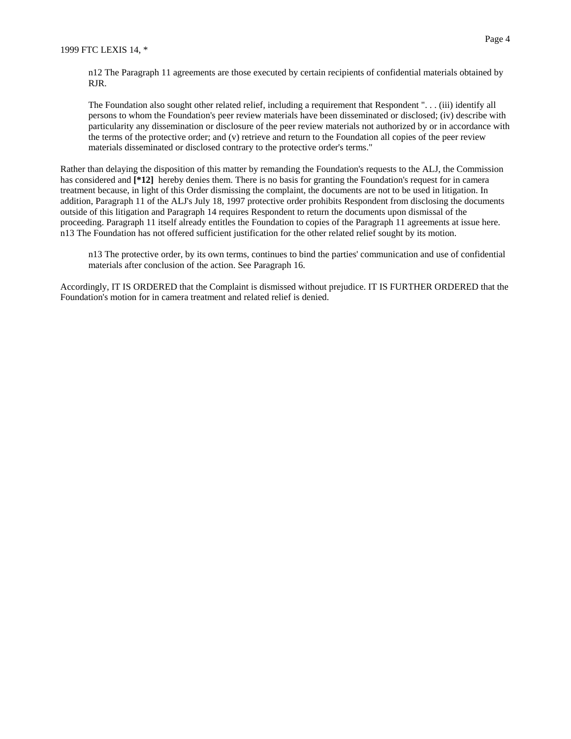n12 The Paragraph 11 agreements are those executed by certain recipients of confidential materials obtained by RJR.

The Foundation also sought other related relief, including a requirement that Respondent ". . . (iii) identify all persons to whom the Foundation's peer review materials have been disseminated or disclosed; (iv) describe with particularity any dissemination or disclosure of the peer review materials not authorized by or in accordance with the terms of the protective order; and (v) retrieve and return to the Foundation all copies of the peer review materials disseminated or disclosed contrary to the protective order's terms."

Rather than delaying the disposition of this matter by remanding the Foundation's requests to the ALJ, the Commission has considered and  $[412]$  hereby denies them. There is no basis for granting the Foundation's request for in camera treatment because, in light of this Order dismissing the complaint, the documents are not to be used in litigation. In addition, Paragraph 11 of the ALJ's July 18, 1997 protective order prohibits Respondent from disclosing the documents outside of this litigation and Paragraph 14 requires Respondent to return the documents upon dismissal of the proceeding. Paragraph 11 itself already entitles the Foundation to copies of the Paragraph 11 agreements at issue here. n13 The Foundation has not offered sufficient justification for the other related relief sought by its motion.

n13 The protective order, by its own terms, continues to bind the parties' communication and use of confidential materials after conclusion of the action. See Paragraph 16.

Accordingly, IT IS ORDERED that the Complaint is dismissed without prejudice. IT IS FURTHER ORDERED that the Foundation's motion for in camera treatment and related relief is denied.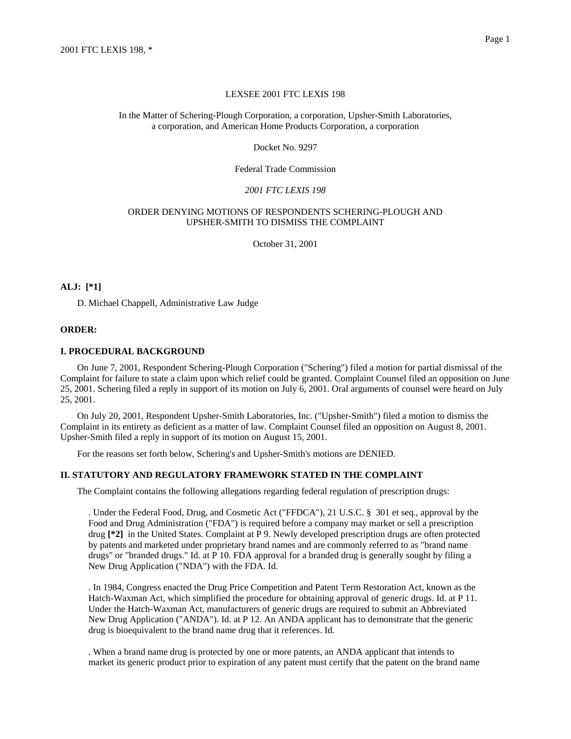### LEXSEE 2001 FTC LEXIS 198

### In the Matter of Schering-Plough Corporation, a corporation, Upsher-Smith Laboratories, a corporation, and American Home Products Corporation, a corporation

#### Docket No. 9297

### Federal Trade Commission

## *2001 FTC LEXIS 198*

## ORDER DENYING MOTIONS OF RESPONDENTS SCHERING-PLOUGH AND UPSHER-SMITH TO DISMISS THE COMPLAINT

October 31, 2001

## **ALJ: [\*1]**

D. Michael Chappell, Administrative Law Judge

#### **ORDER:**

### **I. PROCEDURAL BACKGROUND**

On June 7, 2001, Respondent Schering-Plough Corporation ("Schering") filed a motion for partial dismissal of the Complaint for failure to state a claim upon which relief could be granted. Complaint Counsel filed an opposition on June 25, 2001. Schering filed a reply in support of its motion on July 6, 2001. Oral arguments of counsel were heard on July 25, 2001.

On July 20, 2001, Respondent Upsher-Smith Laboratories, Inc. ("Upsher-Smith") filed a motion to dismiss the Complaint in its entirety as deficient as a matter of law. Complaint Counsel filed an opposition on August 8, 2001. Upsher-Smith filed a reply in support of its motion on August 15, 2001.

For the reasons set forth below, Schering's and Upsher-Smith's motions are DENIED.

#### **II. STATUTORY AND REGULATORY FRAMEWORK STATED IN THE COMPLAINT**

The Complaint contains the following allegations regarding federal regulation of prescription drugs:

. Under the Federal Food, Drug, and Cosmetic Act ("FFDCA"), 21 U.S.C. § 301 et seq., approval by the Food and Drug Administration ("FDA") is required before a company may market or sell a prescription drug **[\*2]** in the United States. Complaint at P 9. Newly developed prescription drugs are often protected by patents and marketed under proprietary brand names and are commonly referred to as "brand name drugs" or "branded drugs." Id. at P 10. FDA approval for a branded drug is generally sought by filing a New Drug Application ("NDA") with the FDA. Id.

. In 1984, Congress enacted the Drug Price Competition and Patent Term Restoration Act, known as the Hatch-Waxman Act, which simplified the procedure for obtaining approval of generic drugs. Id. at P 11. Under the Hatch-Waxman Act, manufacturers of generic drugs are required to submit an Abbreviated New Drug Application ("ANDA"). Id. at P 12. An ANDA applicant has to demonstrate that the generic drug is bioequivalent to the brand name drug that it references. Id.

. When a brand name drug is protected by one or more patents, an ANDA applicant that intends to market its generic product prior to expiration of any patent must certify that the patent on the brand name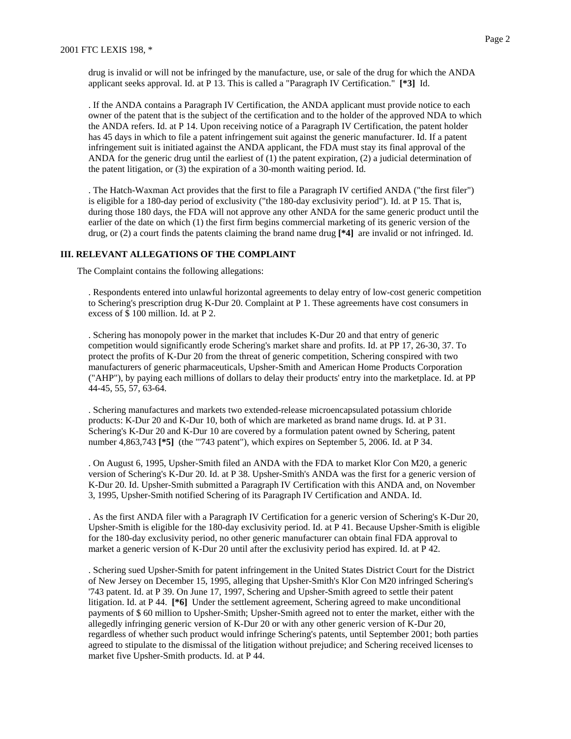drug is invalid or will not be infringed by the manufacture, use, or sale of the drug for which the ANDA applicant seeks approval. Id. at P 13. This is called a "Paragraph IV Certification." **[\*3]** Id.

. If the ANDA contains a Paragraph IV Certification, the ANDA applicant must provide notice to each owner of the patent that is the subject of the certification and to the holder of the approved NDA to which the ANDA refers. Id. at P 14. Upon receiving notice of a Paragraph IV Certification, the patent holder has 45 days in which to file a patent infringement suit against the generic manufacturer. Id. If a patent infringement suit is initiated against the ANDA applicant, the FDA must stay its final approval of the ANDA for the generic drug until the earliest of (1) the patent expiration, (2) a judicial determination of the patent litigation, or (3) the expiration of a 30-month waiting period. Id.

. The Hatch-Waxman Act provides that the first to file a Paragraph IV certified ANDA ("the first filer") is eligible for a 180-day period of exclusivity ("the 180-day exclusivity period"). Id. at P 15. That is, during those 180 days, the FDA will not approve any other ANDA for the same generic product until the earlier of the date on which (1) the first firm begins commercial marketing of its generic version of the drug, or (2) a court finds the patents claiming the brand name drug **[\*4]** are invalid or not infringed. Id.

## **III. RELEVANT ALLEGATIONS OF THE COMPLAINT**

The Complaint contains the following allegations:

. Respondents entered into unlawful horizontal agreements to delay entry of low-cost generic competition to Schering's prescription drug K-Dur 20. Complaint at P 1. These agreements have cost consumers in excess of \$ 100 million. Id. at P 2.

. Schering has monopoly power in the market that includes K-Dur 20 and that entry of generic competition would significantly erode Schering's market share and profits. Id. at PP 17, 26-30, 37. To protect the profits of K-Dur 20 from the threat of generic competition, Schering conspired with two manufacturers of generic pharmaceuticals, Upsher-Smith and American Home Products Corporation ("AHP"), by paying each millions of dollars to delay their products' entry into the marketplace. Id. at PP 44-45, 55, 57, 63-64.

. Schering manufactures and markets two extended-release microencapsulated potassium chloride products: K-Dur 20 and K-Dur 10, both of which are marketed as brand name drugs. Id. at P 31. Schering's K-Dur 20 and K-Dur 10 are covered by a formulation patent owned by Schering, patent number 4,863,743 **[\*5]** (the "'743 patent"), which expires on September 5, 2006. Id. at P 34.

. On August 6, 1995, Upsher-Smith filed an ANDA with the FDA to market Klor Con M20, a generic version of Schering's K-Dur 20. Id. at P 38. Upsher-Smith's ANDA was the first for a generic version of K-Dur 20. Id. Upsher-Smith submitted a Paragraph IV Certification with this ANDA and, on November 3, 1995, Upsher-Smith notified Schering of its Paragraph IV Certification and ANDA. Id.

. As the first ANDA filer with a Paragraph IV Certification for a generic version of Schering's K-Dur 20, Upsher-Smith is eligible for the 180-day exclusivity period. Id. at P 41. Because Upsher-Smith is eligible for the 180-day exclusivity period, no other generic manufacturer can obtain final FDA approval to market a generic version of K-Dur 20 until after the exclusivity period has expired. Id. at P 42.

. Schering sued Upsher-Smith for patent infringement in the United States District Court for the District of New Jersey on December 15, 1995, alleging that Upsher-Smith's Klor Con M20 infringed Schering's '743 patent. Id. at P 39. On June 17, 1997, Schering and Upsher-Smith agreed to settle their patent litigation. Id. at P 44. **[\*6]** Under the settlement agreement, Schering agreed to make unconditional payments of \$ 60 million to Upsher-Smith; Upsher-Smith agreed not to enter the market, either with the allegedly infringing generic version of K-Dur 20 or with any other generic version of K-Dur 20, regardless of whether such product would infringe Schering's patents, until September 2001; both parties agreed to stipulate to the dismissal of the litigation without prejudice; and Schering received licenses to market five Upsher-Smith products. Id. at P 44.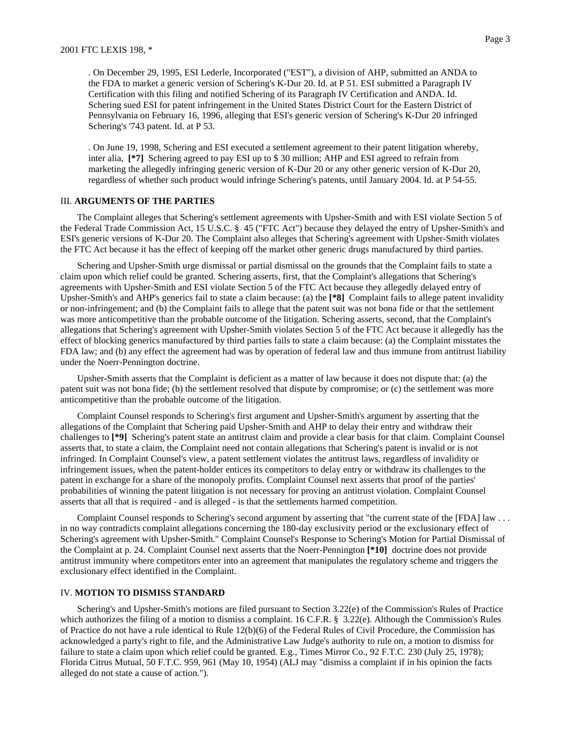. On December 29, 1995, ESI Lederle, Incorporated ("EST"), a division of AHP, submitted an ANDA to the FDA to market a generic version of Schering's K-Dur 20. Id. at P 51. ESI submitted a Paragraph IV Certification with this filing and notified Schering of its Paragraph IV Certification and ANDA. Id. Schering sued ESI for patent infringement in the United States District Court for the Eastern District of Pennsylvania on February 16, 1996, alleging that ESI's generic version of Schering's K-Dur 20 infringed Schering's '743 patent. Id. at P 53.

. On June 19, 1998, Schering and ESI executed a settlement agreement to their patent litigation whereby, inter alia, **[\*7]** Schering agreed to pay ESI up to \$ 30 million; AHP and ESI agreed to refrain from marketing the allegedly infringing generic version of K-Dur 20 or any other generic version of K-Dur 20, regardless of whether such product would infringe Schering's patents, until January 2004. Id. at P 54-55.

#### III. **ARGUMENTS OF THE PARTIES**

The Complaint alleges that Schering's settlement agreements with Upsher-Smith and with ESI violate Section 5 of the Federal Trade Commission Act, 15 U.S.C. § 45 ("FTC Act") because they delayed the entry of Upsher-Smith's and ESI's generic versions of K-Dur 20. The Complaint also alleges that Schering's agreement with Upsher-Smith violates the FTC Act because it has the effect of keeping off the market other generic drugs manufactured by third parties.

Schering and Upsher-Smith urge dismissal or partial dismissal on the grounds that the Complaint fails to state a claim upon which relief could be granted. Schering asserts, first, that the Complaint's allegations that Schering's agreements with Upsher-Smith and ESI violate Section 5 of the FTC Act because they allegedly delayed entry of Upsher-Smith's and AHP's generics fail to state a claim because: (a) the **[\*8]** Complaint fails to allege patent invalidity or non-infringement; and (b) the Complaint fails to allege that the patent suit was not bona fide or that the settlement was more anticompetitive than the probable outcome of the litigation. Schering asserts, second, that the Complaint's allegations that Schering's agreement with Upsher-Smith violates Section 5 of the FTC Act because it allegedly has the effect of blocking generics manufactured by third parties fails to state a claim because: (a) the Complaint misstates the FDA law; and (b) any effect the agreement had was by operation of federal law and thus immune from antitrust liability under the Noerr-Pennington doctrine.

Upsher-Smith asserts that the Complaint is deficient as a matter of law because it does not dispute that: (a) the patent suit was not bona fide; (b) the settlement resolved that dispute by compromise; or (c) the settlement was more anticompetitive than the probable outcome of the litigation.

Complaint Counsel responds to Schering's first argument and Upsher-Smith's argument by asserting that the allegations of the Complaint that Schering paid Upsher-Smith and AHP to delay their entry and withdraw their challenges to **[\*9]** Schering's patent state an antitrust claim and provide a clear basis for that claim. Complaint Counsel asserts that, to state a claim, the Complaint need not contain allegations that Schering's patent is invalid or is not infringed. In Complaint Counsel's view, a patent settlement violates the antitrust laws, regardless of invalidity or infringement issues, when the patent-holder entices its competitors to delay entry or withdraw its challenges to the patent in exchange for a share of the monopoly profits. Complaint Counsel next asserts that proof of the parties' probabilities of winning the patent litigation is not necessary for proving an antitrust violation. Complaint Counsel asserts that all that is required - and is alleged - is that the settlements harmed competition.

Complaint Counsel responds to Schering's second argument by asserting that "the current state of the [FDA] law . . . in no way contradicts complaint allegations concerning the 180-day exclusivity period or the exclusionary effect of Schering's agreement with Upsher-Smith." Complaint Counsel's Response to Schering's Motion for Partial Dismissal of the Complaint at p. 24. Complaint Counsel next asserts that the Noerr-Pennington **[\*10]** doctrine does not provide antitrust immunity where competitors enter into an agreement that manipulates the regulatory scheme and triggers the exclusionary effect identified in the Complaint.

### IV. **MOTION TO DISMISS STANDARD**

Schering's and Upsher-Smith's motions are filed pursuant to Section 3.22(e) of the Commission's Rules of Practice which authorizes the filing of a motion to dismiss a complaint. 16 C.F.R. § 3.22(e). Although the Commission's Rules of Practice do not have a rule identical to Rule 12(b)(6) of the Federal Rules of Civil Procedure, the Commission has acknowledged a party's right to file, and the Administrative Law Judge's authority to rule on, a motion to dismiss for failure to state a claim upon which relief could be granted. E.g., Times Mirror Co., 92 F.T.C. 230 (July 25, 1978); Florida Citrus Mutual, 50 F.T.C. 959, 961 (May 10, 1954) (ALJ may "dismiss a complaint if in his opinion the facts alleged do not state a cause of action.").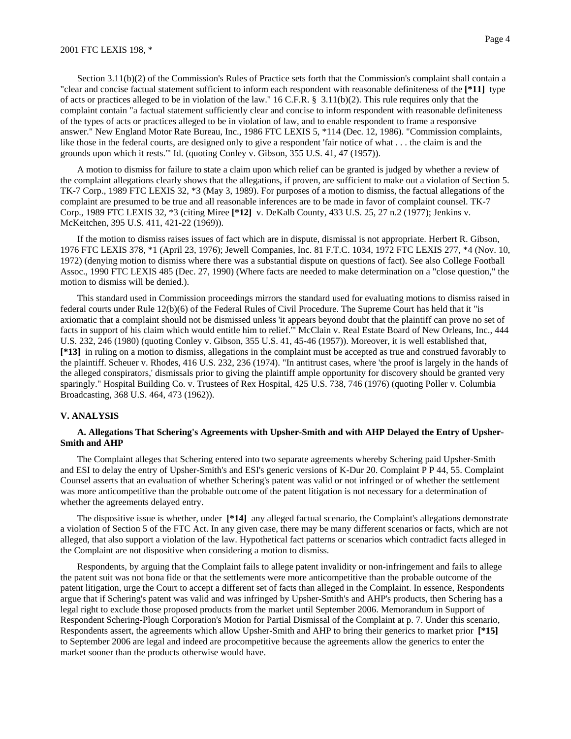Section 3.11(b)(2) of the Commission's Rules of Practice sets forth that the Commission's complaint shall contain a "clear and concise factual statement sufficient to inform each respondent with reasonable definiteness of the **[\*11]** type of acts or practices alleged to be in violation of the law." 16 C.F.R. § 3.11(b)(2). This rule requires only that the complaint contain "a factual statement sufficiently clear and concise to inform respondent with reasonable definiteness of the types of acts or practices alleged to be in violation of law, and to enable respondent to frame a responsive answer." New England Motor Rate Bureau, Inc., 1986 FTC LEXIS 5, \*114 (Dec. 12, 1986). "Commission complaints, like those in the federal courts, are designed only to give a respondent 'fair notice of what . . . the claim is and the grounds upon which it rests.'" Id. (quoting Conley v. Gibson, 355 U.S. 41, 47 (1957)).

A motion to dismiss for failure to state a claim upon which relief can be granted is judged by whether a review of the complaint allegations clearly shows that the allegations, if proven, are sufficient to make out a violation of Section 5. TK-7 Corp., 1989 FTC LEXIS 32, \*3 (May 3, 1989). For purposes of a motion to dismiss, the factual allegations of the complaint are presumed to be true and all reasonable inferences are to be made in favor of complaint counsel. TK-7 Corp., 1989 FTC LEXIS 32, \*3 (citing Miree **[\*12]** v. DeKalb County, 433 U.S. 25, 27 n.2 (1977); Jenkins v. McKeitchen, 395 U.S. 411, 421-22 (1969)).

If the motion to dismiss raises issues of fact which are in dispute, dismissal is not appropriate. Herbert R. Gibson, 1976 FTC LEXIS 378, \*1 (April 23, 1976); Jewell Companies, Inc. 81 F.T.C. 1034, 1972 FTC LEXIS 277, \*4 (Nov. 10, 1972) (denying motion to dismiss where there was a substantial dispute on questions of fact). See also College Football Assoc., 1990 FTC LEXIS 485 (Dec. 27, 1990) (Where facts are needed to make determination on a "close question," the motion to dismiss will be denied.).

This standard used in Commission proceedings mirrors the standard used for evaluating motions to dismiss raised in federal courts under Rule 12(b)(6) of the Federal Rules of Civil Procedure. The Supreme Court has held that it "is axiomatic that a complaint should not be dismissed unless 'it appears beyond doubt that the plaintiff can prove no set of facts in support of his claim which would entitle him to relief.'" McClain v. Real Estate Board of New Orleans, Inc., 444 U.S. 232, 246 (1980) (quoting Conley v. Gibson, 355 U.S. 41, 45-46 (1957)). Moreover, it is well established that, **[\*13]** in ruling on a motion to dismiss, allegations in the complaint must be accepted as true and construed favorably to the plaintiff. Scheuer v. Rhodes, 416 U.S. 232, 236 (1974). "In antitrust cases, where 'the proof is largely in the hands of the alleged conspirators,' dismissals prior to giving the plaintiff ample opportunity for discovery should be granted very sparingly." Hospital Building Co. v. Trustees of Rex Hospital, 425 U.S. 738, 746 (1976) (quoting Poller v. Columbia Broadcasting, 368 U.S. 464, 473 (1962)).

### **V. ANALYSIS**

## **A. Allegations That Schering's Agreements with Upsher-Smith and with AHP Delayed the Entry of Upsher-Smith and AHP**

The Complaint alleges that Schering entered into two separate agreements whereby Schering paid Upsher-Smith and ESI to delay the entry of Upsher-Smith's and ESI's generic versions of K-Dur 20. Complaint P P 44, 55. Complaint Counsel asserts that an evaluation of whether Schering's patent was valid or not infringed or of whether the settlement was more anticompetitive than the probable outcome of the patent litigation is not necessary for a determination of whether the agreements delayed entry.

The dispositive issue is whether, under **[\*14]** any alleged factual scenario, the Complaint's allegations demonstrate a violation of Section 5 of the FTC Act. In any given case, there may be many different scenarios or facts, which are not alleged, that also support a violation of the law. Hypothetical fact patterns or scenarios which contradict facts alleged in the Complaint are not dispositive when considering a motion to dismiss.

Respondents, by arguing that the Complaint fails to allege patent invalidity or non-infringement and fails to allege the patent suit was not bona fide or that the settlements were more anticompetitive than the probable outcome of the patent litigation, urge the Court to accept a different set of facts than alleged in the Complaint. In essence, Respondents argue that if Schering's patent was valid and was infringed by Upsher-Smith's and AHP's products, then Schering has a legal right to exclude those proposed products from the market until September 2006. Memorandum in Support of Respondent Schering-Plough Corporation's Motion for Partial Dismissal of the Complaint at p. 7. Under this scenario, Respondents assert, the agreements which allow Upsher-Smith and AHP to bring their generics to market prior **[\*15]** to September 2006 are legal and indeed are procompetitive because the agreements allow the generics to enter the market sooner than the products otherwise would have.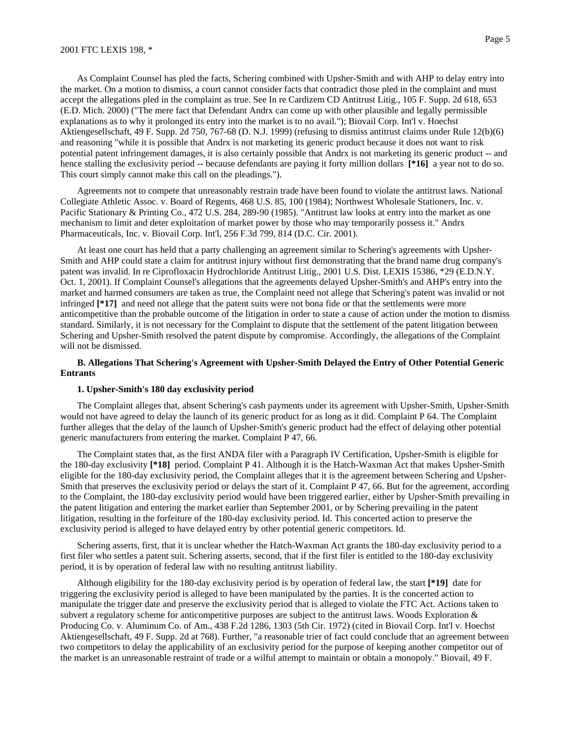As Complaint Counsel has pled the facts, Schering combined with Upsher-Smith and with AHP to delay entry into the market. On a motion to dismiss, a court cannot consider facts that contradict those pled in the complaint and must accept the allegations pled in the complaint as true. See In re Cardizem CD Antitrust Litig., 105 F. Supp. 2d 618, 653 (E.D. Mich. 2000) ("The mere fact that Defendant Andrx can come up with other plausible and legally permissible explanations as to why it prolonged its entry into the market is to no avail."); Biovail Corp. Int'l v. Hoechst Aktiengesellschaft, 49 F. Supp. 2d 750, 767-68 (D. N.J. 1999) (refusing to dismiss antitrust claims under Rule 12(b)(6) and reasoning "while it is possible that Andrx is not marketing its generic product because it does not want to risk potential patent infringement damages, it is also certainly possible that Andrx is not marketing its generic product -- and hence stalling the exclusivity period -- because defendants are paying it forty million dollars **[\*16]** a year not to do so. This court simply cannot make this call on the pleadings.").

Agreements not to compete that unreasonably restrain trade have been found to violate the antitrust laws. National Collegiate Athletic Assoc. v. Board of Regents, 468 U.S. 85, 100 (1984); Northwest Wholesale Stationers, Inc. v. Pacific Stationary & Printing Co., 472 U.S. 284, 289-90 (1985). "Antitrust law looks at entry into the market as one mechanism to limit and deter exploitation of market power by those who may temporarily possess it." Andrx Pharmaceuticals, Inc. v. Biovail Corp. Int'l, 256 F.3d 799, 814 (D.C. Cir. 2001).

At least one court has held that a party challenging an agreement similar to Schering's agreements with Upsher-Smith and AHP could state a claim for antitrust injury without first demonstrating that the brand name drug company's patent was invalid. In re Ciprofloxacin Hydrochloride Antitrust Litig., 2001 U.S. Dist. LEXIS 15386, \*29 (E.D.N.Y. Oct. 1, 2001). If Complaint Counsel's allegations that the agreements delayed Upsher-Smith's and AHP's entry into the market and harmed consumers are taken as true, the Complaint need not allege that Schering's patent was invalid or not infringed **[\*17]** and need not allege that the patent suits were not bona fide or that the settlements were more anticompetitive than the probable outcome of the litigation in order to state a cause of action under the motion to dismiss standard. Similarly, it is not necessary for the Complaint to dispute that the settlement of the patent litigation between Schering and Upsher-Smith resolved the patent dispute by compromise. Accordingly, the allegations of the Complaint will not be dismissed.

### **B. Allegations That Schering's Agreement with Upsher-Smith Delayed the Entry of Other Potential Generic Entrants**

## **1. Upsher-Smith's 180 day exclusivity period**

The Complaint alleges that, absent Schering's cash payments under its agreement with Upsher-Smith, Upsher-Smith would not have agreed to delay the launch of its generic product for as long as it did. Complaint P 64. The Complaint further alleges that the delay of the launch of Upsher-Smith's generic product had the effect of delaying other potential generic manufacturers from entering the market. Complaint P 47, 66.

The Complaint states that, as the first ANDA filer with a Paragraph IV Certification, Upsher-Smith is eligible for the 180-day exclusivity **[\*18]** period. Complaint P 41. Although it is the Hatch-Waxman Act that makes Upsher-Smith eligible for the 180-day exclusivity period, the Complaint alleges that it is the agreement between Schering and Upsher-Smith that preserves the exclusivity period or delays the start of it. Complaint P 47, 66. But for the agreement, according to the Complaint, the 180-day exclusivity period would have been triggered earlier, either by Upsher-Smith prevailing in the patent litigation and entering the market earlier than September 2001, or by Schering prevailing in the patent litigation, resulting in the forfeiture of the 180-day exclusivity period. Id. This concerted action to preserve the exclusivity period is alleged to have delayed entry by other potential generic competitors. Id.

Schering asserts, first, that it is unclear whether the Hatch-Waxman Act grants the 180-day exclusivity period to a first filer who settles a patent suit. Schering asserts, second, that if the first filer is entitled to the 180-day exclusivity period, it is by operation of federal law with no resulting antitrust liability.

Although eligibility for the 180-day exclusivity period is by operation of federal law, the start **[\*19]** date for triggering the exclusivity period is alleged to have been manipulated by the parties. It is the concerted action to manipulate the trigger date and preserve the exclusivity period that is alleged to violate the FTC Act. Actions taken to subvert a regulatory scheme for anticompetitive purposes are subject to the antitrust laws. Woods Exploration  $\&$ Producing Co. v. Aluminum Co. of Am., 438 F.2d 1286, 1303 (5th Cir. 1972) (cited in Biovail Corp. Int'l v. Hoechst Aktiengesellschaft, 49 F. Supp. 2d at 768). Further, "a reasonable trier of fact could conclude that an agreement between two competitors to delay the applicability of an exclusivity period for the purpose of keeping another competitor out of the market is an unreasonable restraint of trade or a wilful attempt to maintain or obtain a monopoly." Biovail, 49 F.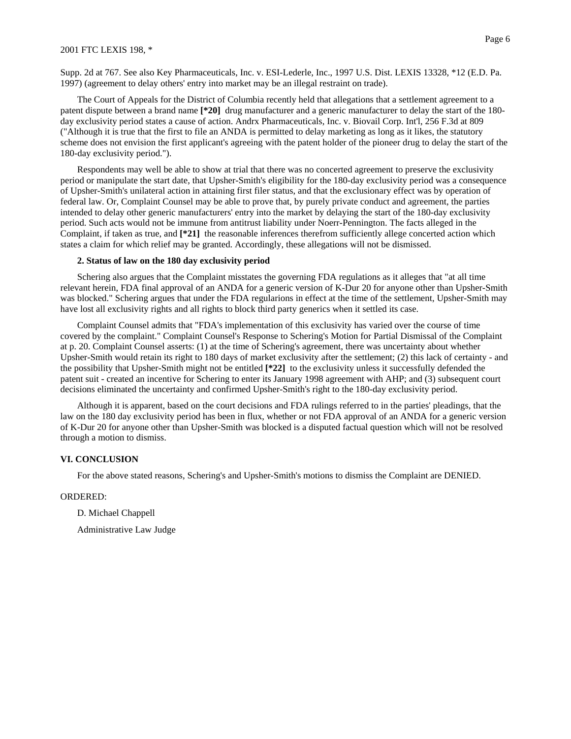Supp. 2d at 767. See also Key Pharmaceuticals, Inc. v. ESI-Lederle, Inc., 1997 U.S. Dist. LEXIS 13328, \*12 (E.D. Pa. 1997) (agreement to delay others' entry into market may be an illegal restraint on trade).

The Court of Appeals for the District of Columbia recently held that allegations that a settlement agreement to a patent dispute between a brand name **[\*20]** drug manufacturer and a generic manufacturer to delay the start of the 180 day exclusivity period states a cause of action. Andrx Pharmaceuticals, Inc. v. Biovail Corp. Int'l, 256 F.3d at 809 ("Although it is true that the first to file an ANDA is permitted to delay marketing as long as it likes, the statutory scheme does not envision the first applicant's agreeing with the patent holder of the pioneer drug to delay the start of the 180-day exclusivity period.").

Respondents may well be able to show at trial that there was no concerted agreement to preserve the exclusivity period or manipulate the start date, that Upsher-Smith's eligibility for the 180-day exclusivity period was a consequence of Upsher-Smith's unilateral action in attaining first filer status, and that the exclusionary effect was by operation of federal law. Or, Complaint Counsel may be able to prove that, by purely private conduct and agreement, the parties intended to delay other generic manufacturers' entry into the market by delaying the start of the 180-day exclusivity period. Such acts would not be immune from antitrust liability under Noerr-Pennington. The facts alleged in the Complaint, if taken as true, and **[\*21]** the reasonable inferences therefrom sufficiently allege concerted action which states a claim for which relief may be granted. Accordingly, these allegations will not be dismissed.

### **2. Status of law on the 180 day exclusivity period**

Schering also argues that the Complaint misstates the governing FDA regulations as it alleges that "at all time relevant herein, FDA final approval of an ANDA for a generic version of K-Dur 20 for anyone other than Upsher-Smith was blocked." Schering argues that under the FDA regularions in effect at the time of the settlement, Upsher-Smith may have lost all exclusivity rights and all rights to block third party generics when it settled its case.

Complaint Counsel admits that "FDA's implementation of this exclusivity has varied over the course of time covered by the complaint." Complaint Counsel's Response to Schering's Motion for Partial Dismissal of the Complaint at p. 20. Complaint Counsel asserts: (1) at the time of Schering's agreement, there was uncertainty about whether Upsher-Smith would retain its right to 180 days of market exclusivity after the settlement; (2) this lack of certainty - and the possibility that Upsher-Smith might not be entitled **[\*22]** to the exclusivity unless it successfully defended the patent suit - created an incentive for Schering to enter its January 1998 agreement with AHP; and (3) subsequent court decisions eliminated the uncertainty and confirmed Upsher-Smith's right to the 180-day exclusivity period.

Although it is apparent, based on the court decisions and FDA rulings referred to in the parties' pleadings, that the law on the 180 day exclusivity period has been in flux, whether or not FDA approval of an ANDA for a generic version of K-Dur 20 for anyone other than Upsher-Smith was blocked is a disputed factual question which will not be resolved through a motion to dismiss.

#### **VI. CONCLUSION**

For the above stated reasons, Schering's and Upsher-Smith's motions to dismiss the Complaint are DENIED.

#### ORDERED:

D. Michael Chappell

Administrative Law Judge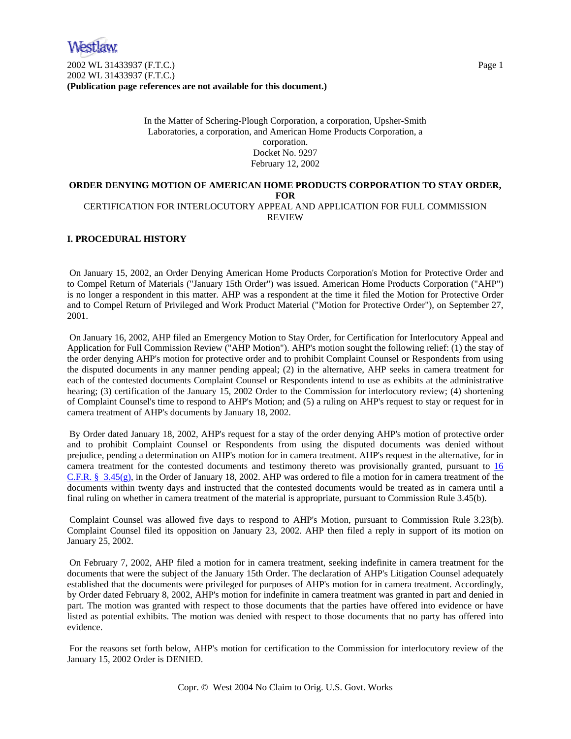2002 WL 31433937 (F.T.C.) Page 1 2002 WL 31433937 (F.T.C.) **(Publication page references are not available for this document.)**

> In the Matter of Schering-Plough Corporation, a corporation, Upsher-Smith Laboratories, a corporation, and American Home Products Corporation, a corporation. Docket No. 9297 February 12, 2002

## **ORDER DENYING MOTION OF AMERICAN HOME PRODUCTS CORPORATION TO STAY ORDER, FOR**  CERTIFICATION FOR INTERLOCUTORY APPEAL AND APPLICATION FOR FULL COMMISSION

REVIEW

## **I. PROCEDURAL HISTORY**

 On January 15, 2002, an Order Denying American Home Products Corporation's Motion for Protective Order and to Compel Return of Materials ("January 15th Order") was issued. American Home Products Corporation ("AHP") is no longer a respondent in this matter. AHP was a respondent at the time it filed the Motion for Protective Order and to Compel Return of Privileged and Work Product Material ("Motion for Protective Order"), on September 27, 2001.

 On January 16, 2002, AHP filed an Emergency Motion to Stay Order, for Certification for Interlocutory Appeal and Application for Full Commission Review ("AHP Motion"). AHP's motion sought the following relief: (1) the stay of the order denying AHP's motion for protective order and to prohibit Complaint Counsel or Respondents from using the disputed documents in any manner pending appeal; (2) in the alternative, AHP seeks in camera treatment for each of the contested documents Complaint Counsel or Respondents intend to use as exhibits at the administrative hearing; (3) certification of the January 15, 2002 Order to the Commission for interlocutory review; (4) shortening of Complaint Counsel's time to respond to AHP's Motion; and (5) a ruling on AHP's request to stay or request for in camera treatment of AHP's documents by January 18, 2002.

 By Order dated January 18, 2002, AHP's request for a stay of the order denying AHP's motion of protective order and to prohibit Complaint Counsel or Respondents from using the disputed documents was denied without prejudice, pending a determination on AHP's motion for in camera treatment. AHP's request in the alternative, for in camera treatment for the contested documents and testimony thereto was provisionally granted, pursuant to 16 C.F.R. § 3.45(g), in the Order of January 18, 2002. AHP was ordered to file a motion for in camera treatment of the documents within twenty days and instructed that the contested documents would be treated as in camera until a final ruling on whether in camera treatment of the material is appropriate, pursuant to Commission Rule 3.45(b).

 Complaint Counsel was allowed five days to respond to AHP's Motion, pursuant to Commission Rule 3.23(b). Complaint Counsel filed its opposition on January 23, 2002. AHP then filed a reply in support of its motion on January 25, 2002.

 On February 7, 2002, AHP filed a motion for in camera treatment, seeking indefinite in camera treatment for the documents that were the subject of the January 15th Order. The declaration of AHP's Litigation Counsel adequately established that the documents were privileged for purposes of AHP's motion for in camera treatment. Accordingly, by Order dated February 8, 2002, AHP's motion for indefinite in camera treatment was granted in part and denied in part. The motion was granted with respect to those documents that the parties have offered into evidence or have listed as potential exhibits. The motion was denied with respect to those documents that no party has offered into evidence.

 For the reasons set forth below, AHP's motion for certification to the Commission for interlocutory review of the January 15, 2002 Order is DENIED.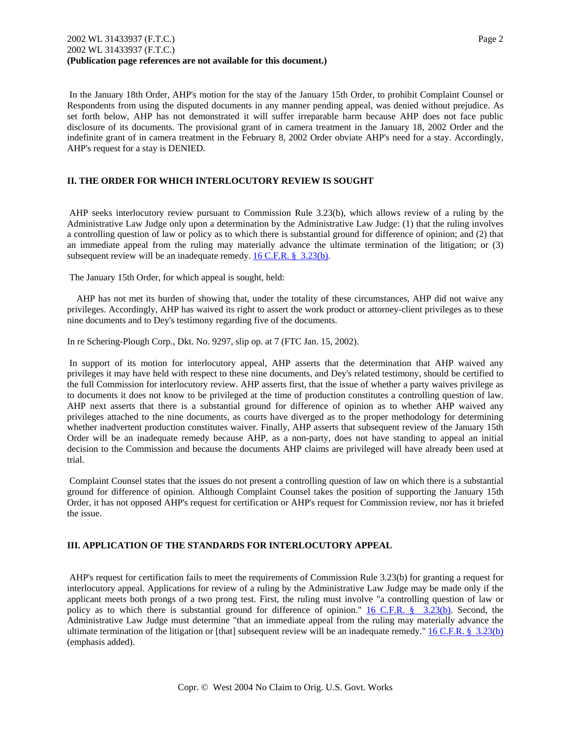Respondents from using the disputed documents in any manner pending appeal, was denied without prejudice. As set forth below, AHP has not demonstrated it will suffer irreparable harm because AHP does not face public disclosure of its documents. The provisional grant of in camera treatment in the January 18, 2002 Order and the indefinite grant of in camera treatment in the February 8, 2002 Order obviate AHP's need for a stay. Accordingly, AHP's request for a stay is DENIED.

# **II. THE ORDER FOR WHICH INTERLOCUTORY REVIEW IS SOUGHT**

 AHP seeks interlocutory review pursuant to Commission Rule 3.23(b), which allows review of a ruling by the Administrative Law Judge only upon a determination by the Administrative Law Judge: (1) that the ruling involves a controlling question of law or policy as to which there is substantial ground for difference of opinion; and (2) that an immediate appeal from the ruling may materially advance the ultimate termination of the litigation; or (3) subsequent review will be an inadequate remedy. 16 C.F.R. § 3.23(b).

The January 15th Order, for which appeal is sought, held:

 AHP has not met its burden of showing that, under the totality of these circumstances, AHP did not waive any privileges. Accordingly, AHP has waived its right to assert the work product or attorney-client privileges as to these nine documents and to Dey's testimony regarding five of the documents.

In re Schering-Plough Corp., Dkt. No. 9297, slip op. at 7 (FTC Jan. 15, 2002).

 In support of its motion for interlocutory appeal, AHP asserts that the determination that AHP waived any privileges it may have held with respect to these nine documents, and Dey's related testimony, should be certified to the full Commission for interlocutory review. AHP asserts first, that the issue of whether a party waives privilege as to documents it does not know to be privileged at the time of production constitutes a controlling question of law. AHP next asserts that there is a substantial ground for difference of opinion as to whether AHP waived any privileges attached to the nine documents, as courts have diverged as to the proper methodology for determining whether inadvertent production constitutes waiver. Finally, AHP asserts that subsequent review of the January 15th Order will be an inadequate remedy because AHP, as a non-party, does not have standing to appeal an initial decision to the Commission and because the documents AHP claims are privileged will have already been used at trial.

 Complaint Counsel states that the issues do not present a controlling question of law on which there is a substantial ground for difference of opinion. Although Complaint Counsel takes the position of supporting the January 15th Order, it has not opposed AHP's request for certification or AHP's request for Commission review, nor has it briefed the issue.

# **III. APPLICATION OF THE STANDARDS FOR INTERLOCUTORY APPEAL**

 AHP's request for certification fails to meet the requirements of Commission Rule 3.23(b) for granting a request for interlocutory appeal. Applications for review of a ruling by the Administrative Law Judge may be made only if the applicant meets both prongs of a two prong test. First, the ruling must involve "a controlling question of law or policy as to which there is substantial ground for difference of opinion." 16 C.F.R. § 3.23(b). Second, the Administrative Law Judge must determine "that an immediate appeal from the ruling may materially advance the ultimate termination of the litigation or [that] subsequent review will be an inadequate remedy."  $16$  C.F.R. § 3.23(b) (emphasis added).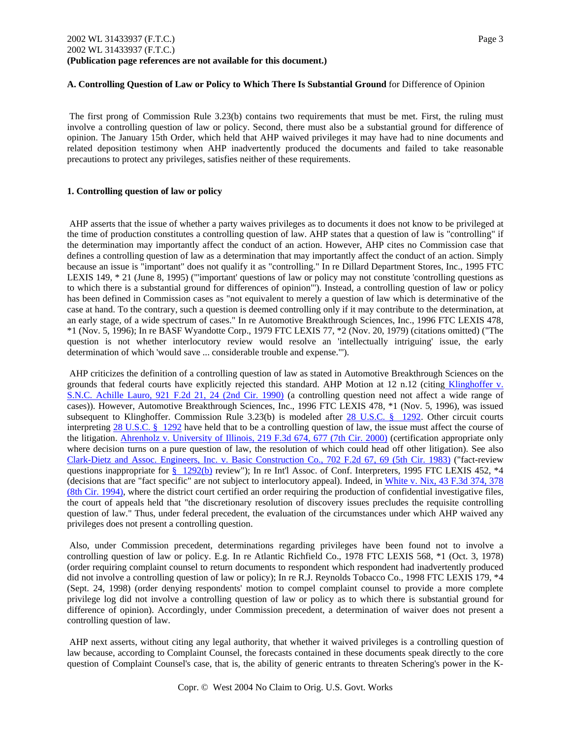### **A. Controlling Question of Law or Policy to Which There Is Substantial Ground** for Difference of Opinion

 The first prong of Commission Rule 3.23(b) contains two requirements that must be met. First, the ruling must involve a controlling question of law or policy. Second, there must also be a substantial ground for difference of opinion. The January 15th Order, which held that AHP waived privileges it may have had to nine documents and related deposition testimony when AHP inadvertently produced the documents and failed to take reasonable precautions to protect any privileges, satisfies neither of these requirements.

### **1. Controlling question of law or policy**

 AHP asserts that the issue of whether a party waives privileges as to documents it does not know to be privileged at the time of production constitutes a controlling question of law. AHP states that a question of law is "controlling" if the determination may importantly affect the conduct of an action. However, AHP cites no Commission case that defines a controlling question of law as a determination that may importantly affect the conduct of an action. Simply because an issue is "important" does not qualify it as "controlling." In re Dillard Department Stores, Inc., 1995 FTC LEXIS 149, \* 21 (June 8, 1995) ("'important' questions of law or policy may not constitute 'controlling questions as to which there is a substantial ground for differences of opinion"'). Instead, a controlling question of law or policy has been defined in Commission cases as "not equivalent to merely a question of law which is determinative of the case at hand. To the contrary, such a question is deemed controlling only if it may contribute to the determination, at an early stage, of a wide spectrum of cases." In re Automotive Breakthrough Sciences, Inc., 1996 FTC LEXIS 478, \*1 (Nov. 5, 1996); In re BASF Wyandotte Corp., 1979 FTC LEXIS 77, \*2 (Nov. 20, 1979) (citations omitted) ("The question is not whether interlocutory review would resolve an 'intellectually intriguing' issue, the early determination of which 'would save ... considerable trouble and expense."').

 AHP criticizes the definition of a controlling question of law as stated in Automotive Breakthrough Sciences on the grounds that federal courts have explicitly rejected this standard. AHP Motion at 12 n.12 (citing Klinghoffer v. S.N.C. Achille Lauro, 921 F.2d 21, 24 (2nd Cir. 1990) (a controlling question need not affect a wide range of cases)). However, Automotive Breakthrough Sciences, Inc., 1996 FTC LEXIS 478, \*1 (Nov. 5, 1996), was issued subsequent to Klinghoffer. Commission Rule 3.23(b) is modeled after 28 U.S.C. § 1292. Other circuit courts interpreting 28 U.S.C. § 1292 have held that to be a controlling question of law, the issue must affect the course of the litigation. Ahrenholz v. University of Illinois, 219 F.3d 674, 677 (7th Cir. 2000) (certification appropriate only where decision turns on a pure question of law, the resolution of which could head off other litigation). See also Clark-Dietz and Assoc. Engineers, Inc. v. Basic Construction Co., 702 F.2d 67, 69 (5th Cir. 1983) ("fact-review questions inappropriate for § 1292(b) review"); In re Int'l Assoc. of Conf. Interpreters, 1995 FTC LEXIS 452, \*4 (decisions that are "fact specific" are not subject to interlocutory appeal). Indeed, in White v. Nix, 43 F.3d 374, 378 (8th Cir. 1994), where the district court certified an order requiring the production of confidential investigative files, the court of appeals held that "the discretionary resolution of discovery issues precludes the requisite controlling question of law." Thus, under federal precedent, the evaluation of the circumstances under which AHP waived any privileges does not present a controlling question.

 Also, under Commission precedent, determinations regarding privileges have been found not to involve a controlling question of law or policy. E.g. In re Atlantic Richfield Co., 1978 FTC LEXIS 568, \*1 (Oct. 3, 1978) (order requiring complaint counsel to return documents to respondent which respondent had inadvertently produced did not involve a controlling question of law or policy); In re R.J. Reynolds Tobacco Co., 1998 FTC LEXIS 179, \*4 (Sept. 24, 1998) (order denying respondents' motion to compel complaint counsel to provide a more complete privilege log did not involve a controlling question of law or policy as to which there is substantial ground for difference of opinion). Accordingly, under Commission precedent, a determination of waiver does not present a controlling question of law.

 AHP next asserts, without citing any legal authority, that whether it waived privileges is a controlling question of law because, according to Complaint Counsel, the forecasts contained in these documents speak directly to the core question of Complaint Counsel's case, that is, the ability of generic entrants to threaten Schering's power in the K-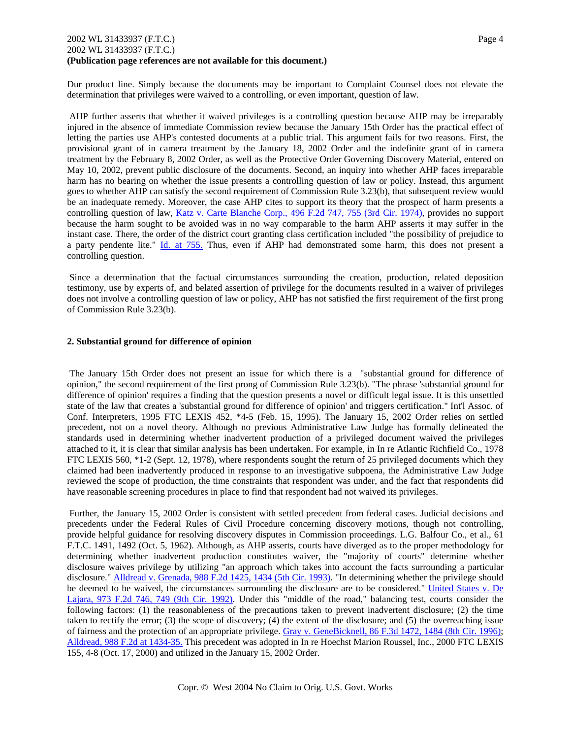## 2002 WL 31433937 (F.T.C.) Page 4 2002 WL 31433937 (F.T.C.) **(Publication page references are not available for this document.)**

Dur product line. Simply because the documents may be important to Complaint Counsel does not elevate the determination that privileges were waived to a controlling, or even important, question of law.

 AHP further asserts that whether it waived privileges is a controlling question because AHP may be irreparably injured in the absence of immediate Commission review because the January 15th Order has the practical effect of letting the parties use AHP's contested documents at a public trial. This argument fails for two reasons. First, the provisional grant of in camera treatment by the January 18, 2002 Order and the indefinite grant of in camera treatment by the February 8, 2002 Order, as well as the Protective Order Governing Discovery Material, entered on May 10, 2002, prevent public disclosure of the documents. Second, an inquiry into whether AHP faces irreparable harm has no bearing on whether the issue presents a controlling question of law or policy. Instead, this argument goes to whether AHP can satisfy the second requirement of Commission Rule 3.23(b), that subsequent review would be an inadequate remedy. Moreover, the case AHP cites to support its theory that the prospect of harm presents a controlling question of law, Katz v. Carte Blanche Corp., 496 F.2d 747, 755 (3rd Cir. 1974), provides no support because the harm sought to be avoided was in no way comparable to the harm AHP asserts it may suffer in the instant case. There, the order of the district court granting class certification included "the possibility of prejudice to a party pendente lite." Id. at 755. Thus, even if AHP had demonstrated some harm, this does not present a controlling question.

 Since a determination that the factual circumstances surrounding the creation, production, related deposition testimony, use by experts of, and belated assertion of privilege for the documents resulted in a waiver of privileges does not involve a controlling question of law or policy, AHP has not satisfied the first requirement of the first prong of Commission Rule 3.23(b).

### **2. Substantial ground for difference of opinion**

 The January 15th Order does not present an issue for which there is a "substantial ground for difference of opinion," the second requirement of the first prong of Commission Rule 3.23(b). "The phrase 'substantial ground for difference of opinion' requires a finding that the question presents a novel or difficult legal issue. It is this unsettled state of the law that creates a 'substantial ground for difference of opinion' and triggers certification." Int'l Assoc. of Conf. Interpreters, 1995 FTC LEXIS 452, \*4-5 (Feb. 15, 1995). The January 15, 2002 Order relies on settled precedent, not on a novel theory. Although no previous Administrative Law Judge has formally delineated the standards used in determining whether inadvertent production of a privileged document waived the privileges attached to it, it is clear that similar analysis has been undertaken. For example, in In re Atlantic Richfield Co., 1978 FTC LEXIS 560, \*1-2 (Sept. 12, 1978), where respondents sought the return of 25 privileged documents which they claimed had been inadvertently produced in response to an investigative subpoena, the Administrative Law Judge reviewed the scope of production, the time constraints that respondent was under, and the fact that respondents did have reasonable screening procedures in place to find that respondent had not waived its privileges.

 Further, the January 15, 2002 Order is consistent with settled precedent from federal cases. Judicial decisions and precedents under the Federal Rules of Civil Procedure concerning discovery motions, though not controlling, provide helpful guidance for resolving discovery disputes in Commission proceedings. L.G. Balfour Co., et al., 61 F.T.C. 1491, 1492 (Oct. 5, 1962). Although, as AHP asserts, courts have diverged as to the proper methodology for determining whether inadvertent production constitutes waiver, the "majority of courts" determine whether disclosure waives privilege by utilizing "an approach which takes into account the facts surrounding a particular disclosure." Alldread v. Grenada, 988 F.2d 1425, 1434 (5th Cir. 1993). "In determining whether the privilege should be deemed to be waived, the circumstances surrounding the disclosure are to be considered." United States v. De Lajara, 973 F.2d 746, 749 (9th Cir. 1992). Under this "middle of the road," balancing test, courts consider the following factors: (1) the reasonableness of the precautions taken to prevent inadvertent disclosure; (2) the time taken to rectify the error; (3) the scope of discovery; (4) the extent of the disclosure; and (5) the overreaching issue of fairness and the protection of an appropriate privilege. Gray v. GeneBicknell, 86 F.3d 1472, 1484 (8th Cir. 1996); Alldread, 988 F.2d at 1434-35. This precedent was adopted in In re Hoechst Marion Roussel, Inc., 2000 FTC LEXIS 155, 4-8 (Oct. 17, 2000) and utilized in the January 15, 2002 Order.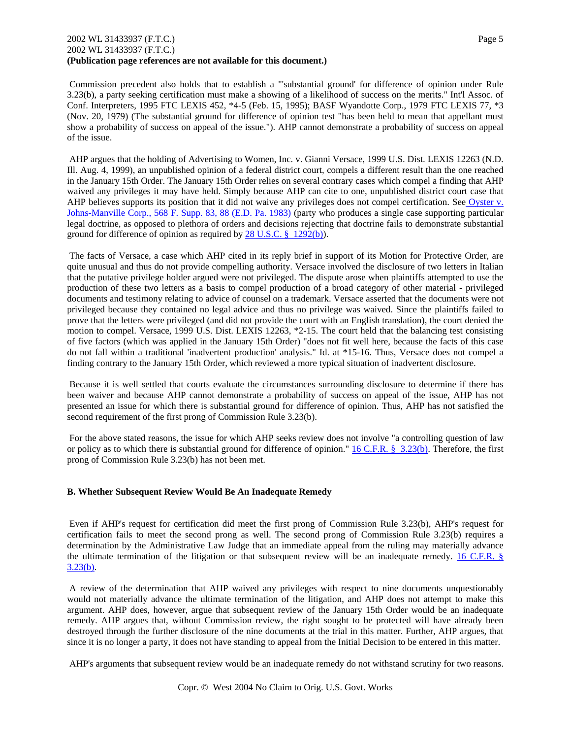## 2002 WL 31433937 (F.T.C.) Page 5 2002 WL 31433937 (F.T.C.) **(Publication page references are not available for this document.)**

 Commission precedent also holds that to establish a "'substantial ground' for difference of opinion under Rule 3.23(b), a party seeking certification must make a showing of a likelihood of success on the merits." Int'l Assoc. of Conf. Interpreters, 1995 FTC LEXIS 452, \*4-5 (Feb. 15, 1995); BASF Wyandotte Corp., 1979 FTC LEXIS 77, \*3 (Nov. 20, 1979) (The substantial ground for difference of opinion test "has been held to mean that appellant must show a probability of success on appeal of the issue."). AHP cannot demonstrate a probability of success on appeal of the issue.

 AHP argues that the holding of Advertising to Women, Inc. v. Gianni Versace, 1999 U.S. Dist. LEXIS 12263 (N.D. Ill. Aug. 4, 1999), an unpublished opinion of a federal district court, compels a different result than the one reached in the January 15th Order. The January 15th Order relies on several contrary cases which compel a finding that AHP waived any privileges it may have held. Simply because AHP can cite to one, unpublished district court case that AHP believes supports its position that it did not waive any privileges does not compel certification. See Oyster v. Johns-Manville Corp., 568 F. Supp. 83, 88 (E.D. Pa. 1983) (party who produces a single case supporting particular legal doctrine, as opposed to plethora of orders and decisions rejecting that doctrine fails to demonstrate substantial ground for difference of opinion as required by 28 U.S.C. § 1292(b)).

 The facts of Versace, a case which AHP cited in its reply brief in support of its Motion for Protective Order, are quite unusual and thus do not provide compelling authority. Versace involved the disclosure of two letters in Italian that the putative privilege holder argued were not privileged. The dispute arose when plaintiffs attempted to use the production of these two letters as a basis to compel production of a broad category of other material - privileged documents and testimony relating to advice of counsel on a trademark. Versace asserted that the documents were not privileged because they contained no legal advice and thus no privilege was waived. Since the plaintiffs failed to prove that the letters were privileged (and did not provide the court with an English translation), the court denied the motion to compel. Versace, 1999 U.S. Dist. LEXIS 12263, \*2-15. The court held that the balancing test consisting of five factors (which was applied in the January 15th Order) "does not fit well here, because the facts of this case do not fall within a traditional 'inadvertent production' analysis." Id. at \*15-16. Thus, Versace does not compel a finding contrary to the January 15th Order, which reviewed a more typical situation of inadvertent disclosure.

 Because it is well settled that courts evaluate the circumstances surrounding disclosure to determine if there has been waiver and because AHP cannot demonstrate a probability of success on appeal of the issue, AHP has not presented an issue for which there is substantial ground for difference of opinion. Thus, AHP has not satisfied the second requirement of the first prong of Commission Rule 3.23(b).

 For the above stated reasons, the issue for which AHP seeks review does not involve "a controlling question of law or policy as to which there is substantial ground for difference of opinion."  $16 \text{ C.F.R.}$  § 3.23(b). Therefore, the first prong of Commission Rule 3.23(b) has not been met.

## **B. Whether Subsequent Review Would Be An Inadequate Remedy**

 Even if AHP's request for certification did meet the first prong of Commission Rule 3.23(b), AHP's request for certification fails to meet the second prong as well. The second prong of Commission Rule 3.23(b) requires a determination by the Administrative Law Judge that an immediate appeal from the ruling may materially advance the ultimate termination of the litigation or that subsequent review will be an inadequate remedy. 16 C.F.R. § 3.23(b).

 A review of the determination that AHP waived any privileges with respect to nine documents unquestionably would not materially advance the ultimate termination of the litigation, and AHP does not attempt to make this argument. AHP does, however, argue that subsequent review of the January 15th Order would be an inadequate remedy. AHP argues that, without Commission review, the right sought to be protected will have already been destroyed through the further disclosure of the nine documents at the trial in this matter. Further, AHP argues, that since it is no longer a party, it does not have standing to appeal from the Initial Decision to be entered in this matter.

AHP's arguments that subsequent review would be an inadequate remedy do not withstand scrutiny for two reasons.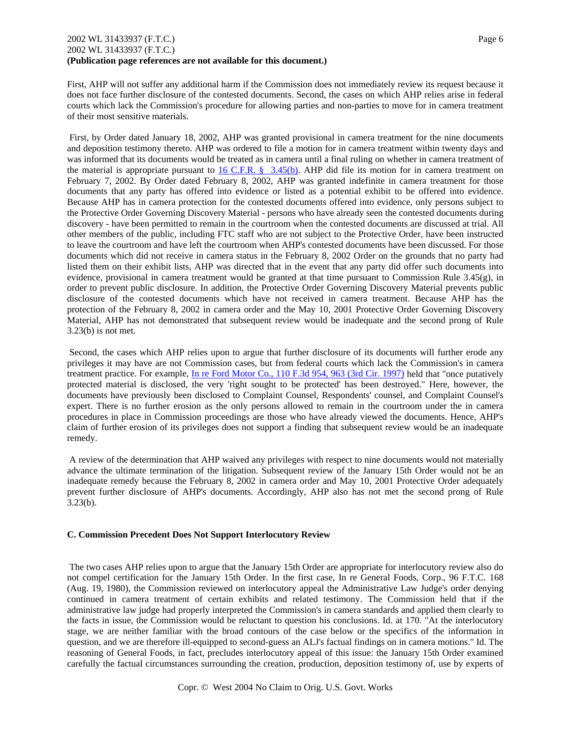## 2002 WL 31433937 (F.T.C.) Page 6 2002 WL 31433937 (F.T.C.) **(Publication page references are not available for this document.)**

First, AHP will not suffer any additional harm if the Commission does not immediately review its request because it does not face further disclosure of the contested documents. Second, the cases on which AHP relies arise in federal courts which lack the Commission's procedure for allowing parties and non-parties to move for in camera treatment of their most sensitive materials.

 First, by Order dated January 18, 2002, AHP was granted provisional in camera treatment for the nine documents and deposition testimony thereto. AHP was ordered to file a motion for in camera treatment within twenty days and was informed that its documents would be treated as in camera until a final ruling on whether in camera treatment of the material is appropriate pursuant to 16 C.F.R.  $\S$  3.45(b). AHP did file its motion for in camera treatment on February 7, 2002. By Order dated February 8, 2002, AHP was granted indefinite in camera treatment for those documents that any party has offered into evidence or listed as a potential exhibit to be offered into evidence. Because AHP has in camera protection for the contested documents offered into evidence, only persons subject to the Protective Order Governing Discovery Material - persons who have already seen the contested documents during discovery - have been permitted to remain in the courtroom when the contested documents are discussed at trial. All other members of the public, including FTC staff who are not subject to the Protective Order, have been instructed to leave the courtroom and have left the courtroom when AHP's contested documents have been discussed. For those documents which did not receive in camera status in the February 8, 2002 Order on the grounds that no party had listed them on their exhibit lists, AHP was directed that in the event that any party did offer such documents into evidence, provisional in camera treatment would be granted at that time pursuant to Commission Rule 3.45(g), in order to prevent public disclosure. In addition, the Protective Order Governing Discovery Material prevents public disclosure of the contested documents which have not received in camera treatment. Because AHP has the protection of the February 8, 2002 in camera order and the May 10, 2001 Protective Order Governing Discovery Material, AHP has not demonstrated that subsequent review would be inadequate and the second prong of Rule 3.23(b) is not met.

 Second, the cases which AHP relies upon to argue that further disclosure of its documents will further erode any privileges it may have are not Commission cases, but from federal courts which lack the Commission's in camera treatment practice. For example, In re Ford Motor Co., 110 F.3d 954, 963 (3rd Cir. 1997) held that "once putatively protected material is disclosed, the very 'right sought to be protected' has been destroyed." Here, however, the documents have previously been disclosed to Complaint Counsel, Respondents' counsel, and Complaint Counsel's expert. There is no further erosion as the only persons allowed to remain in the courtroom under the in camera procedures in place in Commission proceedings are those who have already viewed the documents. Hence, AHP's claim of further erosion of its privileges does not support a finding that subsequent review would be an inadequate remedy.

 A review of the determination that AHP waived any privileges with respect to nine documents would not materially advance the ultimate termination of the litigation. Subsequent review of the January 15th Order would not be an inadequate remedy because the February 8, 2002 in camera order and May 10, 2001 Protective Order adequately prevent further disclosure of AHP's documents. Accordingly, AHP also has not met the second prong of Rule 3.23(b).

### **C. Commission Precedent Does Not Support Interlocutory Review**

 The two cases AHP relies upon to argue that the January 15th Order are appropriate for interlocutory review also do not compel certification for the January 15th Order. In the first case, In re General Foods, Corp., 96 F.T.C. 168 (Aug. 19, 1980), the Commission reviewed on interlocutory appeal the Administrative Law Judge's order denying continued in camera treatment of certain exhibits and related testimony. The Commission held that if the administrative law judge had properly interpreted the Commission's in camera standards and applied them clearly to the facts in issue, the Commission would be reluctant to question his conclusions. Id. at 170. "At the interlocutory stage, we are neither familiar with the broad contours of the case below or the specifics of the information in question, and we are therefore ill-equipped to second-guess an ALJ's factual findings on in camera motions." Id. The reasoning of General Foods, in fact, precludes interlocutory appeal of this issue: the January 15th Order examined carefully the factual circumstances surrounding the creation, production, deposition testimony of, use by experts of